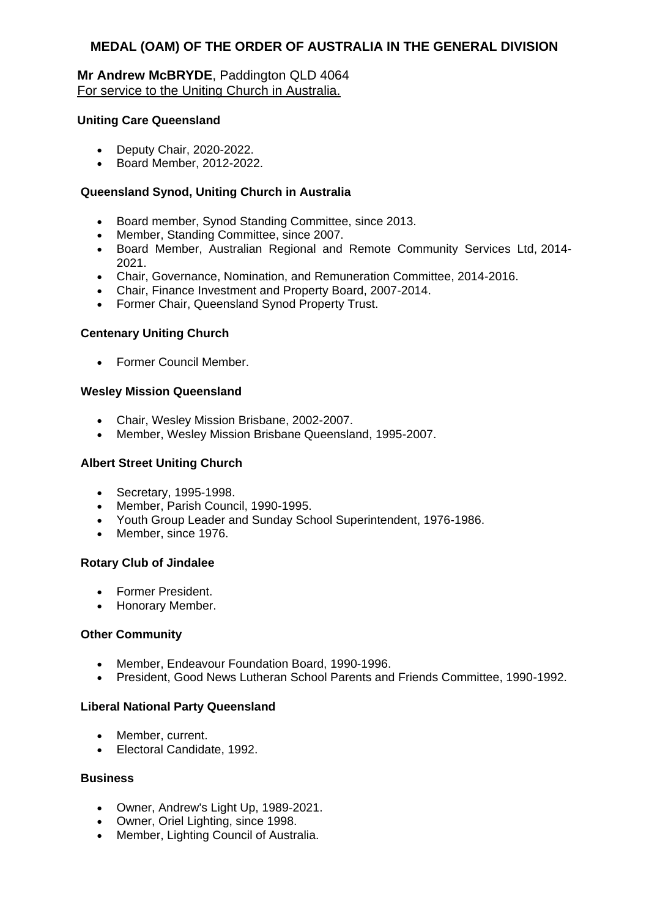### **Mr Andrew McBRYDE**, Paddington QLD 4064 For service to the Uniting Church in Australia.

#### **Uniting Care Queensland**

- Deputy Chair, 2020-2022.
- Board Member, 2012-2022.

### **Queensland Synod, Uniting Church in Australia**

- Board member, Synod Standing Committee, since 2013.
- Member, Standing Committee, since 2007.
- Board Member, Australian Regional and Remote Community Services Ltd, 2014- 2021.
- Chair, Governance, Nomination, and Remuneration Committee, 2014-2016.
- Chair, Finance Investment and Property Board, 2007-2014.
- Former Chair, Queensland Synod Property Trust.

### **Centenary Uniting Church**

Former Council Member.

#### **Wesley Mission Queensland**

- Chair, Wesley Mission Brisbane, 2002-2007.
- Member, Wesley Mission Brisbane Queensland, 1995-2007.

#### **Albert Street Uniting Church**

- Secretary, 1995-1998.
- Member, Parish Council, 1990-1995.
- Youth Group Leader and Sunday School Superintendent, 1976-1986.
- Member, since 1976.

#### **Rotary Club of Jindalee**

- **•** Former President.
- Honorary Member.

#### **Other Community**

- Member, Endeavour Foundation Board, 1990-1996.
- President, Good News Lutheran School Parents and Friends Committee, 1990-1992.

#### **Liberal National Party Queensland**

- Member, current.
- Electoral Candidate, 1992.

#### **Business**

- Owner, Andrew's Light Up, 1989-2021.
- Owner, Oriel Lighting, since 1998.
- Member, Lighting Council of Australia.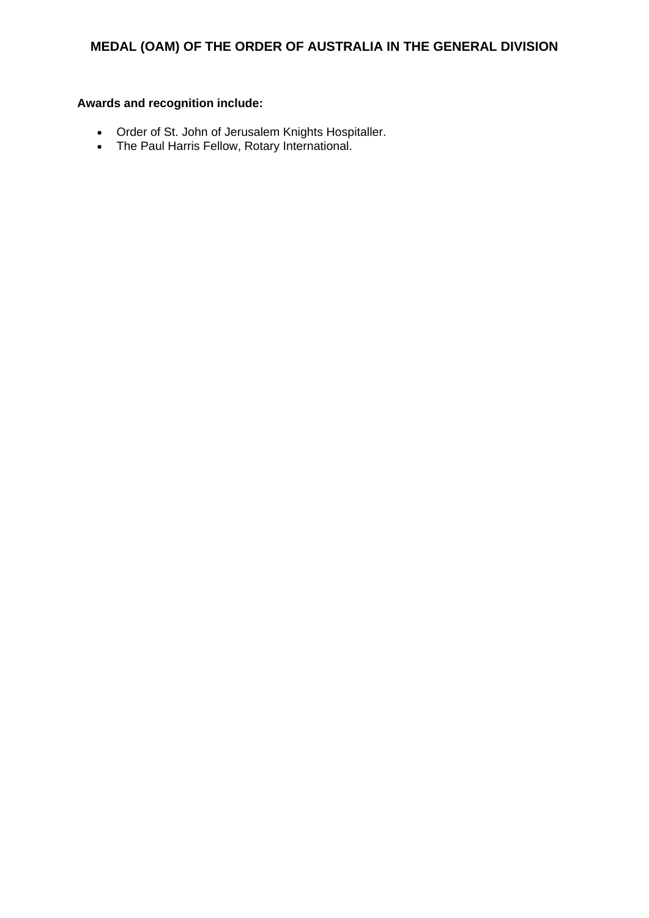- Order of St. John of Jerusalem Knights Hospitaller.
- The Paul Harris Fellow, Rotary International.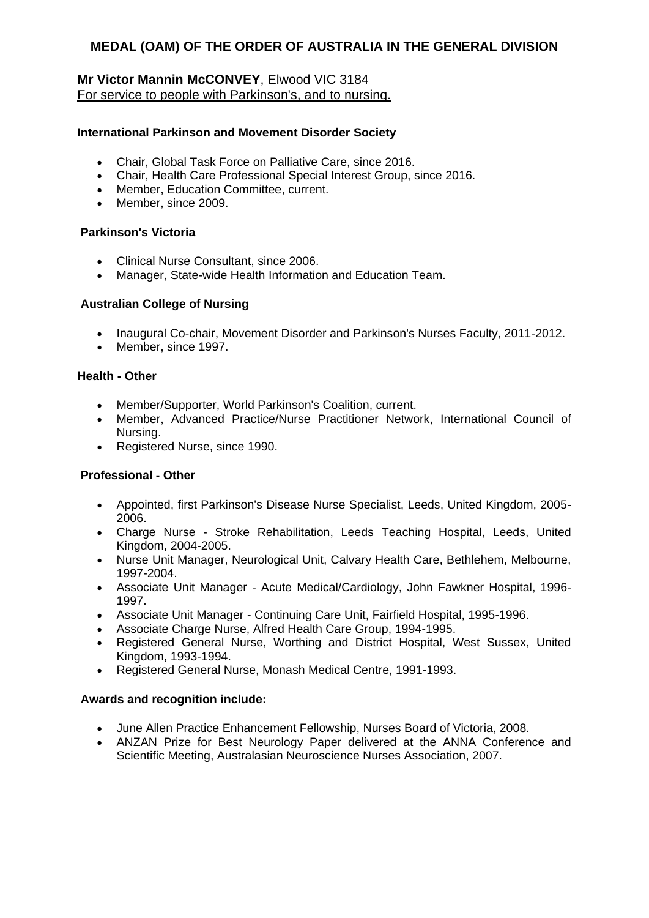# **Mr Victor Mannin McCONVEY**, Elwood VIC 3184 For service to people with Parkinson's, and to nursing.

### **International Parkinson and Movement Disorder Society**

- Chair, Global Task Force on Palliative Care, since 2016.
- Chair, Health Care Professional Special Interest Group, since 2016.
- Member, Education Committee, current.
- Member, since 2009.

#### **Parkinson's Victoria**

- Clinical Nurse Consultant, since 2006.
- Manager, State-wide Health Information and Education Team.

### **Australian College of Nursing**

- Inaugural Co-chair, Movement Disorder and Parkinson's Nurses Faculty, 2011-2012.
- Member, since 1997.

#### **Health - Other**

- Member/Supporter, World Parkinson's Coalition, current.
- Member, Advanced Practice/Nurse Practitioner Network, International Council of Nursing.
- Registered Nurse, since 1990.

# **Professional - Other**

- Appointed, first Parkinson's Disease Nurse Specialist, Leeds, United Kingdom, 2005- 2006.
- Charge Nurse Stroke Rehabilitation, Leeds Teaching Hospital, Leeds, United Kingdom, 2004-2005.
- Nurse Unit Manager, Neurological Unit, Calvary Health Care, Bethlehem, Melbourne, 1997-2004.
- Associate Unit Manager Acute Medical/Cardiology, John Fawkner Hospital, 1996- 1997.
- Associate Unit Manager Continuing Care Unit, Fairfield Hospital, 1995-1996.
- Associate Charge Nurse, Alfred Health Care Group, 1994-1995.
- Registered General Nurse, Worthing and District Hospital, West Sussex, United Kingdom, 1993-1994.
- Registered General Nurse, Monash Medical Centre, 1991-1993.

- June Allen Practice Enhancement Fellowship, Nurses Board of Victoria, 2008.
- ANZAN Prize for Best Neurology Paper delivered at the ANNA Conference and Scientific Meeting, Australasian Neuroscience Nurses Association, 2007.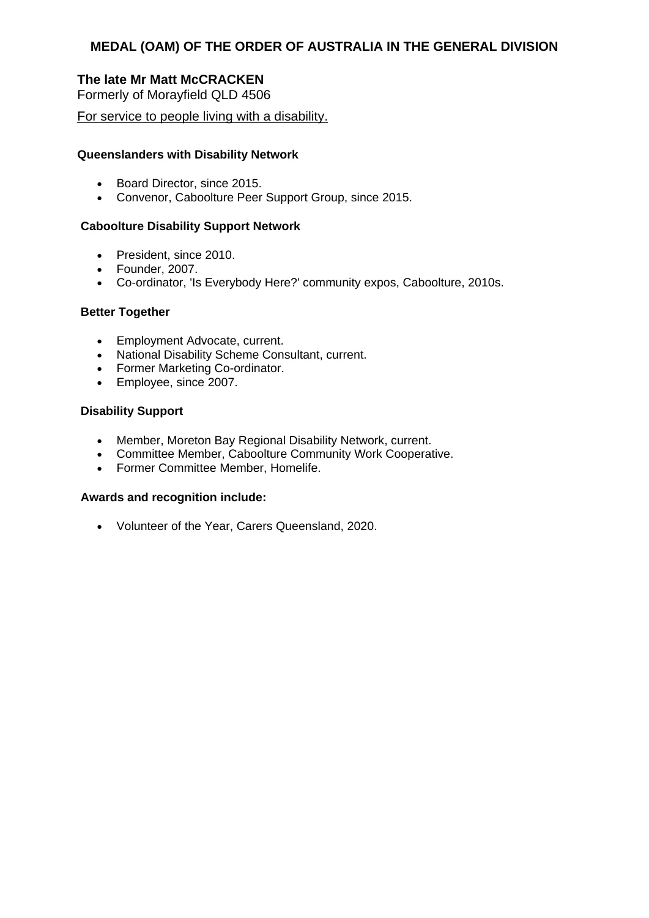# **The late Mr Matt McCRACKEN**

Formerly of Morayfield QLD 4506

For service to people living with a disability.

#### **Queenslanders with Disability Network**

- Board Director, since 2015.
- Convenor, Caboolture Peer Support Group, since 2015.

#### **Caboolture Disability Support Network**

- President, since 2010.
- Founder, 2007.
- Co-ordinator, 'Is Everybody Here?' community expos, Caboolture, 2010s.

#### **Better Together**

- Employment Advocate, current.
- National Disability Scheme Consultant, current.
- Former Marketing Co-ordinator.
- Employee, since 2007.

#### **Disability Support**

- Member, Moreton Bay Regional Disability Network, current.
- Committee Member, Caboolture Community Work Cooperative.
- Former Committee Member, Homelife.

#### **Awards and recognition include:**

Volunteer of the Year, Carers Queensland, 2020.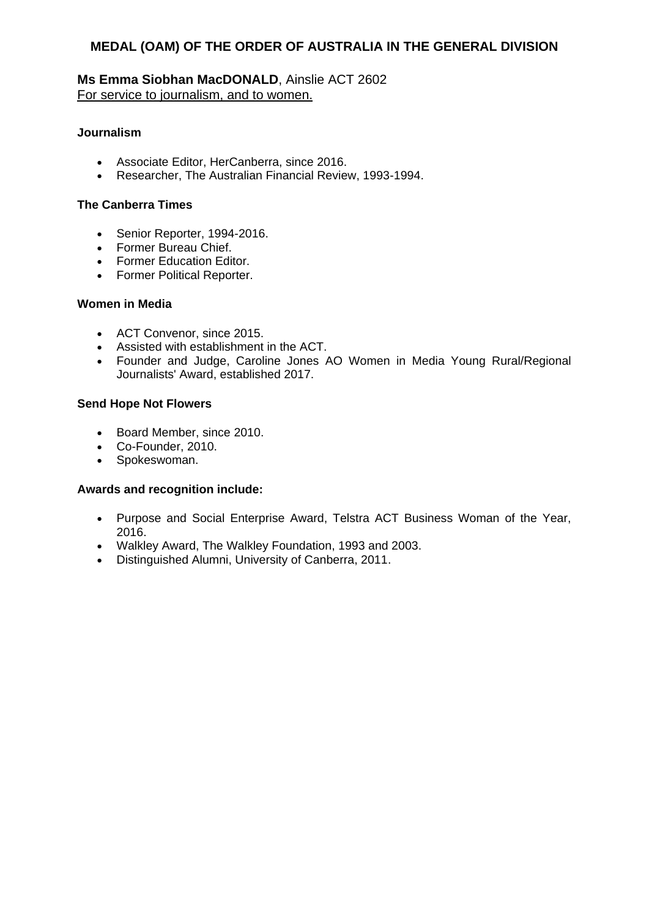### **Ms Emma Siobhan MacDONALD**, Ainslie ACT 2602 For service to journalism, and to women.

#### **Journalism**

- Associate Editor, HerCanberra, since 2016.
- Researcher, The Australian Financial Review, 1993-1994.

#### **The Canberra Times**

- Senior Reporter, 1994-2016.
- Former Bureau Chief.
- Former Education Editor.
- Former Political Reporter.

#### **Women in Media**

- ACT Convenor, since 2015.
- Assisted with establishment in the ACT.
- Founder and Judge, Caroline Jones AO Women in Media Young Rural/Regional Journalists' Award, established 2017.

#### **Send Hope Not Flowers**

- Board Member, since 2010.
- Co-Founder, 2010.
- Spokeswoman.

- Purpose and Social Enterprise Award, Telstra ACT Business Woman of the Year, 2016.
- Walkley Award, The Walkley Foundation, 1993 and 2003.
- Distinguished Alumni, University of Canberra, 2011.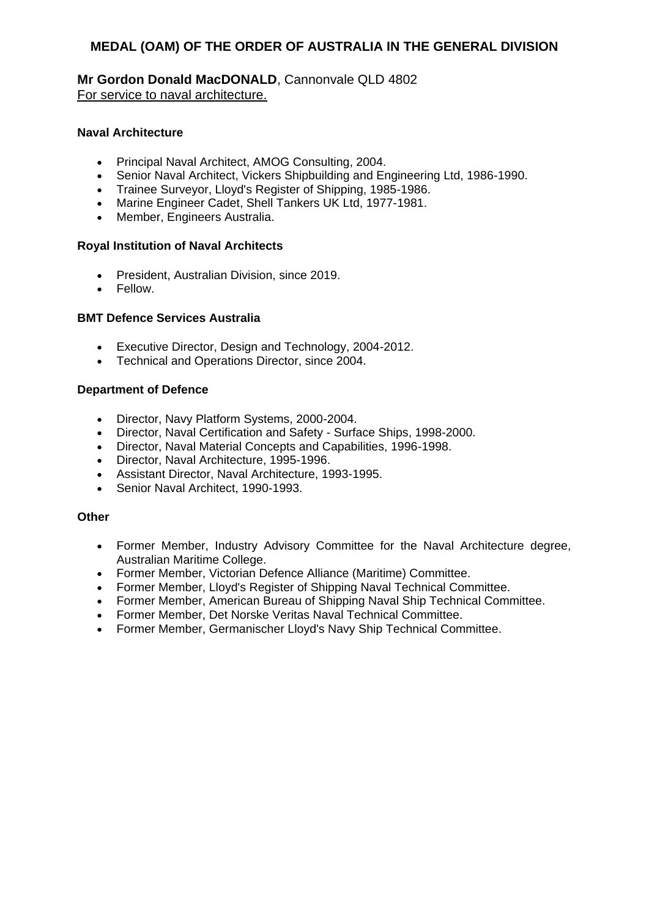### **Mr Gordon Donald MacDONALD**, Cannonvale QLD 4802 For service to naval architecture.

### **Naval Architecture**

- Principal Naval Architect, AMOG Consulting, 2004.
- Senior Naval Architect, Vickers Shipbuilding and Engineering Ltd, 1986-1990.
- Trainee Surveyor, Lloyd's Register of Shipping, 1985-1986.
- Marine Engineer Cadet, Shell Tankers UK Ltd, 1977-1981.
- Member, Engineers Australia.

#### **Royal Institution of Naval Architects**

- President, Australian Division, since 2019.
- Fellow.

#### **BMT Defence Services Australia**

- **Executive Director, Design and Technology, 2004-2012.**<br>• Technical and Operations Director, since 2004.
- Technical and Operations Director, since 2004.

### **Department of Defence**

- Director, Navy Platform Systems, 2000-2004.
- Director, Naval Certification and Safety Surface Ships, 1998-2000.
- Director, Naval Material Concepts and Capabilities, 1996-1998.
- Director, Naval Architecture, 1995-1996.
- Assistant Director, Naval Architecture, 1993-1995.
- Senior Naval Architect, 1990-1993.

#### **Other**

- Former Member, Industry Advisory Committee for the Naval Architecture degree, Australian Maritime College.
- Former Member, Victorian Defence Alliance (Maritime) Committee.
- Former Member, Lloyd's Register of Shipping Naval Technical Committee.
- Former Member, American Bureau of Shipping Naval Ship Technical Committee.
- Former Member, Det Norske Veritas Naval Technical Committee.
- Former Member, Germanischer Lloyd's Navy Ship Technical Committee.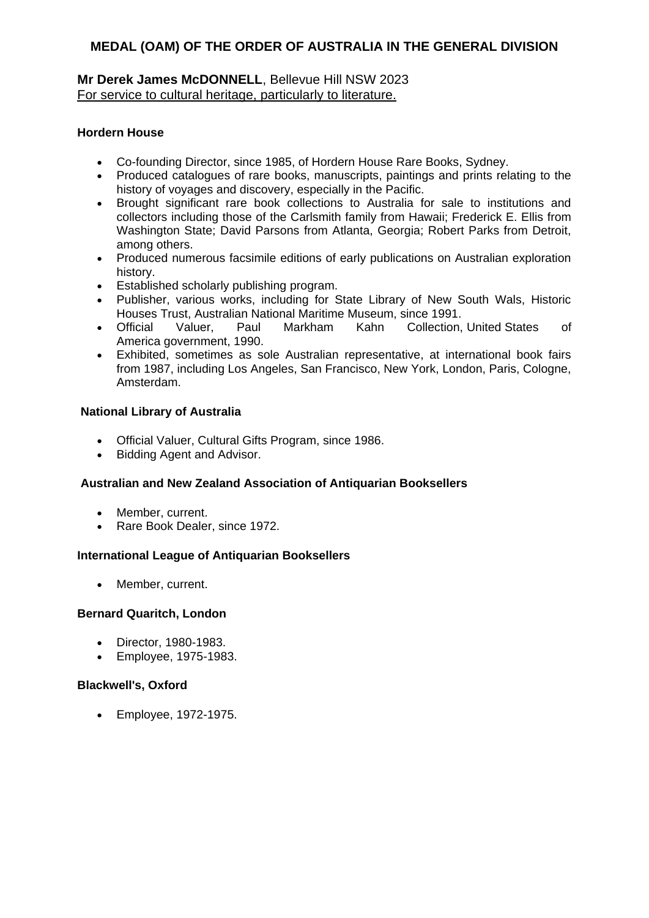# **Mr Derek James McDONNELL**, Bellevue Hill NSW 2023 For service to cultural heritage, particularly to literature.

# **Hordern House**

- Co-founding Director, since 1985, of Hordern House Rare Books, Sydney.
- Produced catalogues of rare books, manuscripts, paintings and prints relating to the history of voyages and discovery, especially in the Pacific.
- Brought significant rare book collections to Australia for sale to institutions and collectors including those of the Carlsmith family from Hawaii; Frederick E. Ellis from Washington State; David Parsons from Atlanta, Georgia; Robert Parks from Detroit, among others.
- Produced numerous facsimile editions of early publications on Australian exploration history.
- Established scholarly publishing program.
- Publisher, various works, including for State Library of New South Wals, Historic Houses Trust, Australian National Maritime Museum, since 1991.
- Official Valuer, Paul Markham Kahn Collection, United States of America government, 1990.
- Exhibited, sometimes as sole Australian representative, at international book fairs from 1987, including Los Angeles, San Francisco, New York, London, Paris, Cologne, Amsterdam.

### **National Library of Australia**

- Official Valuer, Cultural Gifts Program, since 1986.
- Bidding Agent and Advisor.

# **Australian and New Zealand Association of Antiquarian Booksellers**

- Member, current.
- Rare Book Dealer, since 1972.

#### **International League of Antiquarian Booksellers**

• Member, current.

#### **Bernard Quaritch, London**

- Director, 1980-1983.
- Employee, 1975-1983.

#### **Blackwell's, Oxford**

Employee, 1972-1975.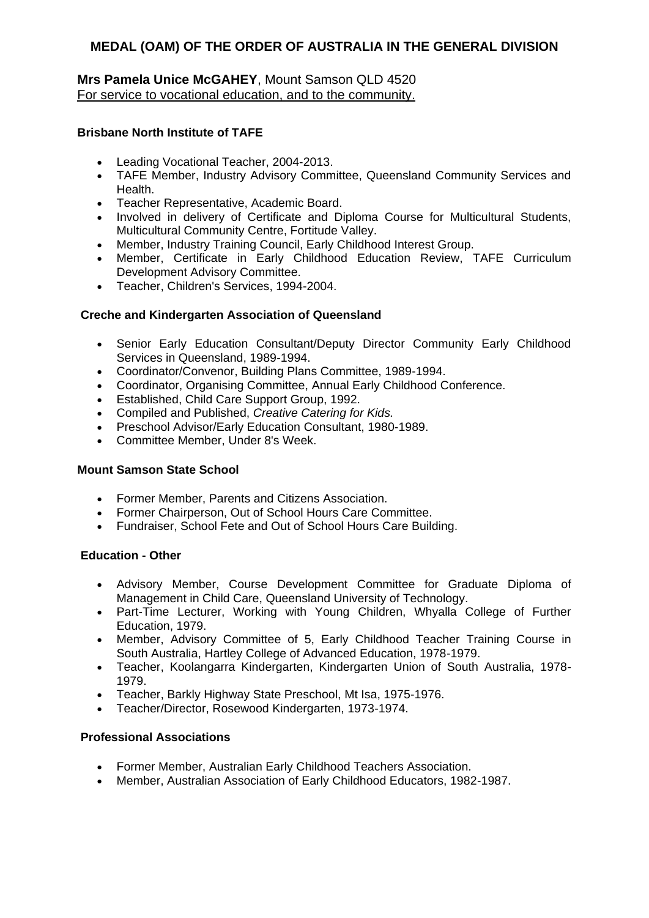# **Mrs Pamela Unice McGAHEY**, Mount Samson QLD 4520 For service to vocational education, and to the community.

# **Brisbane North Institute of TAFE**

- Leading Vocational Teacher, 2004-2013.
- TAFE Member, Industry Advisory Committee, Queensland Community Services and Health.
- Teacher Representative, Academic Board.
- Involved in delivery of Certificate and Diploma Course for Multicultural Students, Multicultural Community Centre, Fortitude Valley.
- Member, Industry Training Council, Early Childhood Interest Group.
- Member, Certificate in Early Childhood Education Review, TAFE Curriculum Development Advisory Committee.
- Teacher, Children's Services, 1994-2004.

### **Creche and Kindergarten Association of Queensland**

- Senior Early Education Consultant/Deputy Director Community Early Childhood Services in Queensland, 1989-1994.
- Coordinator/Convenor, Building Plans Committee, 1989-1994.
- Coordinator, Organising Committee, Annual Early Childhood Conference.
- Established, Child Care Support Group, 1992.
- Compiled and Published, *Creative Catering for Kids.*
- Preschool Advisor/Early Education Consultant, 1980-1989.
- Committee Member, Under 8's Week.

#### **Mount Samson State School**

- Former Member, Parents and Citizens Association.
- Former Chairperson, Out of School Hours Care Committee.
- Fundraiser, School Fete and Out of School Hours Care Building.

#### **Education - Other**

- Advisory Member, Course Development Committee for Graduate Diploma of Management in Child Care, Queensland University of Technology.
- Part-Time Lecturer, Working with Young Children, Whyalla College of Further Education, 1979.
- Member, Advisory Committee of 5, Early Childhood Teacher Training Course in South Australia, Hartley College of Advanced Education, 1978-1979.
- Teacher, Koolangarra Kindergarten, Kindergarten Union of South Australia, 1978- 1979.
- Teacher, Barkly Highway State Preschool, Mt Isa, 1975-1976.
- Teacher/Director, Rosewood Kindergarten, 1973-1974.

#### **Professional Associations**

- Former Member, Australian Early Childhood Teachers Association.
- Member, Australian Association of Early Childhood Educators, 1982-1987.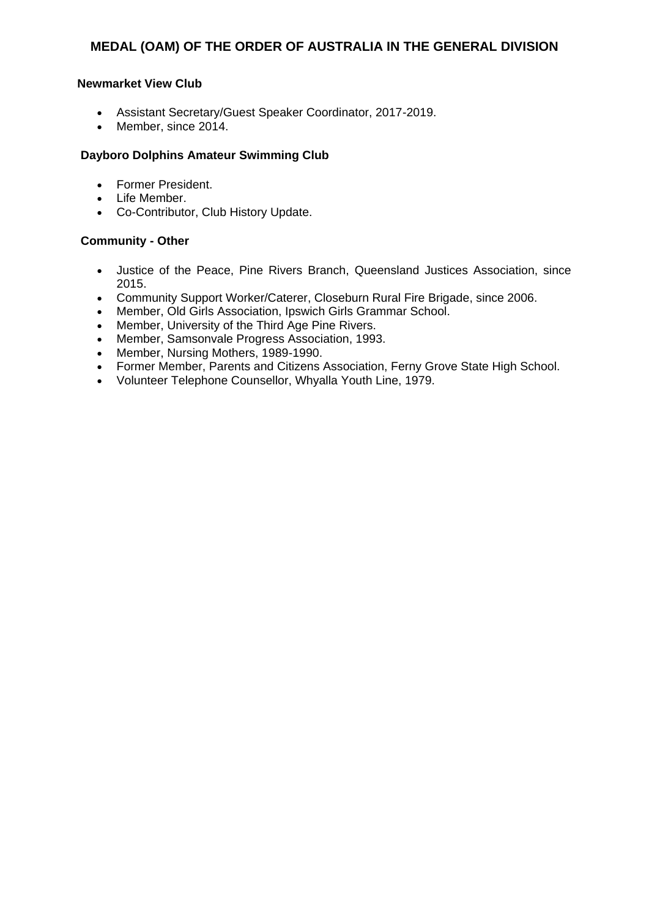#### **Newmarket View Club**

- Assistant Secretary/Guest Speaker Coordinator, 2017-2019.
- Member, since 2014.

### **Dayboro Dolphins Amateur Swimming Club**

- Former President.
- Life Member.
- Co-Contributor, Club History Update.

### **Community - Other**

- Justice of the Peace, Pine Rivers Branch, Queensland Justices Association, since 2015.
- Community Support Worker/Caterer, Closeburn Rural Fire Brigade, since 2006.
- Member, Old Girls Association, Ipswich Girls Grammar School.
- Member, University of the Third Age Pine Rivers.
- Member, Samsonvale Progress Association, 1993.
- Member, Nursing Mothers, 1989-1990.
- Former Member, Parents and Citizens Association, Ferny Grove State High School.
- Volunteer Telephone Counsellor, Whyalla Youth Line, 1979.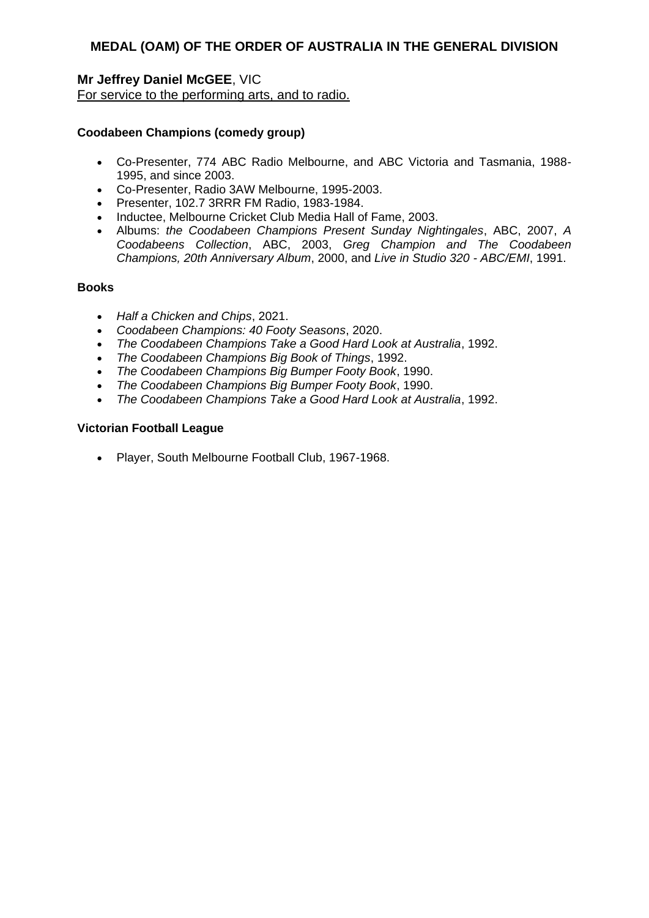# **Mr Jeffrey Daniel McGEE**, VIC

For service to the performing arts, and to radio.

### **Coodabeen Champions (comedy group)**

- Co-Presenter, 774 ABC Radio Melbourne, and ABC Victoria and Tasmania, 1988- 1995, and since 2003.
- Co-Presenter, Radio 3AW Melbourne, 1995-2003.
- Presenter, 102.7 3RRR FM Radio, 1983-1984.
- Inductee, Melbourne Cricket Club Media Hall of Fame, 2003.
- Albums: *the Coodabeen Champions Present Sunday Nightingales*, ABC, 2007, *A Coodabeens Collection*, ABC, 2003, *Greg Champion and The Coodabeen Champions, 20th Anniversary Album*, 2000, and *Live in Studio 320 - ABC/EMI*, 1991.

#### **Books**

- *Half a Chicken and Chips*, 2021.
- *Coodabeen Champions: 40 Footy Seasons*, 2020.
- *The Coodabeen Champions Take a Good Hard Look at Australia*, 1992.
- *The Coodabeen Champions Big Book of Things*, 1992.
- *The Coodabeen Champions Big Bumper Footy Book*, 1990.
- *The Coodabeen Champions Big Bumper Footy Book*, 1990.
- *The Coodabeen Champions Take a Good Hard Look at Australia*, 1992.

#### **Victorian Football League**

Player, South Melbourne Football Club, 1967-1968.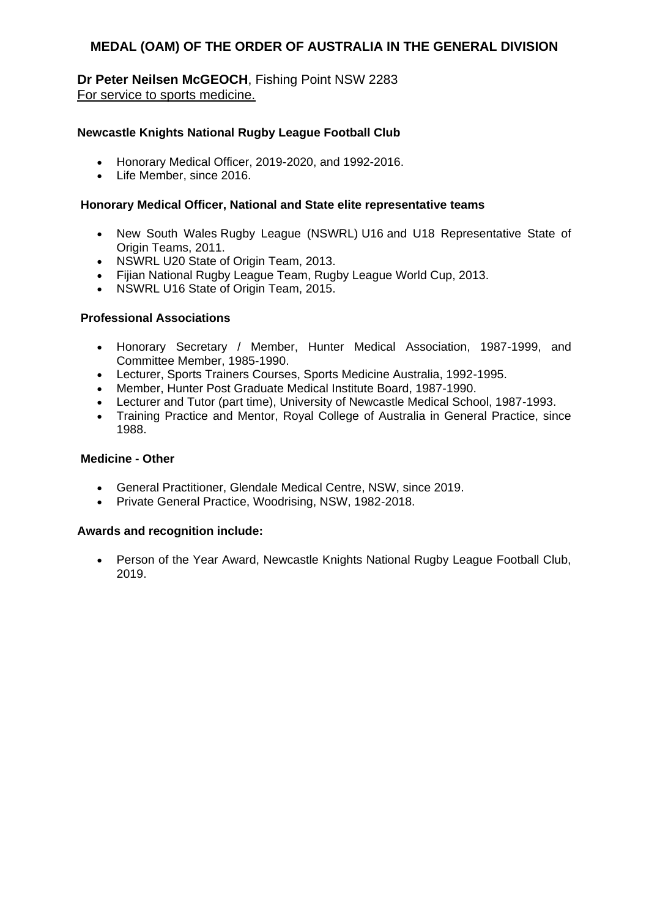**Dr Peter Neilsen McGEOCH**, Fishing Point NSW 2283 For service to sports medicine.

### **Newcastle Knights National Rugby League Football Club**

- Honorary Medical Officer, 2019-2020, and 1992-2016.
- Life Member, since 2016.

#### **Honorary Medical Officer, National and State elite representative teams**

- New South Wales Rugby League (NSWRL) U16 and U18 Representative State of Origin Teams, 2011.
- NSWRL U20 State of Origin Team, 2013.
- Fijian National Rugby League Team, Rugby League World Cup, 2013.
- NSWRL U16 State of Origin Team, 2015.

#### **Professional Associations**

- Honorary Secretary / Member, Hunter Medical Association, 1987-1999, and Committee Member, 1985-1990.
- Lecturer, Sports Trainers Courses, Sports Medicine Australia, 1992-1995.
- Member, Hunter Post Graduate Medical Institute Board, 1987-1990.
- Lecturer and Tutor (part time), University of Newcastle Medical School, 1987-1993.
- Training Practice and Mentor, Royal College of Australia in General Practice, since 1988.

#### **Medicine - Other**

- General Practitioner, Glendale Medical Centre, NSW, since 2019.
- Private General Practice, Woodrising, NSW, 1982-2018.

#### **Awards and recognition include:**

 Person of the Year Award, Newcastle Knights National Rugby League Football Club, 2019.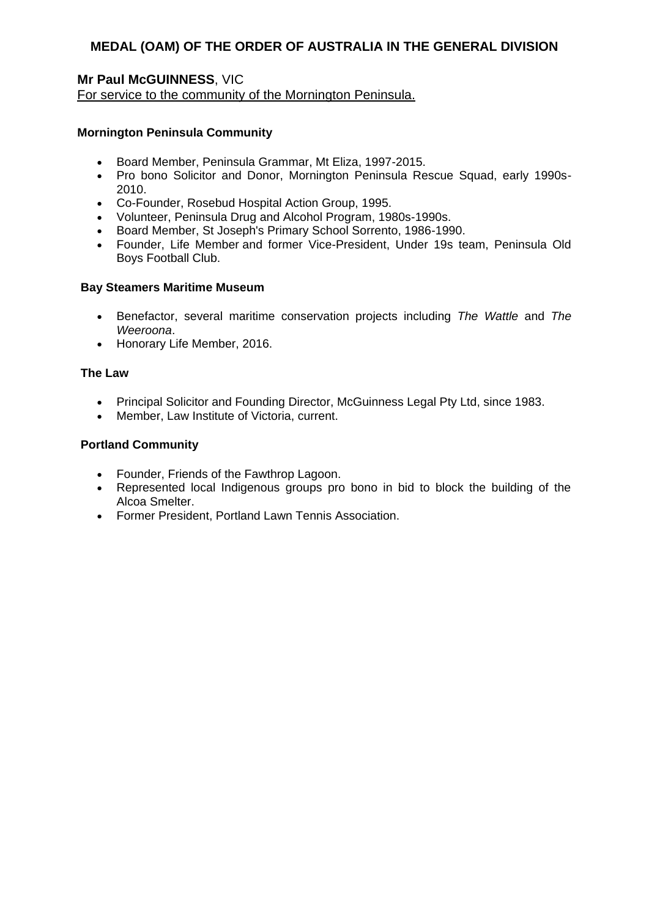# **Mr Paul McGUINNESS**, VIC

For service to the community of the Mornington Peninsula.

### **Mornington Peninsula Community**

- Board Member, Peninsula Grammar, Mt Eliza, 1997-2015.
- Pro bono Solicitor and Donor, Mornington Peninsula Rescue Squad, early 1990s-2010.
- Co-Founder, Rosebud Hospital Action Group, 1995.
- Volunteer, Peninsula Drug and Alcohol Program, 1980s-1990s.
- Board Member, St Joseph's Primary School Sorrento, 1986-1990.
- Founder, Life Member and former Vice-President, Under 19s team, Peninsula Old Boys Football Club.

#### **Bay Steamers Maritime Museum**

- Benefactor, several maritime conservation projects including *The Wattle* and *The Weeroona*.
- Honorary Life Member, 2016.

#### **The Law**

- Principal Solicitor and Founding Director, McGuinness Legal Pty Ltd, since 1983.
- Member, Law Institute of Victoria, current.

#### **Portland Community**

- Founder, Friends of the Fawthrop Lagoon.
- Represented local Indigenous groups pro bono in bid to block the building of the Alcoa Smelter.
- Former President, Portland Lawn Tennis Association.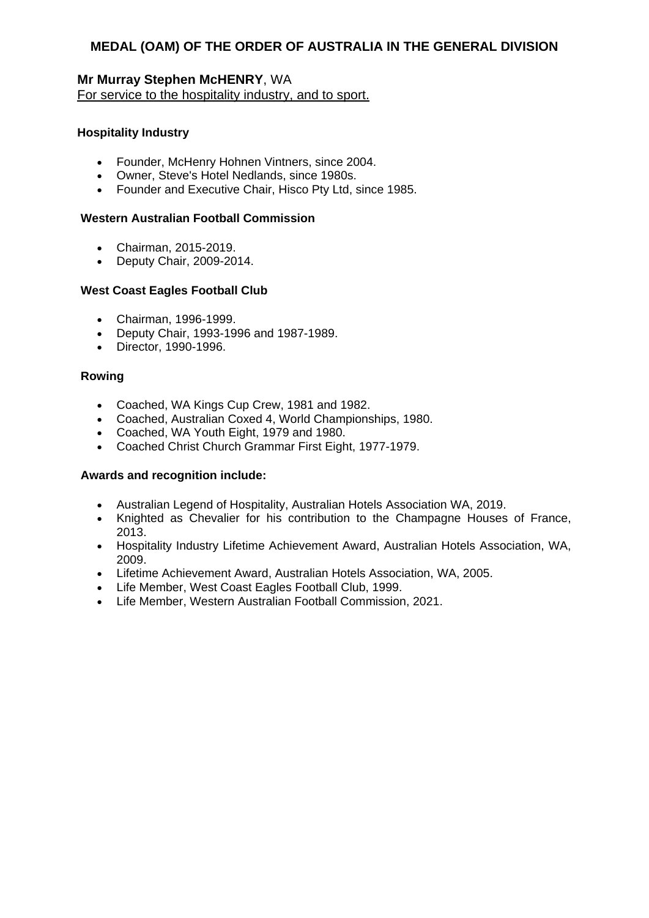# **Mr Murray Stephen McHENRY**, WA For service to the hospitality industry, and to sport.

#### **Hospitality Industry**

- Founder, McHenry Hohnen Vintners, since 2004.
- Owner, Steve's Hotel Nedlands, since 1980s.
- Founder and Executive Chair, Hisco Pty Ltd, since 1985.

#### **Western Australian Football Commission**

- Chairman, 2015-2019.
- Deputy Chair, 2009-2014.

#### **West Coast Eagles Football Club**

- Chairman, 1996-1999.
- Deputy Chair, 1993-1996 and 1987-1989.
- Director, 1990-1996.

#### **Rowing**

- Coached, WA Kings Cup Crew, 1981 and 1982.
- Coached, Australian Coxed 4, World Championships, 1980.
- Coached, WA Youth Eight, 1979 and 1980.
- Coached Christ Church Grammar First Eight, 1977-1979.

- Australian Legend of Hospitality, Australian Hotels Association WA, 2019.
- Knighted as Chevalier for his contribution to the Champagne Houses of France, 2013.
- Hospitality Industry Lifetime Achievement Award, Australian Hotels Association, WA, 2009.
- Lifetime Achievement Award, Australian Hotels Association, WA, 2005.
- Life Member, West Coast Eagles Football Club, 1999.
- Life Member, Western Australian Football Commission, 2021.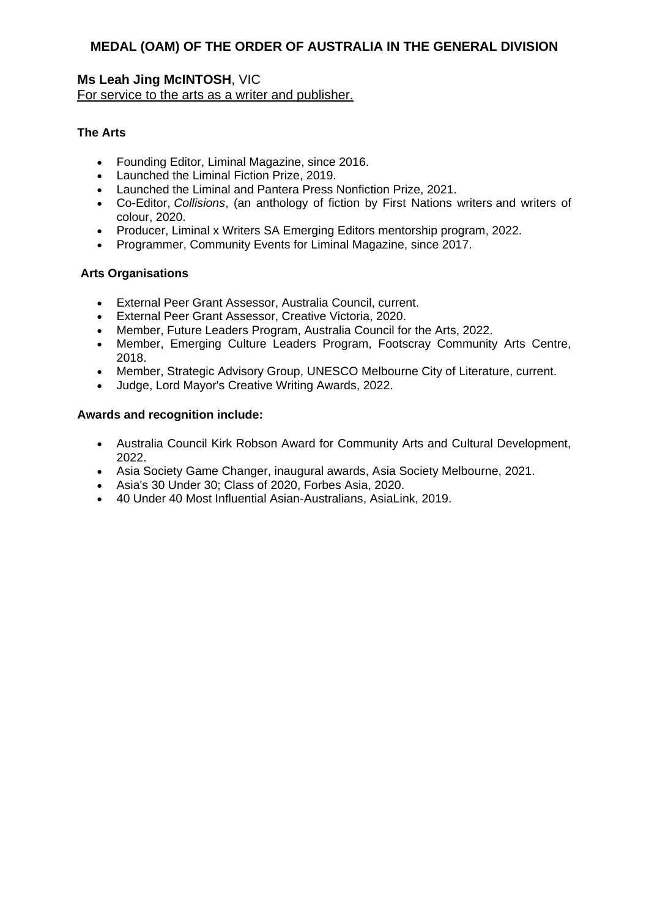### **Ms Leah Jing McINTOSH**, VIC For service to the arts as a writer and publisher.

### **The Arts**

- Founding Editor, Liminal Magazine, since 2016.
- Launched the Liminal Fiction Prize, 2019.
- Launched the Liminal and Pantera Press Nonfiction Prize, 2021.
- Co-Editor, *Collisions*, (an anthology of fiction by First Nations writers and writers of colour, 2020.
- Producer, Liminal x Writers SA Emerging Editors mentorship program, 2022.
- Programmer, Community Events for Liminal Magazine, since 2017.

#### **Arts Organisations**

- External Peer Grant Assessor, Australia Council, current.
- External Peer Grant Assessor, Creative Victoria, 2020.
- Member, Future Leaders Program, Australia Council for the Arts, 2022.
- Member, Emerging Culture Leaders Program, Footscray Community Arts Centre, 2018.
- Member, Strategic Advisory Group, UNESCO Melbourne City of Literature, current.
- Judge, Lord Mayor's Creative Writing Awards, 2022.

- Australia Council Kirk Robson Award for Community Arts and Cultural Development, 2022.
- Asia Society Game Changer, inaugural awards, Asia Society Melbourne, 2021.
- Asia's 30 Under 30; Class of 2020, Forbes Asia, 2020.
- 40 Under 40 Most Influential Asian-Australians, AsiaLink, 2019.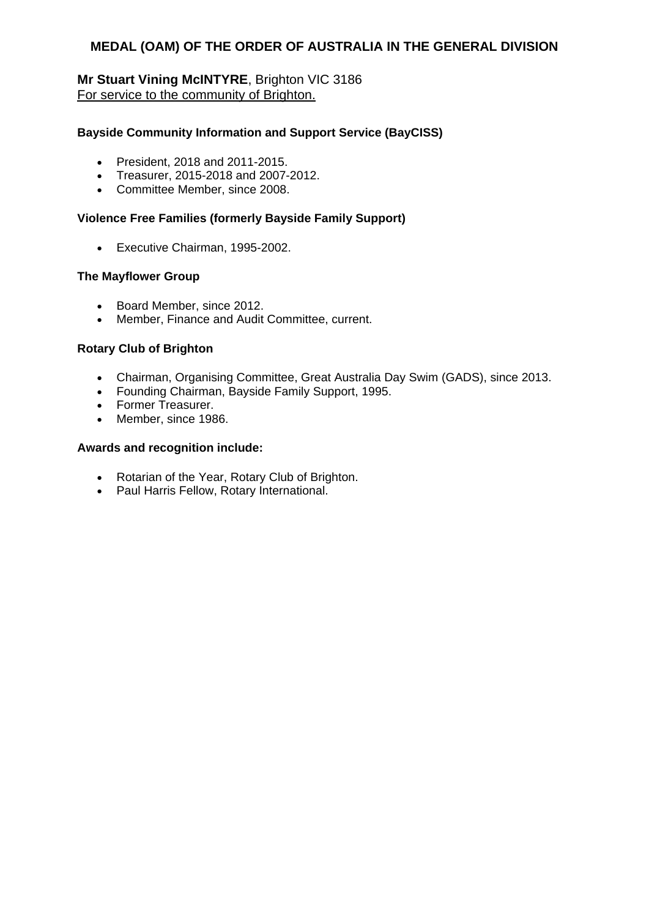# **Mr Stuart Vining McINTYRE**, Brighton VIC 3186 For service to the community of Brighton.

#### **Bayside Community Information and Support Service (BayCISS)**

- President, 2018 and 2011-2015.
- Treasurer, 2015-2018 and 2007-2012.
- Committee Member, since 2008.

#### **Violence Free Families (formerly Bayside Family Support)**

Executive Chairman, 1995-2002.

#### **The Mayflower Group**

- Board Member, since 2012.
- Member, Finance and Audit Committee, current.

#### **Rotary Club of Brighton**

- Chairman, Organising Committee, Great Australia Day Swim (GADS), since 2013.
- Founding Chairman, Bayside Family Support, 1995.
- Former Treasurer.
- Member, since 1986.

- Rotarian of the Year, Rotary Club of Brighton.
- Paul Harris Fellow, Rotary International.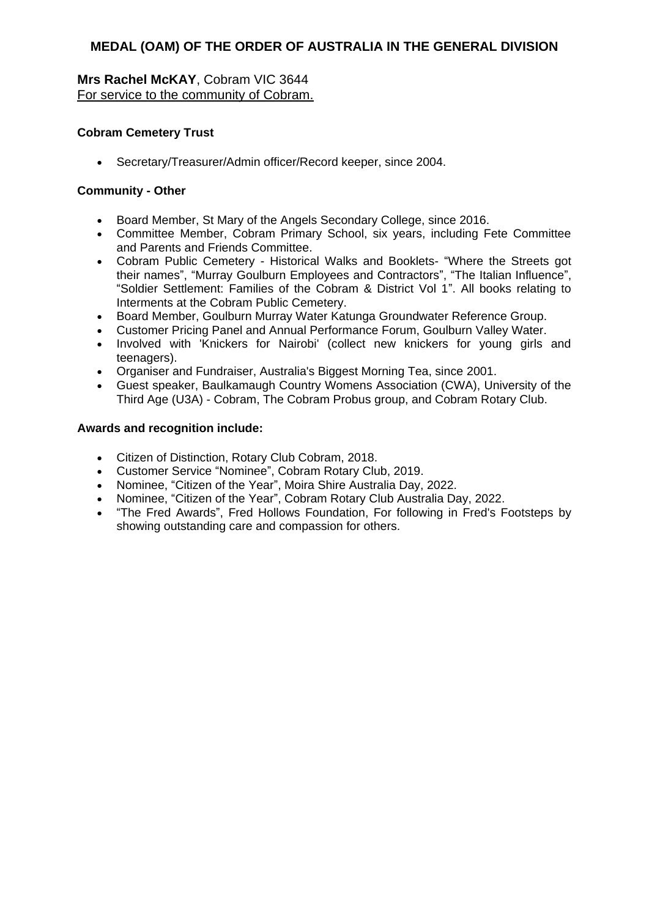# **Mrs Rachel McKAY**, Cobram VIC 3644 For service to the community of Cobram.

### **Cobram Cemetery Trust**

Secretary/Treasurer/Admin officer/Record keeper, since 2004.

### **Community - Other**

- Board Member, St Mary of the Angels Secondary College, since 2016.
- Committee Member, Cobram Primary School, six years, including Fete Committee and Parents and Friends Committee.
- Cobram Public Cemetery Historical Walks and Booklets- "Where the Streets got their names", "Murray Goulburn Employees and Contractors", "The Italian Influence", "Soldier Settlement: Families of the Cobram & District Vol 1". All books relating to Interments at the Cobram Public Cemetery.
- Board Member, Goulburn Murray Water Katunga Groundwater Reference Group.
- Customer Pricing Panel and Annual Performance Forum, Goulburn Valley Water.
- Involved with 'Knickers for Nairobi' (collect new knickers for young girls and teenagers).
- Organiser and Fundraiser, Australia's Biggest Morning Tea, since 2001.
- Guest speaker, Baulkamaugh Country Womens Association (CWA), University of the Third Age (U3A) - Cobram, The Cobram Probus group, and Cobram Rotary Club.

- Citizen of Distinction, Rotary Club Cobram, 2018.
- Customer Service "Nominee", Cobram Rotary Club, 2019.
- Nominee, "Citizen of the Year", Moira Shire Australia Day, 2022.
- Nominee, "Citizen of the Year", Cobram Rotary Club Australia Day, 2022.
- "The Fred Awards", Fred Hollows Foundation, For following in Fred's Footsteps by showing outstanding care and compassion for others.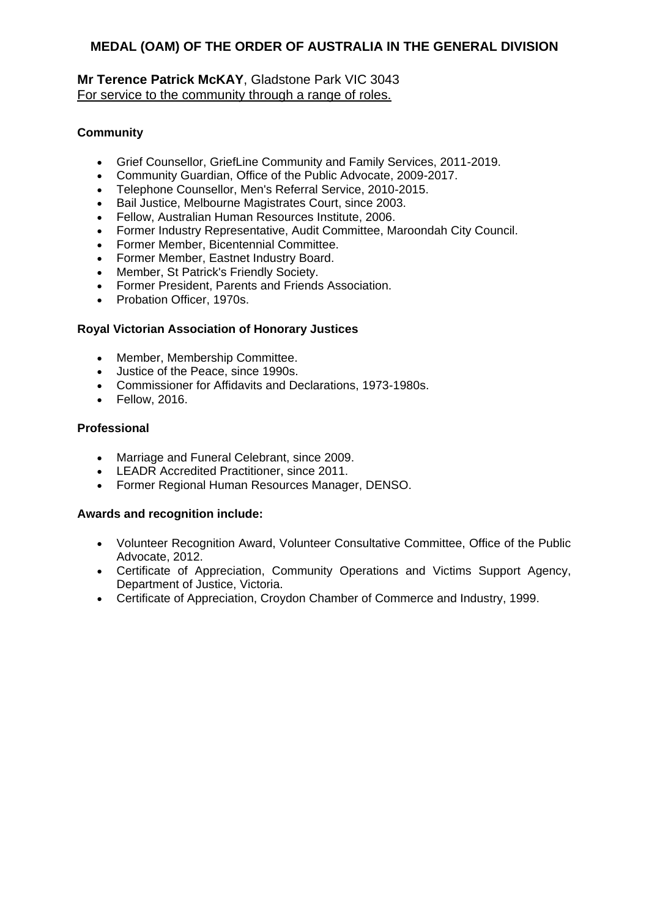# **Mr Terence Patrick McKAY**, Gladstone Park VIC 3043 For service to the community through a range of roles.

# **Community**

- Grief Counsellor, GriefLine Community and Family Services, 2011-2019.
- Community Guardian, Office of the Public Advocate, 2009-2017.
- Telephone Counsellor, Men's Referral Service, 2010-2015.
- Bail Justice, Melbourne Magistrates Court, since 2003.
- Fellow, Australian Human Resources Institute, 2006.
- Former Industry Representative, Audit Committee, Maroondah City Council.
- Former Member, Bicentennial Committee.
- Former Member, Eastnet Industry Board.
- Member, St Patrick's Friendly Society.
- Former President, Parents and Friends Association.
- Probation Officer, 1970s.

# **Royal Victorian Association of Honorary Justices**

- Member, Membership Committee.
- Justice of the Peace, since 1990s.
- Commissioner for Affidavits and Declarations, 1973-1980s.
- Fellow, 2016.

### **Professional**

- Marriage and Funeral Celebrant, since 2009.
- **LEADR Accredited Practitioner, since 2011.**
- Former Regional Human Resources Manager, DENSO.

- Volunteer Recognition Award, Volunteer Consultative Committee, Office of the Public Advocate, 2012.
- Certificate of Appreciation, Community Operations and Victims Support Agency, Department of Justice, Victoria.
- Certificate of Appreciation, Croydon Chamber of Commerce and Industry, 1999.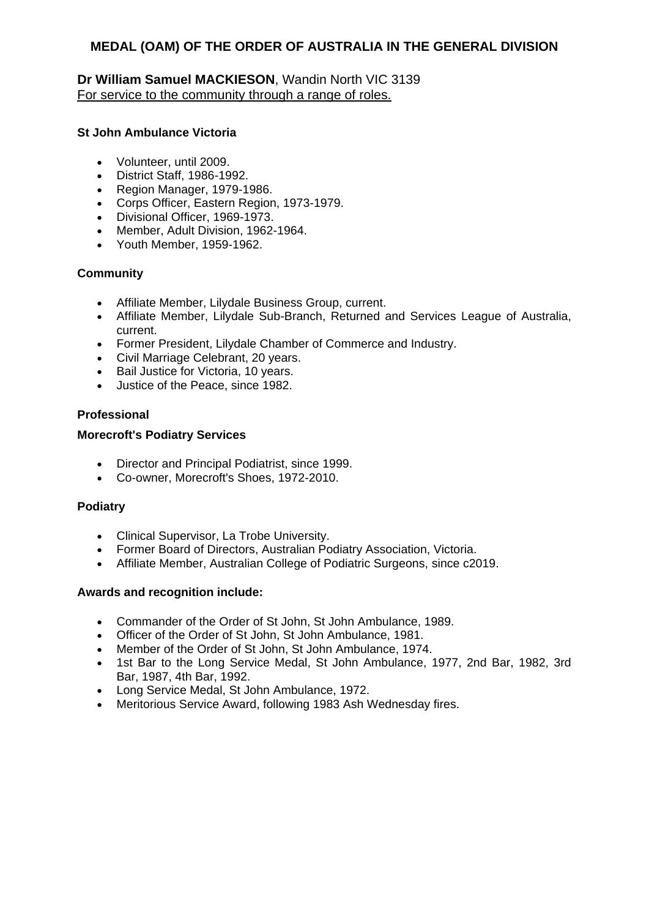# **Dr William Samuel MACKIESON**, Wandin North VIC 3139 For service to the community through a range of roles.

### **St John Ambulance Victoria**

- Volunteer, until 2009.
- District Staff, 1986-1992.
- Region Manager, 1979-1986.
- Corps Officer, Eastern Region, 1973-1979.
- Divisional Officer, 1969-1973.
- Member, Adult Division, 1962-1964.
- Youth Member, 1959-1962.

#### **Community**

- Affiliate Member, Lilydale Business Group, current.
- Affiliate Member, Lilydale Sub-Branch, Returned and Services League of Australia, current.
- Former President, Lilydale Chamber of Commerce and Industry.
- Civil Marriage Celebrant, 20 years.
- Bail Justice for Victoria, 10 years.
- Justice of the Peace, since 1982.

#### **Professional**

#### **Morecroft's Podiatry Services**

- Director and Principal Podiatrist, since 1999.
- Co-owner, Morecroft's Shoes, 1972-2010.

#### **Podiatry**

- Clinical Supervisor, La Trobe University.
- Former Board of Directors, Australian Podiatry Association, Victoria.
- Affiliate Member, Australian College of Podiatric Surgeons, since c2019.

- Commander of the Order of St John, St John Ambulance, 1989.
- Officer of the Order of St John, St John Ambulance, 1981.
- Member of the Order of St John, St John Ambulance, 1974.
- 1st Bar to the Long Service Medal, St John Ambulance, 1977, 2nd Bar, 1982, 3rd Bar, 1987, 4th Bar, 1992.
- Long Service Medal, St John Ambulance, 1972.
- Meritorious Service Award, following 1983 Ash Wednesday fires.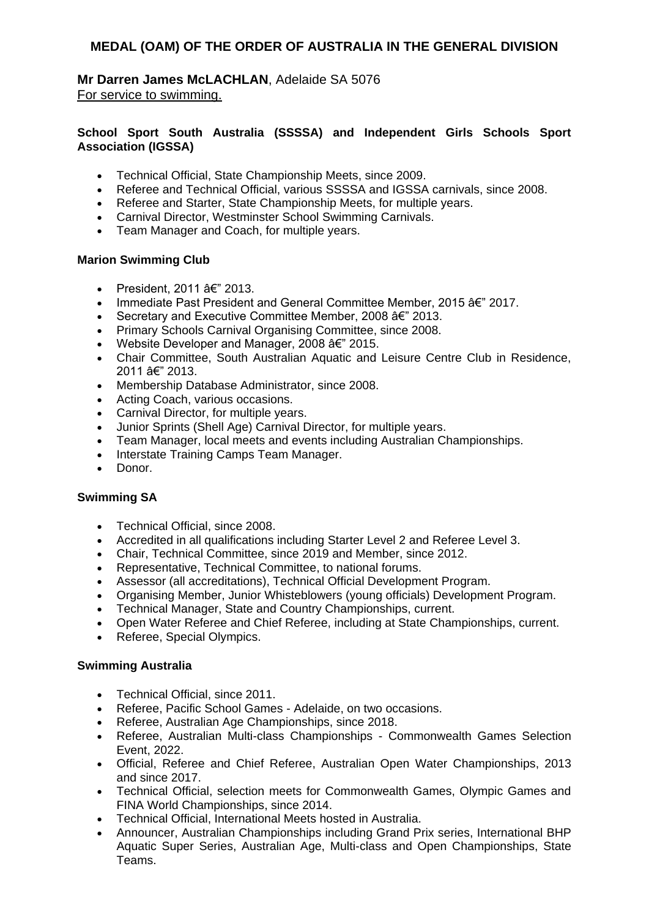**Mr Darren James McLACHLAN**, Adelaide SA 5076 For service to swimming.

#### **School Sport South Australia (SSSSA) and Independent Girls Schools Sport Association (IGSSA)**

- Technical Official, State Championship Meets, since 2009.
- Referee and Technical Official, various SSSSA and IGSSA carnivals, since 2008.
- Referee and Starter, State Championship Meets, for multiple years.
- Carnival Director, Westminster School Swimming Carnivals.
- Team Manager and Coach, for multiple years.

#### **Marion Swimming Club**

- President, 2011  $\hat{a} \in \mathbb{Z}$  2013.
- Immediate Past President and General Committee Member, 2015  $\hat{a}\hat{\epsilon}$ " 2017.
- Secretary and Executive Committee Member, 2008  $âf$ <sup>"</sup> 2013.
- Primary Schools Carnival Organising Committee, since 2008.
- Website Developer and Manager, 2008  $a \in \mathbb{Z}$  2015.
- Chair Committee, South Australian Aquatic and Leisure Centre Club in Residence, 2011 â€" 2013.
- Membership Database Administrator, since 2008.
- Acting Coach, various occasions.
- Carnival Director, for multiple years.
- Junior Sprints (Shell Age) Carnival Director, for multiple years.
- Team Manager, local meets and events including Australian Championships.
- Interstate Training Camps Team Manager.
- Donor.

### **Swimming SA**

- Technical Official, since 2008.
- Accredited in all qualifications including Starter Level 2 and Referee Level 3.
- Chair, Technical Committee, since 2019 and Member, since 2012.
- Representative, Technical Committee, to national forums.
- Assessor (all accreditations), Technical Official Development Program.
- Organising Member, Junior Whisteblowers (young officials) Development Program.
- Technical Manager, State and Country Championships, current.
- Open Water Referee and Chief Referee, including at State Championships, current.
- Referee, Special Olympics.

#### **Swimming Australia**

- Technical Official, since 2011.
- Referee, Pacific School Games Adelaide, on two occasions.
- Referee, Australian Age Championships, since 2018.
- Referee, Australian Multi-class Championships Commonwealth Games Selection Event, 2022.
- Official, Referee and Chief Referee, Australian Open Water Championships, 2013 and since 2017.
- Technical Official, selection meets for Commonwealth Games, Olympic Games and FINA World Championships, since 2014.
- Technical Official, International Meets hosted in Australia.
- Announcer, Australian Championships including Grand Prix series, International BHP Aquatic Super Series, Australian Age, Multi-class and Open Championships, State Teams.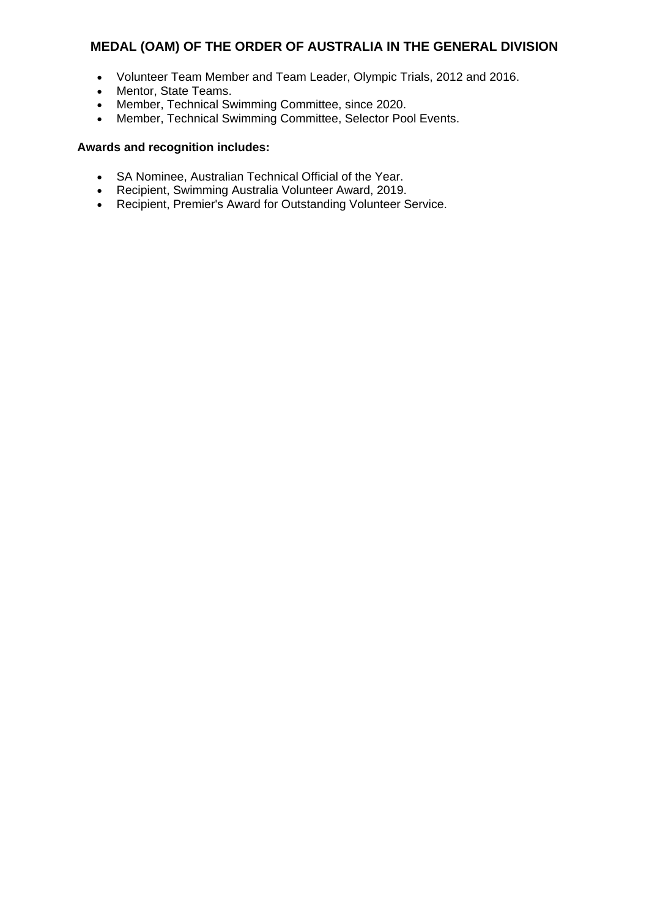- Volunteer Team Member and Team Leader, Olympic Trials, 2012 and 2016.
- Mentor, State Teams.
- Member, Technical Swimming Committee, since 2020.
- Member, Technical Swimming Committee, Selector Pool Events.

- SA Nominee, Australian Technical Official of the Year.
- Recipient, Swimming Australia Volunteer Award, 2019.
- Recipient, Premier's Award for Outstanding Volunteer Service.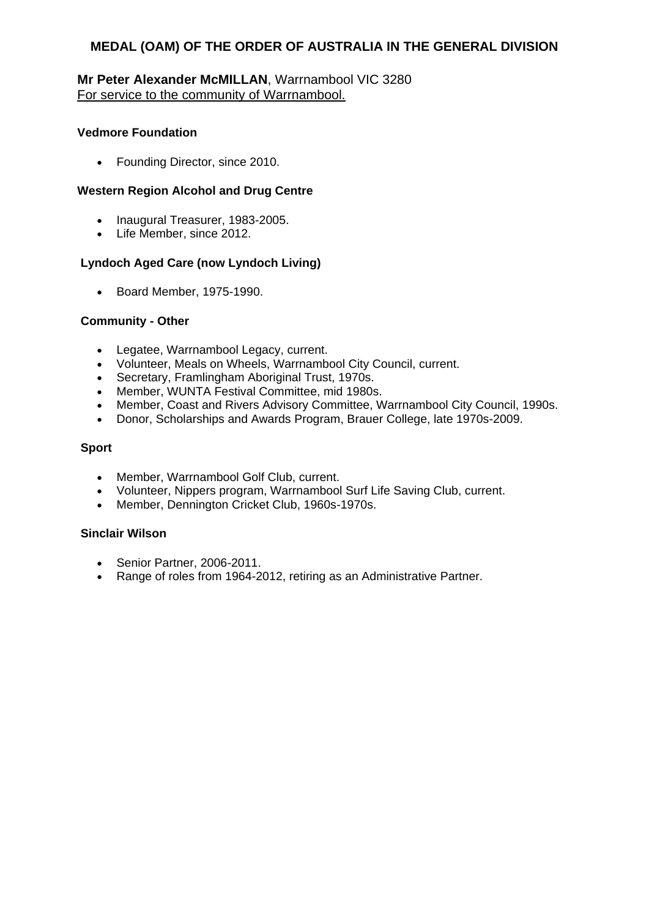### **Mr Peter Alexander McMILLAN**, Warrnambool VIC 3280 For service to the community of Warrnambool.

### **Vedmore Foundation**

• Founding Director, since 2010.

### **Western Region Alcohol and Drug Centre**

- Inaugural Treasurer, 1983-2005.
- Life Member, since 2012.

### **Lyndoch Aged Care (now Lyndoch Living)**

• Board Member, 1975-1990.

#### **Community - Other**

- Legatee, Warrnambool Legacy, current.
- Volunteer, Meals on Wheels, Warrnambool City Council, current.
- Secretary, Framlingham Aboriginal Trust, 1970s.
- Member, WUNTA Festival Committee, mid 1980s.
- Member, Coast and Rivers Advisory Committee, Warrnambool City Council, 1990s.
- Donor, Scholarships and Awards Program, Brauer College, late 1970s-2009.

### **Sport**

- Member, Warrnambool Golf Club, current.
- Volunteer, Nippers program, Warrnambool Surf Life Saving Club, current.
- Member, Dennington Cricket Club, 1960s-1970s.

#### **Sinclair Wilson**

- Senior Partner, 2006-2011.
- Range of roles from 1964-2012, retiring as an Administrative Partner.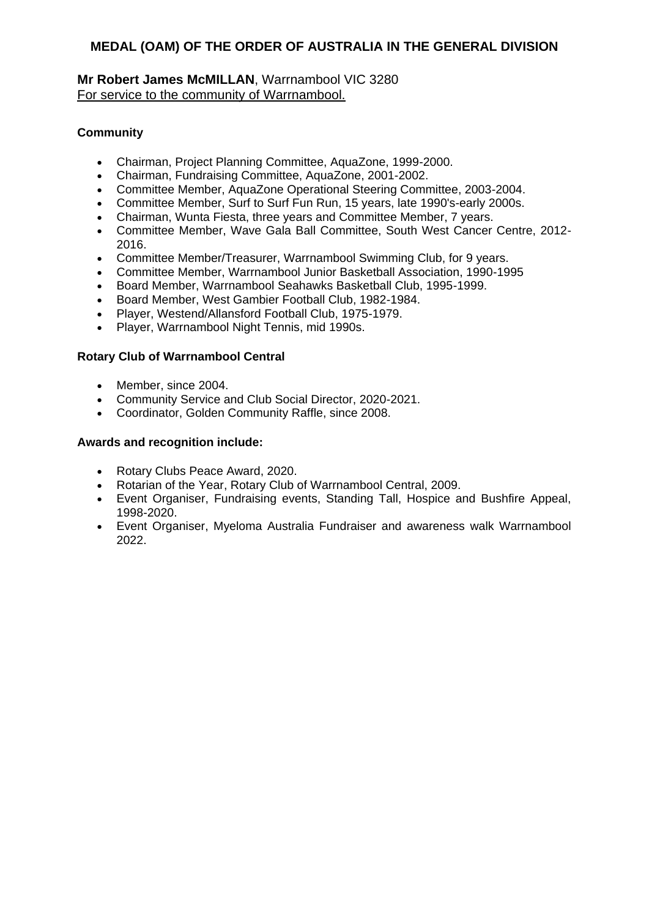# **Mr Robert James McMILLAN**, Warrnambool VIC 3280 For service to the community of Warrnambool.

# **Community**

- Chairman, Project Planning Committee, AquaZone, 1999-2000.
- Chairman, Fundraising Committee, AquaZone, 2001-2002.
- Committee Member, AquaZone Operational Steering Committee, 2003-2004.
- Committee Member, Surf to Surf Fun Run, 15 years, late 1990's-early 2000s.
- Chairman, Wunta Fiesta, three years and Committee Member, 7 years.
- Committee Member, Wave Gala Ball Committee, South West Cancer Centre, 2012- 2016.
- Committee Member/Treasurer, Warrnambool Swimming Club, for 9 years.
- Committee Member, Warrnambool Junior Basketball Association, 1990-1995
- Board Member, Warrnambool Seahawks Basketball Club, 1995-1999.
- Board Member, West Gambier Football Club, 1982-1984.
- Player, Westend/Allansford Football Club, 1975-1979.
- Player, Warrnambool Night Tennis, mid 1990s.

### **Rotary Club of Warrnambool Central**

- Member, since 2004.
- Community Service and Club Social Director, 2020-2021.
- Coordinator, Golden Community Raffle, since 2008.

- Rotary Clubs Peace Award, 2020.
- Rotarian of the Year, Rotary Club of Warrnambool Central, 2009.
- Event Organiser, Fundraising events, Standing Tall, Hospice and Bushfire Appeal, 1998-2020.
- Event Organiser, Myeloma Australia Fundraiser and awareness walk Warrnambool 2022.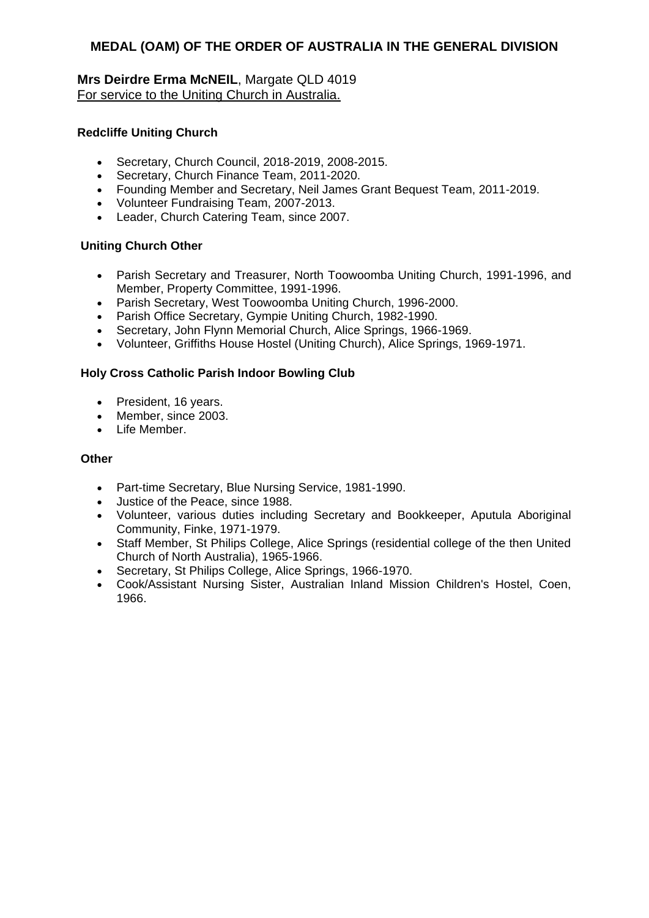# **Mrs Deirdre Erma McNEIL**, Margate QLD 4019 For service to the Uniting Church in Australia.

### **Redcliffe Uniting Church**

- Secretary, Church Council, 2018-2019, 2008-2015.
- Secretary, Church Finance Team, 2011-2020.
- Founding Member and Secretary, Neil James Grant Bequest Team, 2011-2019.
- Volunteer Fundraising Team, 2007-2013.
- Leader, Church Catering Team, since 2007.

### **Uniting Church Other**

- Parish Secretary and Treasurer, North Toowoomba Uniting Church, 1991-1996, and Member, Property Committee, 1991-1996.
- Parish Secretary, West Toowoomba Uniting Church, 1996-2000.
- Parish Office Secretary, Gympie Uniting Church, 1982-1990.
- Secretary, John Flynn Memorial Church, Alice Springs, 1966-1969.
- Volunteer, Griffiths House Hostel (Uniting Church), Alice Springs, 1969-1971.

### **Holy Cross Catholic Parish Indoor Bowling Club**

- President, 16 years.
- Member, since 2003.
- Life Member

#### **Other**

- Part-time Secretary, Blue Nursing Service, 1981-1990.
- Justice of the Peace, since 1988.
- Volunteer, various duties including Secretary and Bookkeeper, Aputula Aboriginal Community, Finke, 1971-1979.
- Staff Member, St Philips College, Alice Springs (residential college of the then United Church of North Australia), 1965-1966.
- Secretary, St Philips College, Alice Springs, 1966-1970.
- Cook/Assistant Nursing Sister, Australian Inland Mission Children's Hostel, Coen, 1966.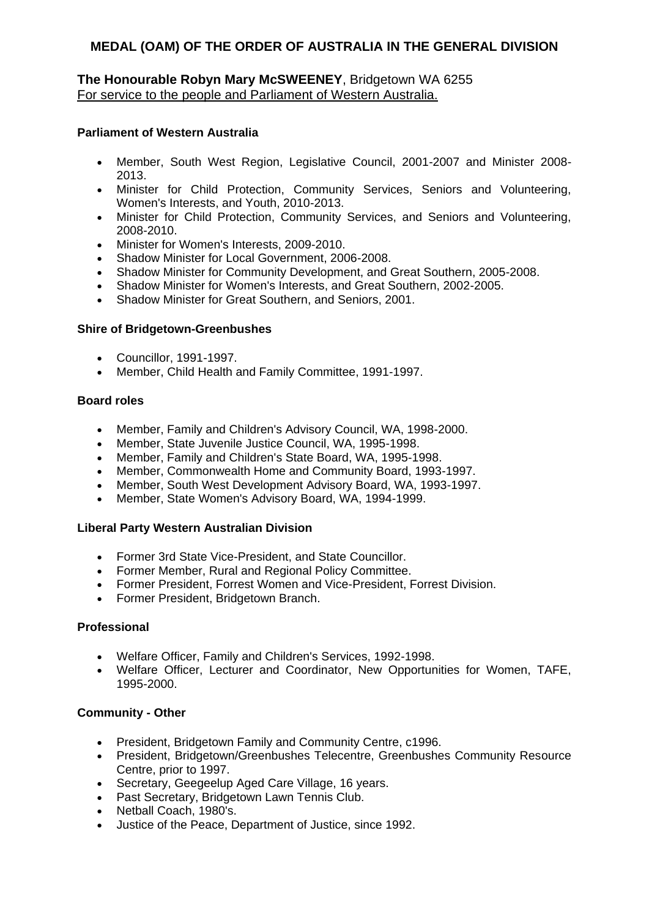### **The Honourable Robyn Mary McSWEENEY**, Bridgetown WA 6255 For service to the people and Parliament of Western Australia.

#### **Parliament of Western Australia**

- Member, South West Region, Legislative Council, 2001-2007 and Minister 2008- 2013.
- Minister for Child Protection, Community Services, Seniors and Volunteering, Women's Interests, and Youth, 2010-2013.
- Minister for Child Protection, Community Services, and Seniors and Volunteering, 2008-2010.
- Minister for Women's Interests, 2009-2010.
- Shadow Minister for Local Government, 2006-2008.
- Shadow Minister for Community Development, and Great Southern, 2005-2008.
- Shadow Minister for Women's Interests, and Great Southern, 2002-2005.
- Shadow Minister for Great Southern, and Seniors, 2001.

#### **Shire of Bridgetown-Greenbushes**

- Councillor, 1991-1997.
- Member, Child Health and Family Committee, 1991-1997.

### **Board roles**

- Member, Family and Children's Advisory Council, WA, 1998-2000.
- Member, State Juvenile Justice Council, WA, 1995-1998.
- Member, Family and Children's State Board, WA, 1995-1998.
- Member, Commonwealth Home and Community Board, 1993-1997.
- Member, South West Development Advisory Board, WA, 1993-1997.
- Member, State Women's Advisory Board, WA, 1994-1999.

#### **Liberal Party Western Australian Division**

- Former 3rd State Vice-President, and State Councillor.
- Former Member, Rural and Regional Policy Committee.
- Former President, Forrest Women and Vice-President, Forrest Division.
- Former President, Bridgetown Branch.

### **Professional**

- Welfare Officer, Family and Children's Services, 1992-1998.
- Welfare Officer, Lecturer and Coordinator, New Opportunities for Women, TAFE, 1995-2000.

#### **Community - Other**

- President, Bridgetown Family and Community Centre, c1996.
- President, Bridgetown/Greenbushes Telecentre, Greenbushes Community Resource Centre, prior to 1997.
- Secretary, Geegeelup Aged Care Village, 16 years.
- Past Secretary, Bridgetown Lawn Tennis Club.
- Netball Coach, 1980's.
- Justice of the Peace, Department of Justice, since 1992.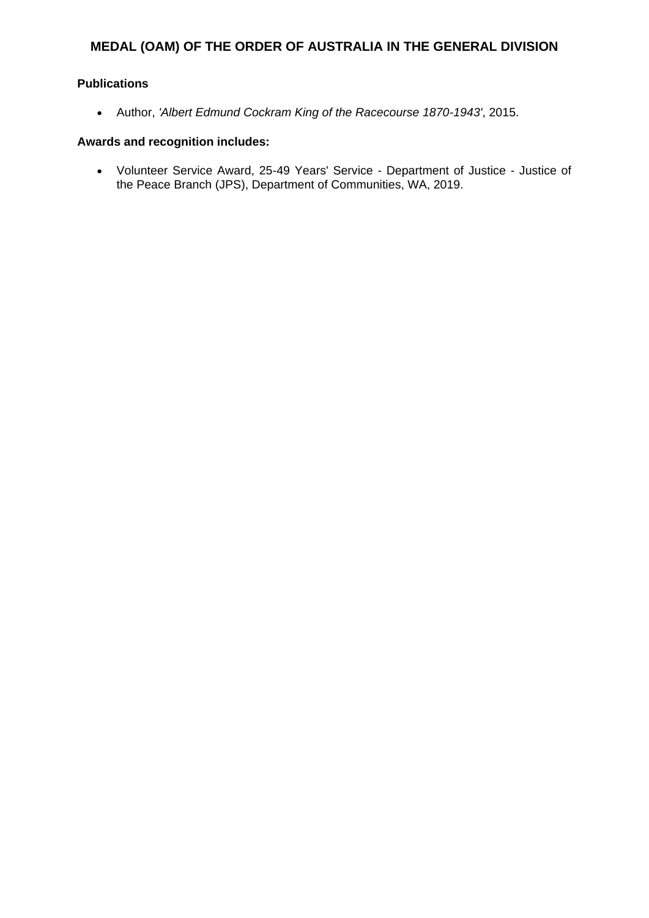### **Publications**

Author, *'Albert Edmund Cockram King of the Racecourse 1870-1943'*, 2015.

#### **Awards and recognition includes:**

 Volunteer Service Award, 25-49 Years' Service - Department of Justice - Justice of the Peace Branch (JPS), Department of Communities, WA, 2019.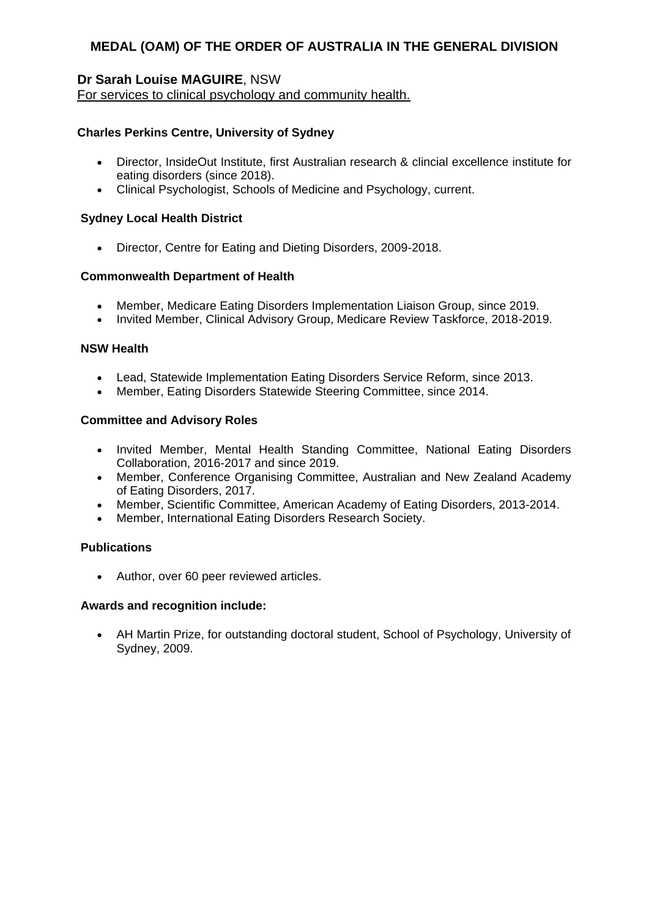# **Dr Sarah Louise MAGUIRE**, NSW

For services to clinical psychology and community health.

# **Charles Perkins Centre, University of Sydney**

- Director, InsideOut Institute, first Australian research & clincial excellence institute for eating disorders (since 2018).
- Clinical Psychologist, Schools of Medicine and Psychology, current.

### **Sydney Local Health District**

Director, Centre for Eating and Dieting Disorders, 2009-2018.

### **Commonwealth Department of Health**

- Member, Medicare Eating Disorders Implementation Liaison Group, since 2019.
- Invited Member, Clinical Advisory Group, Medicare Review Taskforce, 2018-2019.

### **NSW Health**

- Lead, Statewide Implementation Eating Disorders Service Reform, since 2013.
- Member, Eating Disorders Statewide Steering Committee, since 2014.

#### **Committee and Advisory Roles**

- Invited Member, Mental Health Standing Committee, National Eating Disorders Collaboration, 2016-2017 and since 2019.
- Member, Conference Organising Committee, Australian and New Zealand Academy of Eating Disorders, 2017.
- Member, Scientific Committee, American Academy of Eating Disorders, 2013-2014.
- Member, International Eating Disorders Research Society.

#### **Publications**

Author, over 60 peer reviewed articles.

#### **Awards and recognition include:**

 AH Martin Prize, for outstanding doctoral student, School of Psychology, University of Sydney, 2009.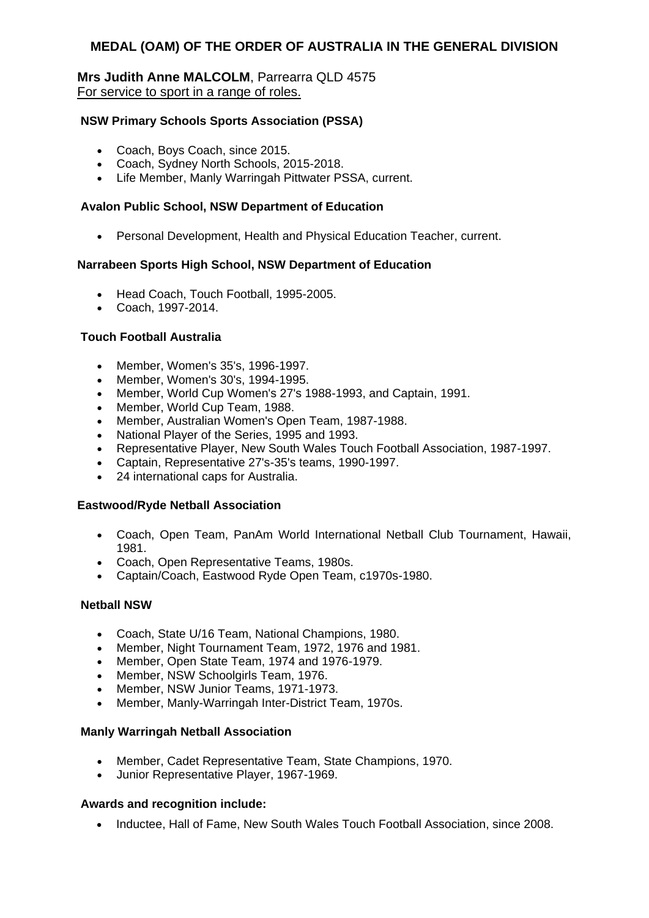### **Mrs Judith Anne MALCOLM**, Parrearra QLD 4575 For service to sport in a range of roles.

#### **NSW Primary Schools Sports Association (PSSA)**

- Coach, Boys Coach, since 2015.
- Coach, Sydney North Schools, 2015-2018.
- Life Member, Manly Warringah Pittwater PSSA, current.

#### **Avalon Public School, NSW Department of Education**

Personal Development, Health and Physical Education Teacher, current.

#### **Narrabeen Sports High School, NSW Department of Education**

- Head Coach, Touch Football, 1995-2005.
- Coach, 1997-2014.

#### **Touch Football Australia**

- Member, Women's 35's, 1996-1997.
- Member, Women's 30's, 1994-1995.
- Member, World Cup Women's 27's 1988-1993, and Captain, 1991.
- Member, World Cup Team, 1988.
- Member, Australian Women's Open Team, 1987-1988.
- National Player of the Series, 1995 and 1993.
- Representative Player, New South Wales Touch Football Association, 1987-1997.
- Captain, Representative 27's-35's teams, 1990-1997.
- 24 international caps for Australia.

#### **Eastwood/Ryde Netball Association**

- Coach, Open Team, PanAm World International Netball Club Tournament, Hawaii, 1981.
- Coach, Open Representative Teams, 1980s.
- Captain/Coach, Eastwood Ryde Open Team, c1970s-1980.

#### **Netball NSW**

- Coach, State U/16 Team, National Champions, 1980.
- Member, Night Tournament Team, 1972, 1976 and 1981.
- Member, Open State Team, 1974 and 1976-1979.
- Member, NSW Schoolgirls Team, 1976.
- Member, NSW Junior Teams, 1971-1973.
- Member, Manly-Warringah Inter-District Team, 1970s.

#### **Manly Warringah Netball Association**

- Member, Cadet Representative Team, State Champions, 1970.
- Junior Representative Player, 1967-1969.

#### **Awards and recognition include:**

• Inductee, Hall of Fame, New South Wales Touch Football Association, since 2008.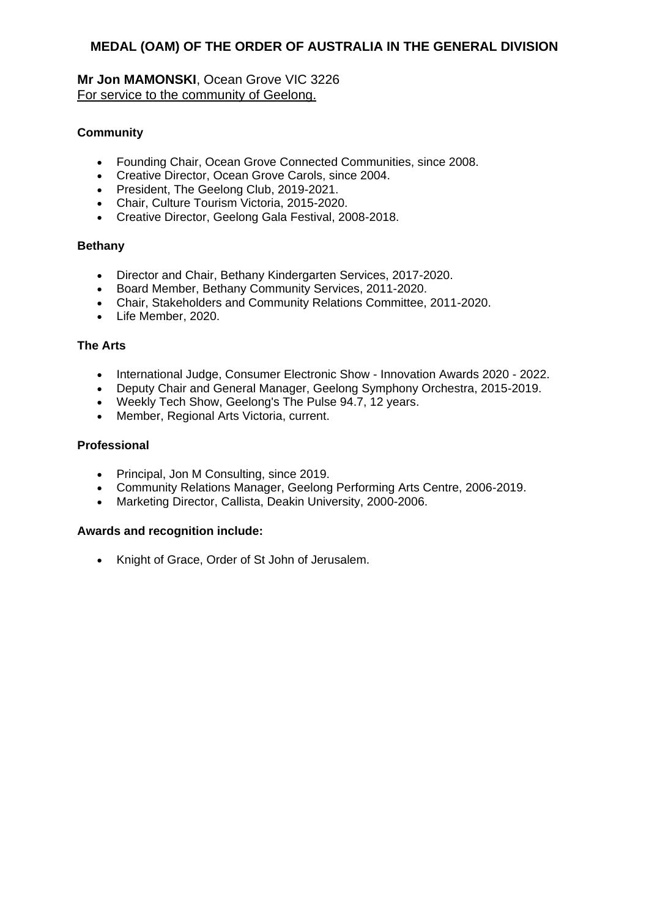**Mr Jon MAMONSKI**, Ocean Grove VIC 3226 For service to the community of Geelong.

# **Community**

- Founding Chair, Ocean Grove Connected Communities, since 2008.
- Creative Director, Ocean Grove Carols, since 2004.
- **•** President, The Geelong Club, 2019-2021.
- Chair, Culture Tourism Victoria, 2015-2020.
- Creative Director, Geelong Gala Festival, 2008-2018.

### **Bethany**

- Director and Chair, Bethany Kindergarten Services, 2017-2020.
- Board Member, Bethany Community Services, 2011-2020.
- Chair, Stakeholders and Community Relations Committee, 2011-2020.
- Life Member, 2020.

#### **The Arts**

- International Judge, Consumer Electronic Show Innovation Awards 2020 2022.
- Deputy Chair and General Manager, Geelong Symphony Orchestra, 2015-2019.
- Weekly Tech Show, Geelong's The Pulse 94.7, 12 years.
- Member, Regional Arts Victoria, current.

#### **Professional**

- Principal, Jon M Consulting, since 2019.
- Community Relations Manager, Geelong Performing Arts Centre, 2006-2019.
- Marketing Director, Callista, Deakin University, 2000-2006.

#### **Awards and recognition include:**

Knight of Grace, Order of St John of Jerusalem.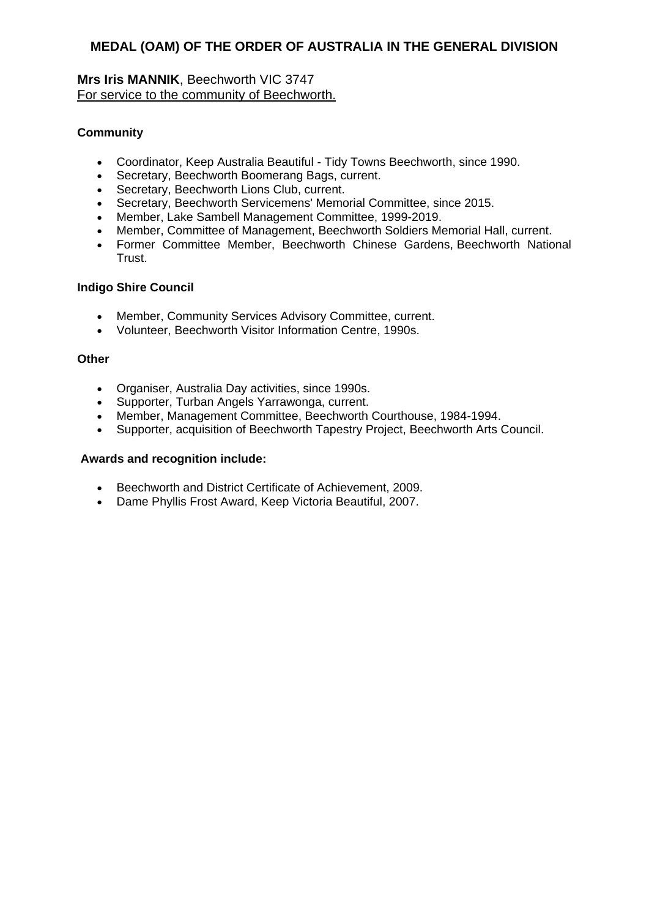# **Mrs Iris MANNIK**, Beechworth VIC 3747 For service to the community of Beechworth.

# **Community**

- Coordinator, Keep Australia Beautiful Tidy Towns Beechworth, since 1990.
- Secretary, Beechworth Boomerang Bags, current.
- Secretary, Beechworth Lions Club, current.
- Secretary, Beechworth Servicemens' Memorial Committee, since 2015.
- Member, Lake Sambell Management Committee, 1999-2019.
- Member, Committee of Management, Beechworth Soldiers Memorial Hall, current.
- Former Committee Member, Beechworth Chinese Gardens, Beechworth National Trust.

#### **Indigo Shire Council**

- Member, Community Services Advisory Committee, current.
- Volunteer, Beechworth Visitor Information Centre, 1990s.

#### **Other**

- Organiser, Australia Day activities, since 1990s.
- Supporter, Turban Angels Yarrawonga, current.
- Member, Management Committee, Beechworth Courthouse, 1984-1994.
- Supporter, acquisition of Beechworth Tapestry Project, Beechworth Arts Council.

- Beechworth and District Certificate of Achievement, 2009.
- Dame Phyllis Frost Award, Keep Victoria Beautiful, 2007.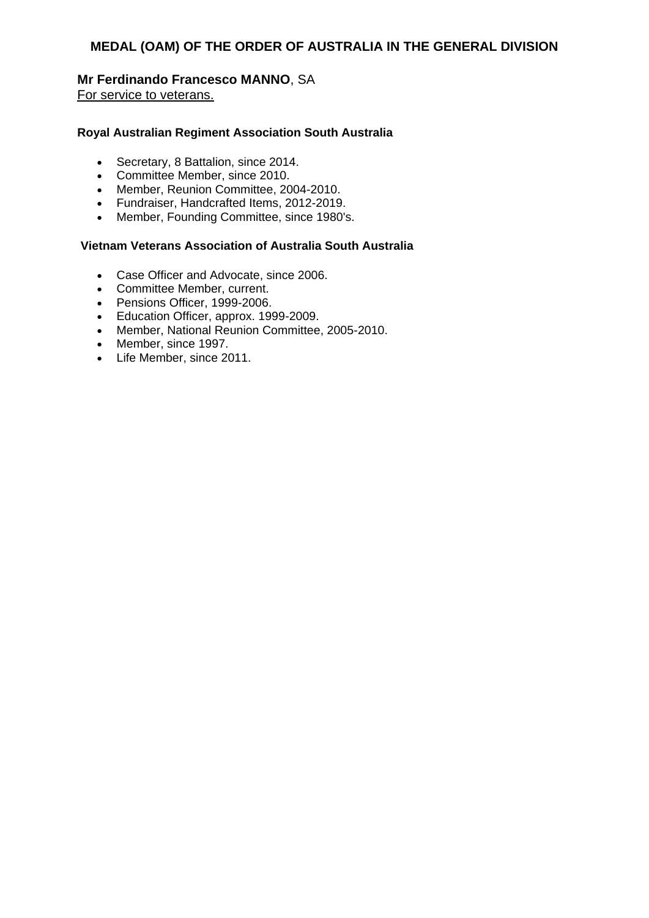# **Mr Ferdinando Francesco MANNO**, SA

For service to veterans.

### **Royal Australian Regiment Association South Australia**

- Secretary, 8 Battalion, since 2014.
- Committee Member, since 2010.
- Member, Reunion Committee, 2004-2010.
- Fundraiser, Handcrafted Items, 2012-2019.
- Member, Founding Committee, since 1980's.

# **Vietnam Veterans Association of Australia South Australia**

- Case Officer and Advocate, since 2006.
- Committee Member, current.
- Pensions Officer, 1999-2006.
- **Education Officer, approx. 1999-2009.**
- Member, National Reunion Committee, 2005-2010.
- Member, since 1997.
- Life Member, since 2011.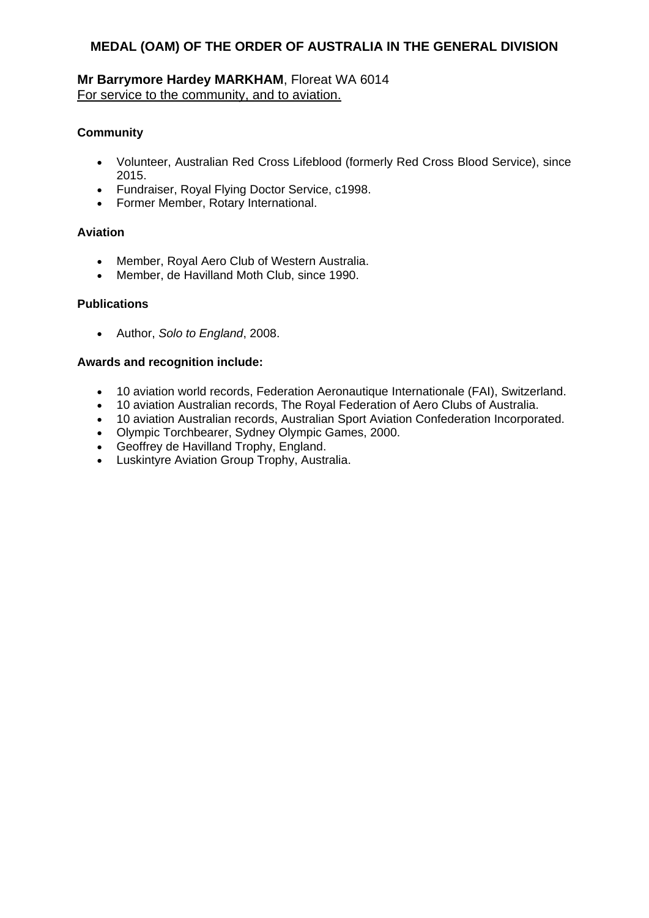# **Mr Barrymore Hardey MARKHAM**, Floreat WA 6014 For service to the community, and to aviation.

# **Community**

- Volunteer, Australian Red Cross Lifeblood (formerly Red Cross Blood Service), since 2015.
- Fundraiser, Royal Flying Doctor Service, c1998.
- Former Member, Rotary International.

# **Aviation**

- Member, Royal Aero Club of Western Australia.
- Member, de Havilland Moth Club, since 1990.

### **Publications**

Author, *Solo to England*, 2008.

- 10 aviation world records, Federation Aeronautique Internationale (FAI), Switzerland.
- 10 aviation Australian records, The Royal Federation of Aero Clubs of Australia.
- 10 aviation Australian records, Australian Sport Aviation Confederation Incorporated.
- Olympic Torchbearer, Sydney Olympic Games, 2000.
- Geoffrey de Havilland Trophy, England.
- Luskintyre Aviation Group Trophy, Australia.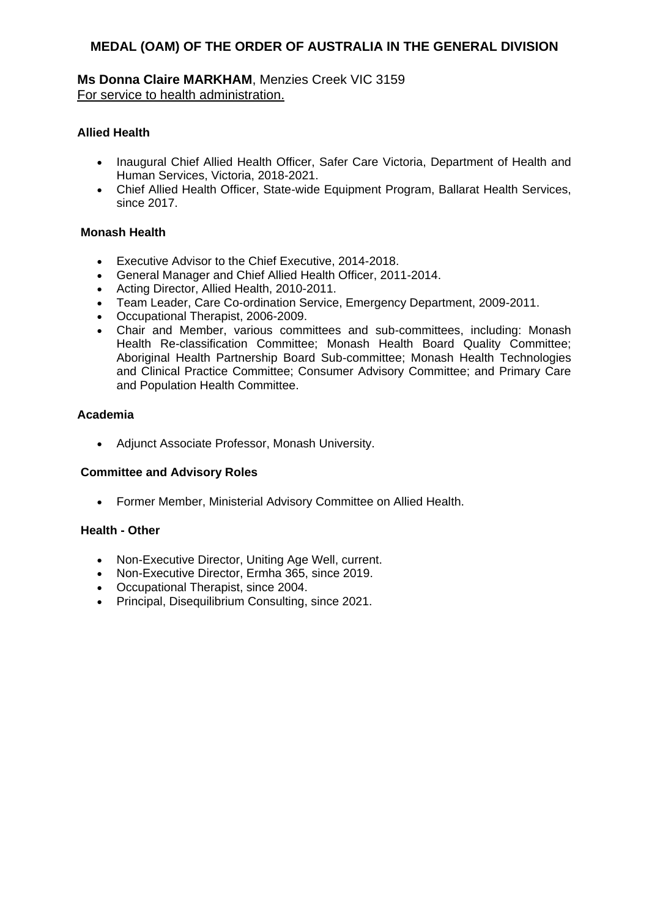**Ms Donna Claire MARKHAM**, Menzies Creek VIC 3159 For service to health administration.

### **Allied Health**

- Inaugural Chief Allied Health Officer, Safer Care Victoria, Department of Health and Human Services, Victoria, 2018-2021.
- Chief Allied Health Officer, State-wide Equipment Program, Ballarat Health Services, since 2017.

#### **Monash Health**

- Executive Advisor to the Chief Executive, 2014-2018.
- General Manager and Chief Allied Health Officer, 2011-2014.
- Acting Director, Allied Health, 2010-2011.
- Team Leader, Care Co-ordination Service, Emergency Department, 2009-2011.
- Occupational Therapist, 2006-2009.
- Chair and Member, various committees and sub-committees, including: Monash Health Re-classification Committee; Monash Health Board Quality Committee; Aboriginal Health Partnership Board Sub-committee; Monash Health Technologies and Clinical Practice Committee; Consumer Advisory Committee; and Primary Care and Population Health Committee.

#### **Academia**

Adjunct Associate Professor, Monash University.

#### **Committee and Advisory Roles**

Former Member, Ministerial Advisory Committee on Allied Health.

#### **Health - Other**

- Non-Executive Director, Uniting Age Well, current.
- Non-Executive Director, Ermha 365, since 2019.
- Occupational Therapist, since 2004.
- Principal, Disequilibrium Consulting, since 2021.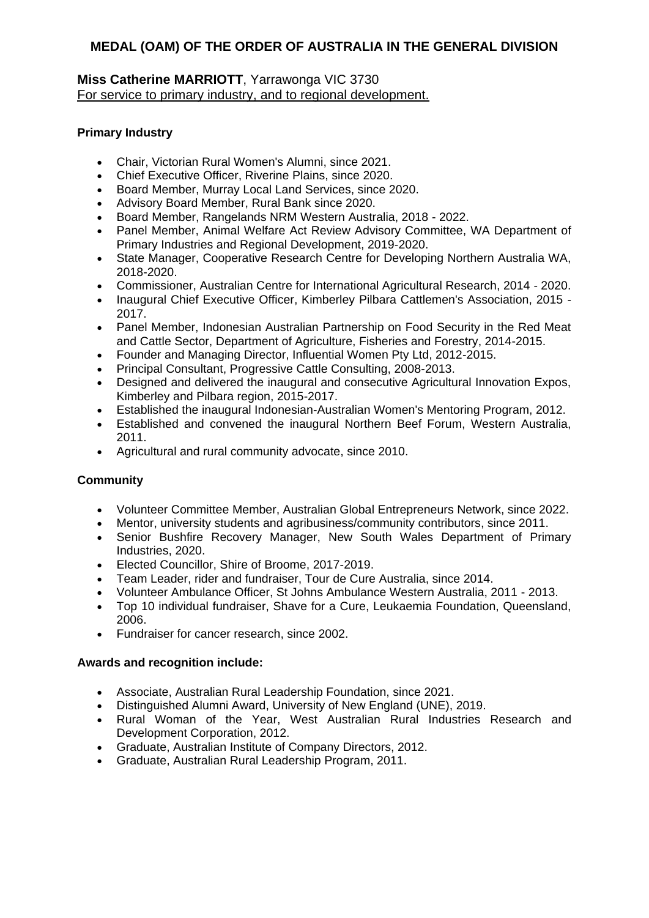# **Miss Catherine MARRIOTT**, Yarrawonga VIC 3730 For service to primary industry, and to regional development.

# **Primary Industry**

- Chair, Victorian Rural Women's Alumni, since 2021.
- Chief Executive Officer, Riverine Plains, since 2020.
- Board Member, Murray Local Land Services, since 2020.
- Advisory Board Member, Rural Bank since 2020.
- Board Member, Rangelands NRM Western Australia, 2018 2022.
- Panel Member, Animal Welfare Act Review Advisory Committee, WA Department of Primary Industries and Regional Development, 2019-2020.
- State Manager, Cooperative Research Centre for Developing Northern Australia WA, 2018-2020.
- Commissioner, Australian Centre for International Agricultural Research, 2014 2020.
- Inaugural Chief Executive Officer, Kimberley Pilbara Cattlemen's Association, 2015 -2017.
- Panel Member, Indonesian Australian Partnership on Food Security in the Red Meat and Cattle Sector, Department of Agriculture, Fisheries and Forestry, 2014-2015.
- Founder and Managing Director, Influential Women Pty Ltd, 2012-2015.
- Principal Consultant, Progressive Cattle Consulting, 2008-2013.
- Designed and delivered the inaugural and consecutive Agricultural Innovation Expos, Kimberley and Pilbara region, 2015-2017.
- Established the inaugural Indonesian-Australian Women's Mentoring Program, 2012.
- Established and convened the inaugural Northern Beef Forum, Western Australia, 2011.
- Agricultural and rural community advocate, since 2010.

# **Community**

- Volunteer Committee Member, Australian Global Entrepreneurs Network, since 2022.
- Mentor, university students and agribusiness/community contributors, since 2011.
- Senior Bushfire Recovery Manager, New South Wales Department of Primary Industries, 2020.
- Elected Councillor, Shire of Broome, 2017-2019.
- Team Leader, rider and fundraiser, Tour de Cure Australia, since 2014.
- Volunteer Ambulance Officer, St Johns Ambulance Western Australia, 2011 2013.
- Top 10 individual fundraiser, Shave for a Cure, Leukaemia Foundation, Queensland, 2006.
- Fundraiser for cancer research, since 2002.

- Associate, Australian Rural Leadership Foundation, since 2021.
- Distinguished Alumni Award, University of New England (UNE), 2019.
- Rural Woman of the Year, West Australian Rural Industries Research and Development Corporation, 2012.
- Graduate, Australian Institute of Company Directors, 2012.
- Graduate, Australian Rural Leadership Program, 2011.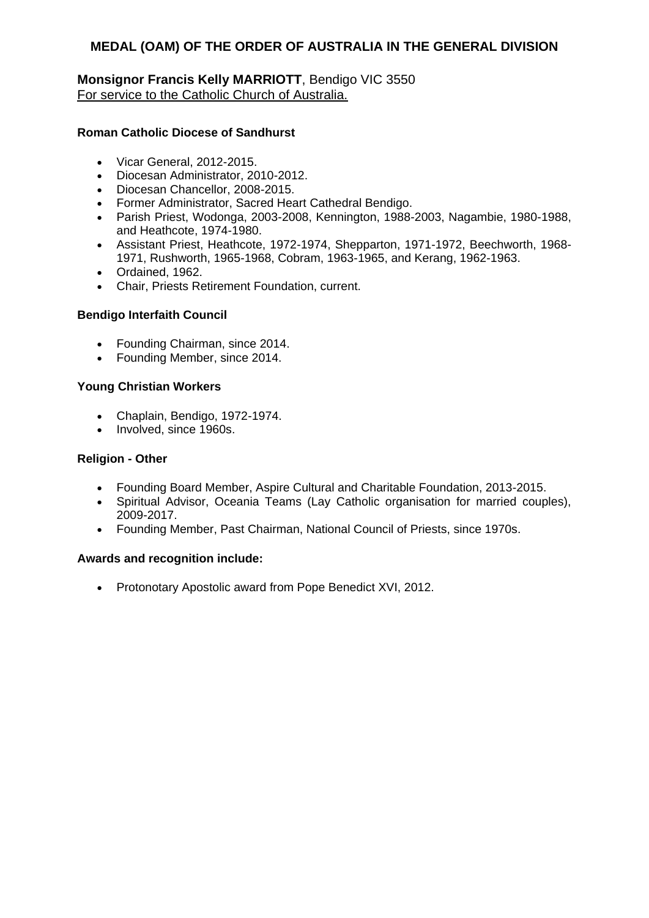# **Monsignor Francis Kelly MARRIOTT**, Bendigo VIC 3550 For service to the Catholic Church of Australia.

# **Roman Catholic Diocese of Sandhurst**

- Vicar General, 2012-2015.
- Diocesan Administrator, 2010-2012.
- Diocesan Chancellor, 2008-2015.
- Former Administrator, Sacred Heart Cathedral Bendigo.
- Parish Priest, Wodonga, 2003-2008, Kennington, 1988-2003, Nagambie, 1980-1988, and Heathcote, 1974-1980.
- Assistant Priest, Heathcote, 1972-1974, Shepparton, 1971-1972, Beechworth, 1968- 1971, Rushworth, 1965-1968, Cobram, 1963-1965, and Kerang, 1962-1963.
- Ordained, 1962.
- Chair, Priests Retirement Foundation, current.

### **Bendigo Interfaith Council**

- Founding Chairman, since 2014.
- Founding Member, since 2014.

### **Young Christian Workers**

- Chaplain, Bendigo, 1972-1974.
- Involved, since 1960s.

#### **Religion - Other**

- Founding Board Member, Aspire Cultural and Charitable Foundation, 2013-2015.
- Spiritual Advisor, Oceania Teams (Lay Catholic organisation for married couples), 2009-2017.
- Founding Member, Past Chairman, National Council of Priests, since 1970s.

# **Awards and recognition include:**

• Protonotary Apostolic award from Pope Benedict XVI, 2012.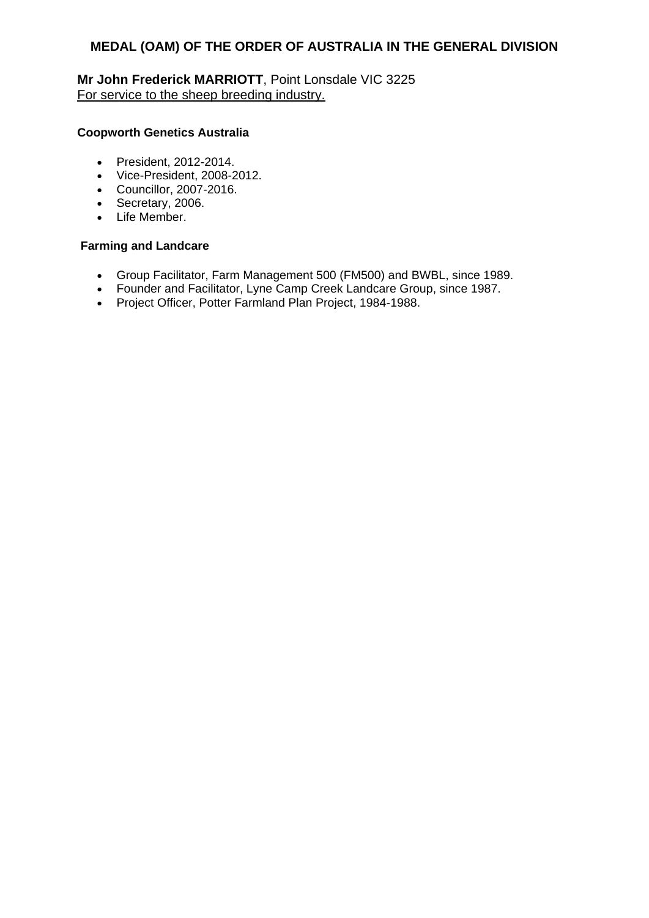**Mr John Frederick MARRIOTT**, Point Lonsdale VIC 3225 For service to the sheep breeding industry.

### **Coopworth Genetics Australia**

- President, 2012-2014.
- Vice-President, 2008-2012.
- Councillor, 2007-2016.
- Secretary, 2006.
- Life Member.

#### **Farming and Landcare**

- Group Facilitator, Farm Management 500 (FM500) and BWBL, since 1989.
- Founder and Facilitator, Lyne Camp Creek Landcare Group, since 1987.
- Project Officer, Potter Farmland Plan Project, 1984-1988.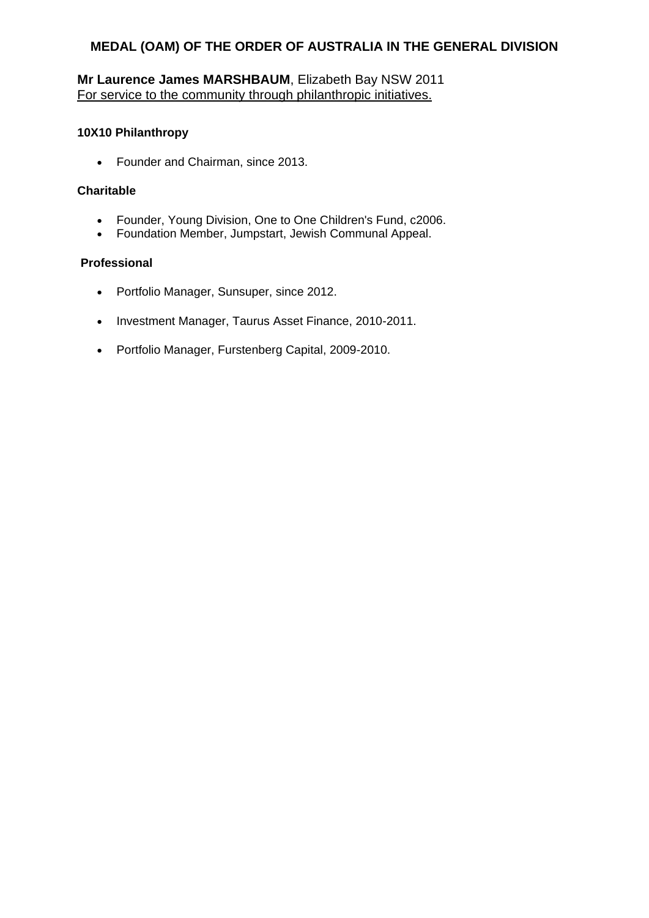# **Mr Laurence James MARSHBAUM**, Elizabeth Bay NSW 2011 For service to the community through philanthropic initiatives.

### **10X10 Philanthropy**

• Founder and Chairman, since 2013.

### **Charitable**

- Founder, Young Division, One to One Children's Fund, c2006.
- Foundation Member, Jumpstart, Jewish Communal Appeal.

# **Professional**

- Portfolio Manager, Sunsuper, since 2012.
- Investment Manager, Taurus Asset Finance, 2010-2011.
- Portfolio Manager, Furstenberg Capital, 2009-2010.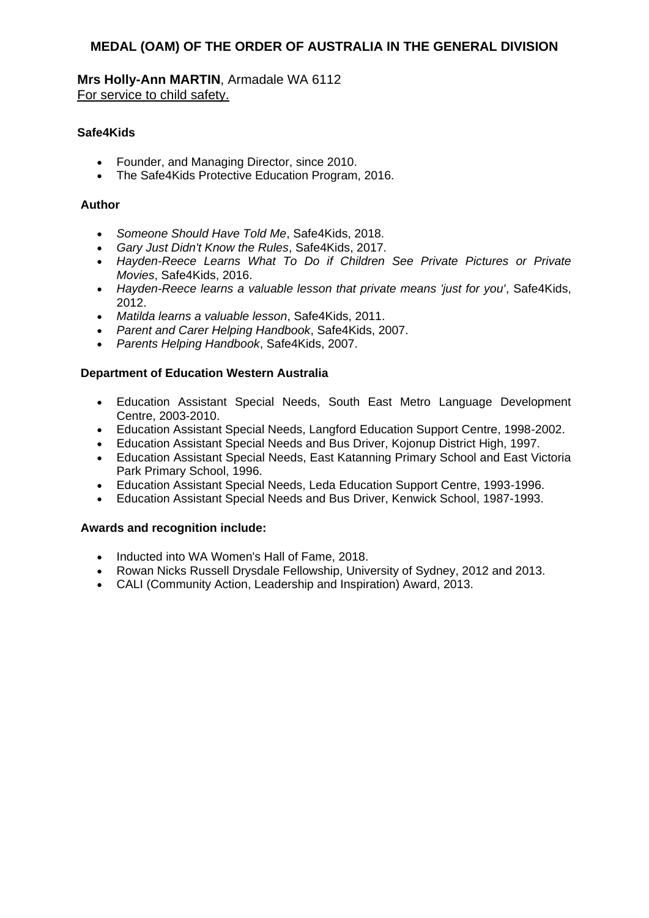**Mrs Holly-Ann MARTIN**, Armadale WA 6112 For service to child safety.

# **Safe4Kids**

- Founder, and Managing Director, since 2010.
- The Safe4Kids Protective Education Program, 2016.

# **Author**

- *Someone Should Have Told Me*, Safe4Kids, 2018.
- *Gary Just Didn't Know the Rules*, Safe4Kids, 2017.
- *Hayden-Reece Learns What To Do if Children See Private Pictures or Private Movies*, Safe4Kids, 2016.
- *Hayden-Reece learns a valuable lesson that private means 'just for you'*, Safe4Kids, 2012.
- *Matilda learns a valuable lesson*, Safe4Kids, 2011.
- *Parent and Carer Helping Handbook*, Safe4Kids, 2007.
- *Parents Helping Handbook*, Safe4Kids, 2007.

# **Department of Education Western Australia**

- Education Assistant Special Needs, South East Metro Language Development Centre, 2003-2010.
- Education Assistant Special Needs, Langford Education Support Centre, 1998-2002.
- Education Assistant Special Needs and Bus Driver, Kojonup District High, 1997.
- Education Assistant Special Needs, East Katanning Primary School and East Victoria Park Primary School, 1996.
- Education Assistant Special Needs, Leda Education Support Centre, 1993-1996.
- Education Assistant Special Needs and Bus Driver, Kenwick School, 1987-1993.

- Inducted into WA Women's Hall of Fame, 2018.
- Rowan Nicks Russell Drysdale Fellowship, University of Sydney, 2012 and 2013.
- CALI (Community Action, Leadership and Inspiration) Award, 2013.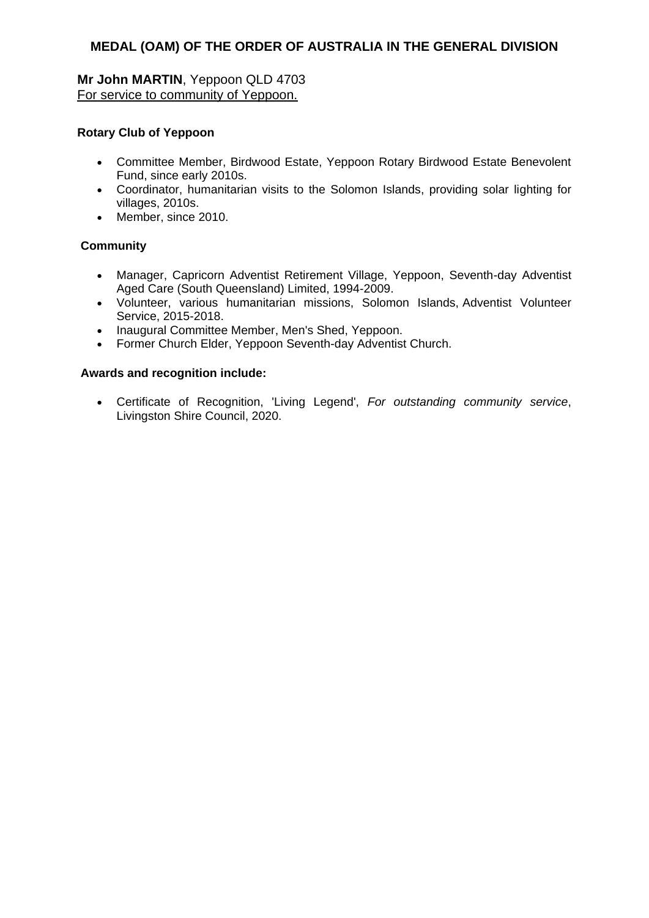# **Mr John MARTIN**, Yeppoon QLD 4703 For service to community of Yeppoon.

# **Rotary Club of Yeppoon**

- Committee Member, Birdwood Estate, Yeppoon Rotary Birdwood Estate Benevolent Fund, since early 2010s.
- Coordinator, humanitarian visits to the Solomon Islands, providing solar lighting for villages, 2010s.
- Member, since 2010.

# **Community**

- Manager, Capricorn Adventist Retirement Village, Yeppoon, Seventh-day Adventist Aged Care (South Queensland) Limited, 1994-2009.
- Volunteer, various humanitarian missions, Solomon Islands, Adventist Volunteer Service, 2015-2018.
- Inaugural Committee Member, Men's Shed, Yeppoon.
- Former Church Elder, Yeppoon Seventh-day Adventist Church.

## **Awards and recognition include:**

 Certificate of Recognition, 'Living Legend', *For outstanding community service*, Livingston Shire Council, 2020.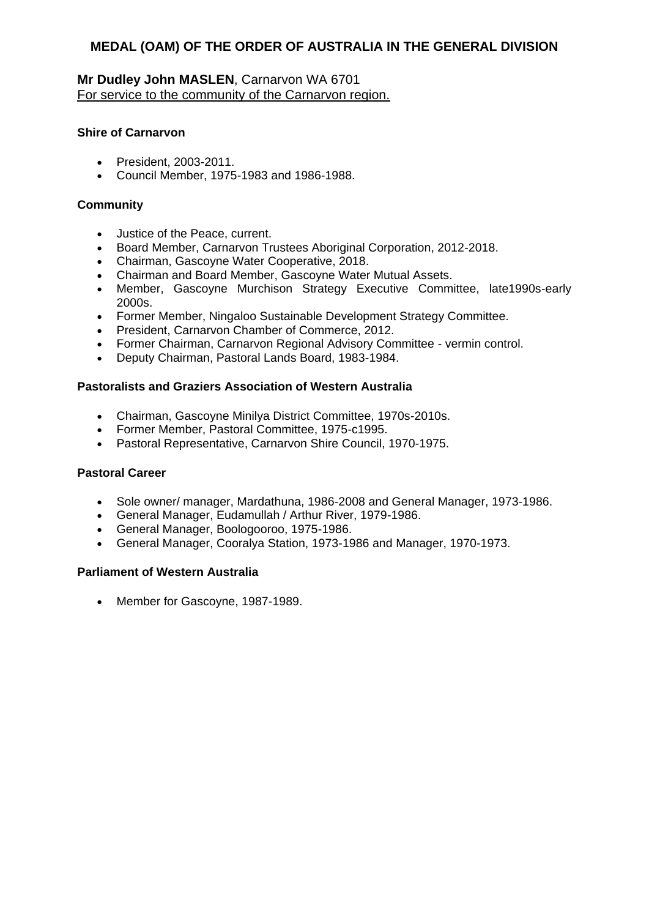# **Mr Dudley John MASLEN**, Carnarvon WA 6701 For service to the community of the Carnarvon region.

#### **Shire of Carnarvon**

- President, 2003-2011.
- Council Member, 1975-1983 and 1986-1988.

## **Community**

- Justice of the Peace, current.
- Board Member, Carnarvon Trustees Aboriginal Corporation, 2012-2018.
- Chairman, Gascoyne Water Cooperative, 2018.
- Chairman and Board Member, Gascoyne Water Mutual Assets.
- Member, Gascoyne Murchison Strategy Executive Committee, late1990s-early 2000s.
- Former Member, Ningaloo Sustainable Development Strategy Committee.
- President, Carnarvon Chamber of Commerce, 2012.
- Former Chairman, Carnarvon Regional Advisory Committee vermin control.
- Deputy Chairman, Pastoral Lands Board, 1983-1984.

#### **Pastoralists and Graziers Association of Western Australia**

- Chairman, Gascoyne Minilya District Committee, 1970s-2010s.
- Former Member, Pastoral Committee, 1975-c1995.
- Pastoral Representative, Carnarvon Shire Council, 1970-1975.

#### **Pastoral Career**

- Sole owner/ manager, Mardathuna, 1986-2008 and General Manager, 1973-1986.
- General Manager, Eudamullah / Arthur River, 1979-1986.
- General Manager, Boologooroo, 1975-1986.
- General Manager, Cooralya Station, 1973-1986 and Manager, 1970-1973.

#### **Parliament of Western Australia**

• Member for Gascoyne, 1987-1989.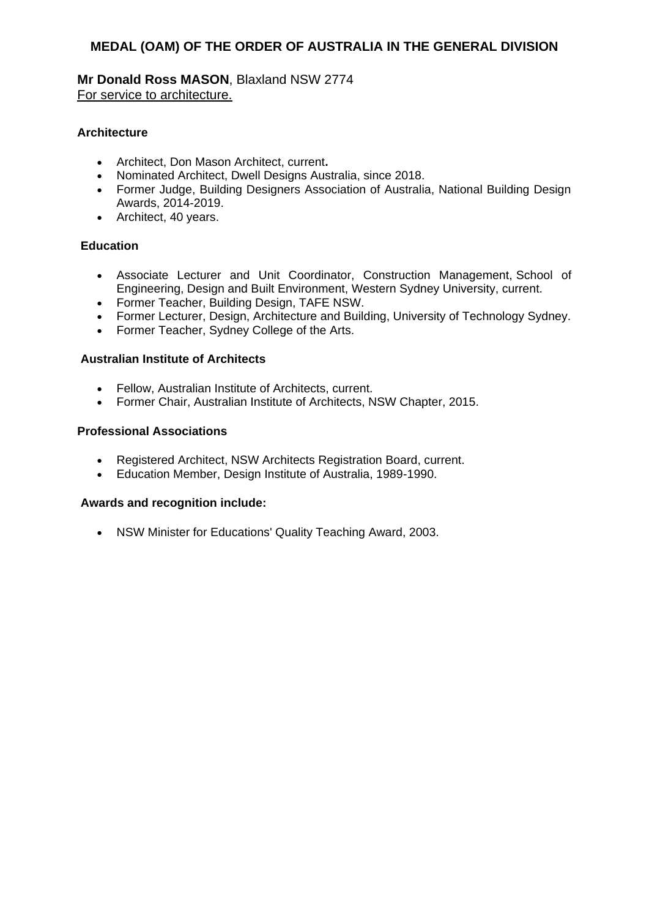**Mr Donald Ross MASON**, Blaxland NSW 2774 For service to architecture.

# **Architecture**

- Architect, Don Mason Architect, current**.**
- Nominated Architect, Dwell Designs Australia, since 2018.
- Former Judge, Building Designers Association of Australia, National Building Design Awards, 2014-2019.
- Architect, 40 years.

# **Education**

- Associate Lecturer and Unit Coordinator, Construction Management, School of Engineering, Design and Built Environment, Western Sydney University, current.
- Former Teacher, Building Design, TAFE NSW.
- Former Lecturer, Design, Architecture and Building, University of Technology Sydney.
- Former Teacher, Sydney College of the Arts.

## **Australian Institute of Architects**

- Fellow, Australian Institute of Architects, current.
- Former Chair, Australian Institute of Architects, NSW Chapter, 2015.

## **Professional Associations**

- Registered Architect, NSW Architects Registration Board, current.
- Education Member, Design Institute of Australia, 1989-1990.

## **Awards and recognition include:**

NSW Minister for Educations' Quality Teaching Award, 2003.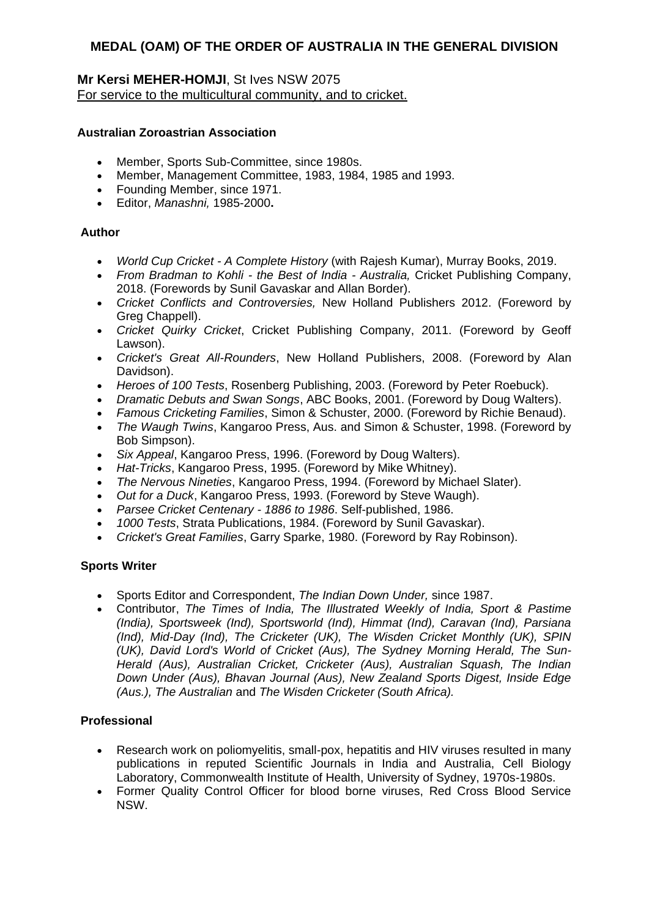# **Mr Kersi MEHER-HOMJI**, St Ives NSW 2075 For service to the multicultural community, and to cricket.

# **Australian Zoroastrian Association**

- Member, Sports Sub-Committee, since 1980s.
- Member, Management Committee, 1983, 1984, 1985 and 1993.
- Founding Member, since 1971.
- Editor, *Manashni,* 1985-2000**.**

# **Author**

- *World Cup Cricket - A Complete History* (with Rajesh Kumar), Murray Books, 2019.
- *From Bradman to Kohli - the Best of India - Australia,* Cricket Publishing Company, 2018. (Forewords by Sunil Gavaskar and Allan Border).
- *Cricket Conflicts and Controversies,* New Holland Publishers 2012. (Foreword by Greg Chappell).
- *Cricket Quirky Cricket*, Cricket Publishing Company, 2011. (Foreword by Geoff Lawson).
- *Cricket's Great All-Rounders*, New Holland Publishers, 2008. (Foreword by Alan Davidson).
- *Heroes of 100 Tests*, Rosenberg Publishing, 2003. (Foreword by Peter Roebuck).
- *Dramatic Debuts and Swan Songs*, ABC Books, 2001. (Foreword by Doug Walters).
- *Famous Cricketing Families*, Simon & Schuster, 2000. (Foreword by Richie Benaud).
- *The Waugh Twins*, Kangaroo Press, Aus. and Simon & Schuster, 1998. (Foreword by Bob Simpson).
- *Six Appeal*, Kangaroo Press, 1996. (Foreword by Doug Walters).
- *Hat-Tricks*, Kangaroo Press, 1995. (Foreword by Mike Whitney).
- *The Nervous Nineties*, Kangaroo Press, 1994. (Foreword by Michael Slater).
- *Out for a Duck*, Kangaroo Press, 1993. (Foreword by Steve Waugh).
- *Parsee Cricket Centenary - 1886 to 1986*. Self-published, 1986.
- *1000 Tests*, Strata Publications, 1984. (Foreword by Sunil Gavaskar).
- *Cricket's Great Families*, Garry Sparke, 1980. (Foreword by Ray Robinson).

# **Sports Writer**

- Sports Editor and Correspondent, *The Indian Down Under,* since 1987.
- Contributor, *The Times of India, The Illustrated Weekly of India, Sport & Pastime (India), Sportsweek (Ind), Sportsworld (Ind), Himmat (Ind), Caravan (Ind), Parsiana (Ind), Mid-Day (Ind), The Cricketer (UK), The Wisden Cricket Monthly (UK), SPIN (UK), David Lord's World of Cricket (Aus), The Sydney Morning Herald, The Sun-Herald (Aus), Australian Cricket, Cricketer (Aus), Australian Squash, The Indian Down Under (Aus), Bhavan Journal (Aus), New Zealand Sports Digest, Inside Edge (Aus.), The Australian* and *The Wisden Cricketer (South Africa).*

# **Professional**

- Research work on poliomyelitis, small-pox, hepatitis and HIV viruses resulted in many publications in reputed Scientific Journals in India and Australia, Cell Biology Laboratory, Commonwealth Institute of Health, University of Sydney, 1970s-1980s.
- Former Quality Control Officer for blood borne viruses, Red Cross Blood Service NSW.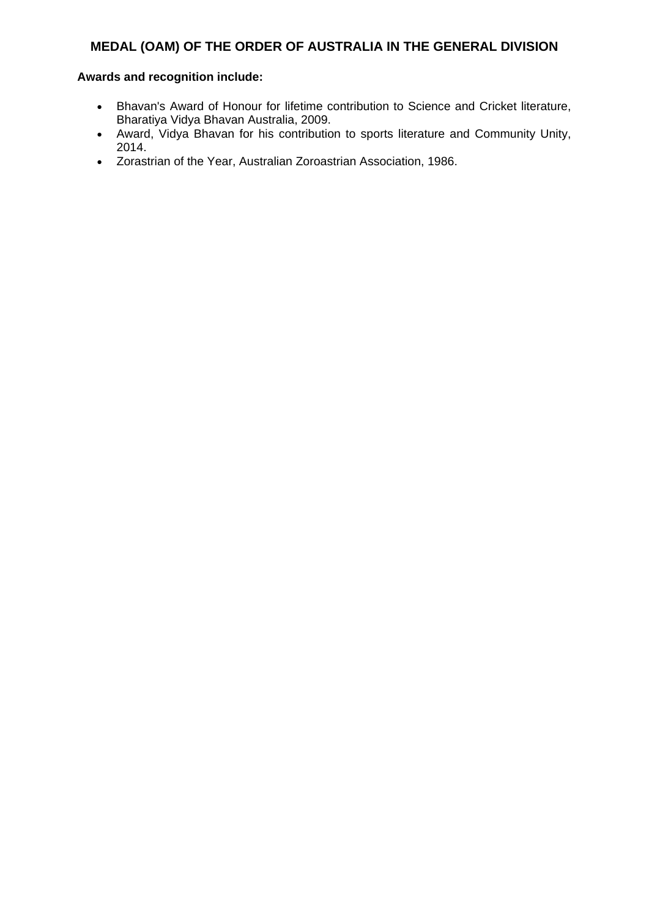- Bhavan's Award of Honour for lifetime contribution to Science and Cricket literature, Bharatiya Vidya Bhavan Australia, 2009.
- Award, Vidya Bhavan for his contribution to sports literature and Community Unity, 2014.
- Zorastrian of the Year, Australian Zoroastrian Association, 1986.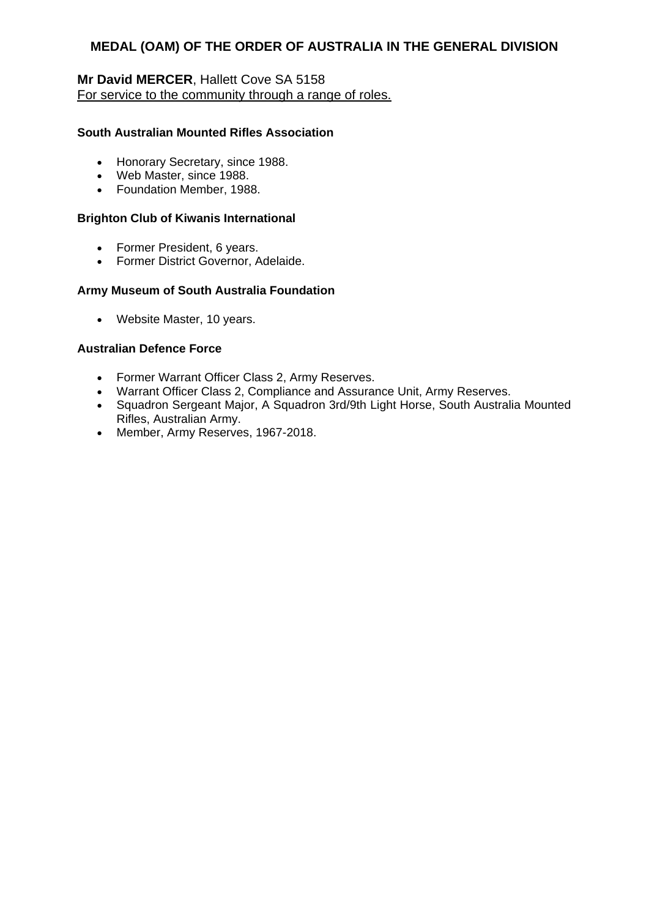# **Mr David MERCER**, Hallett Cove SA 5158 For service to the community through a range of roles.

# **South Australian Mounted Rifles Association**

- Honorary Secretary, since 1988.
- Web Master, since 1988.
- Foundation Member, 1988.

#### **Brighton Club of Kiwanis International**

- Former President, 6 years.
- Former District Governor, Adelaide.

## **Army Museum of South Australia Foundation**

Website Master, 10 years.

## **Australian Defence Force**

- Former Warrant Officer Class 2, Army Reserves.
- Warrant Officer Class 2, Compliance and Assurance Unit, Army Reserves.
- Squadron Sergeant Major, A Squadron 3rd/9th Light Horse, South Australia Mounted Rifles, Australian Army.
- Member, Army Reserves, 1967-2018.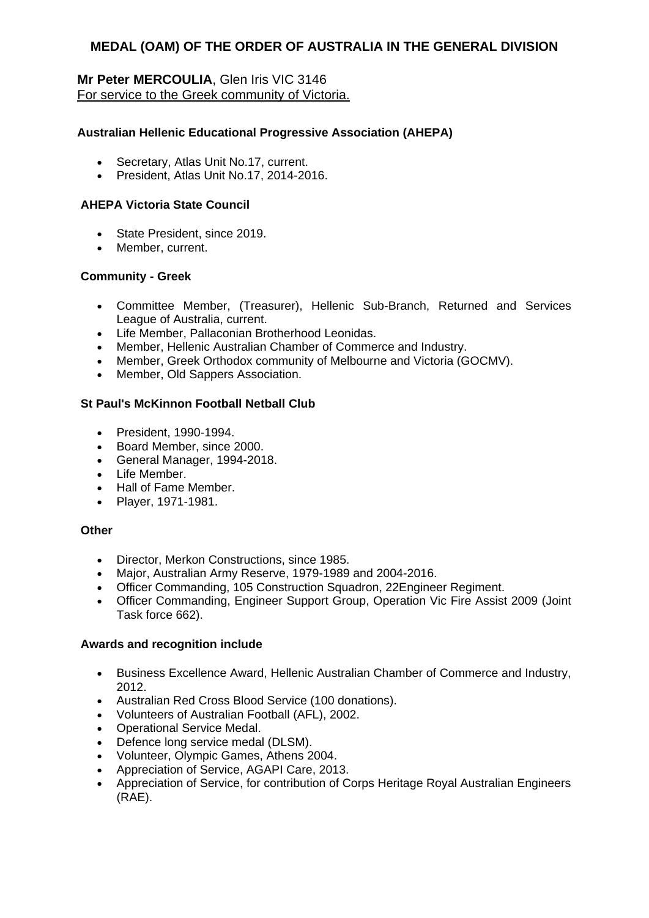# **Mr Peter MERCOULIA**, Glen Iris VIC 3146 For service to the Greek community of Victoria.

# **Australian Hellenic Educational Progressive Association (AHEPA)**

- Secretary, Atlas Unit No.17, current.
- President, Atlas Unit No.17, 2014-2016.

# **AHEPA Victoria State Council**

- State President, since 2019.
- Member, current.

## **Community - Greek**

- Committee Member, (Treasurer), Hellenic Sub-Branch, Returned and Services League of Australia, current.
- Life Member, Pallaconian Brotherhood Leonidas.
- Member, Hellenic Australian Chamber of Commerce and Industry.
- Member, Greek Orthodox community of Melbourne and Victoria (GOCMV).
- Member, Old Sappers Association.

# **St Paul's McKinnon Football Netball Club**

- President, 1990-1994.
- Board Member, since 2000.
- General Manager, 1994-2018.
- · Life Member.
- Hall of Fame Member.
- Player, 1971-1981.

## **Other**

- **•** Director, Merkon Constructions, since 1985.
- Major, Australian Army Reserve, 1979-1989 and 2004-2016.
- Officer Commanding, 105 Construction Squadron, 22Engineer Regiment.
- Officer Commanding, Engineer Support Group, Operation Vic Fire Assist 2009 (Joint Task force 662).

- Business Excellence Award, Hellenic Australian Chamber of Commerce and Industry, 2012.
- Australian Red Cross Blood Service (100 donations).
- Volunteers of Australian Football (AFL), 2002.
- Operational Service Medal.
- Defence long service medal (DLSM).
- Volunteer, Olympic Games, Athens 2004.
- Appreciation of Service, AGAPI Care, 2013.
- Appreciation of Service, for contribution of Corps Heritage Royal Australian Engineers (RAE).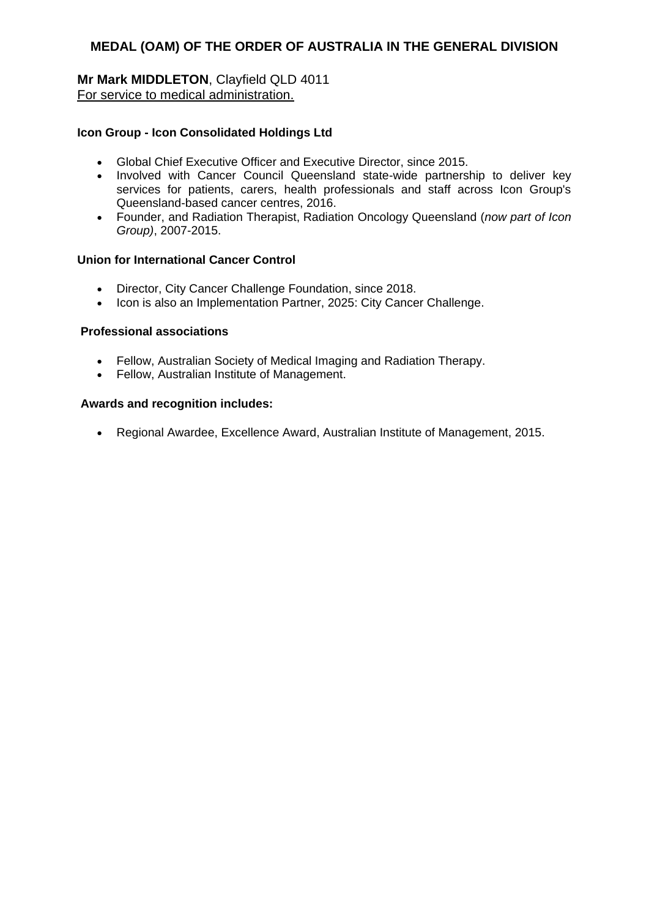# **Mr Mark MIDDLETON**, Clayfield QLD 4011 For service to medical administration.

# **Icon Group - Icon Consolidated Holdings Ltd**

- Global Chief Executive Officer and Executive Director, since 2015.
- Involved with Cancer Council Queensland state-wide partnership to deliver key services for patients, carers, health professionals and staff across Icon Group's Queensland-based cancer centres, 2016.
- Founder, and Radiation Therapist, Radiation Oncology Queensland (*now part of Icon Group)*, 2007-2015.

## **Union for International Cancer Control**

- Director, City Cancer Challenge Foundation, since 2018.
- Icon is also an Implementation Partner, 2025: City Cancer Challenge.

#### **Professional associations**

- Fellow, Australian Society of Medical Imaging and Radiation Therapy.
- Fellow, Australian Institute of Management.

#### **Awards and recognition includes:**

Regional Awardee, Excellence Award, Australian Institute of Management, 2015.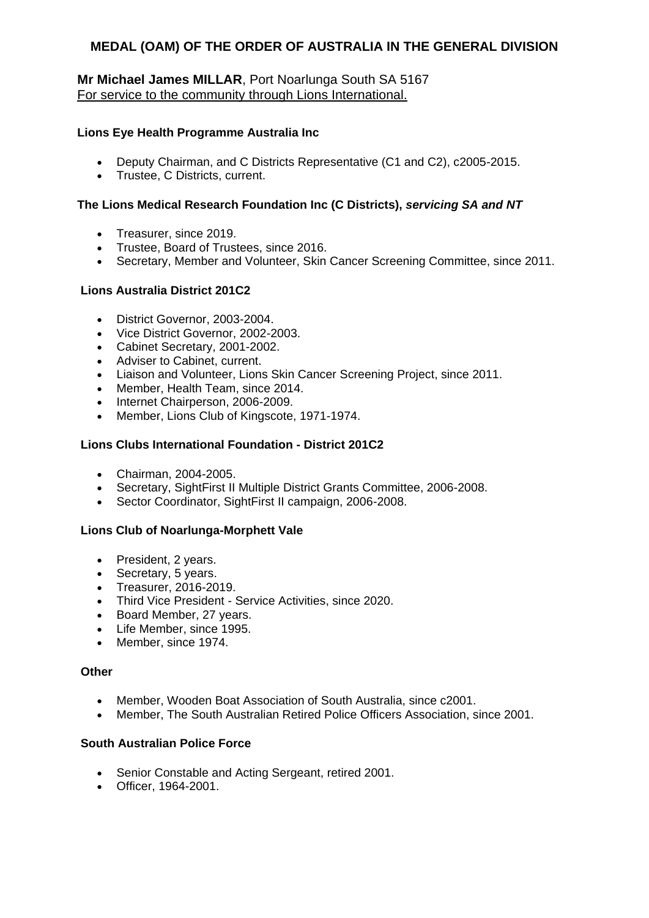# **Mr Michael James MILLAR**, Port Noarlunga South SA 5167 For service to the community through Lions International.

# **Lions Eye Health Programme Australia Inc**

- Deputy Chairman, and C Districts Representative (C1 and C2), c2005-2015.
- Trustee, C Districts, current.

# **The Lions Medical Research Foundation Inc (C Districts),** *servicing SA and NT*

- Treasurer, since 2019.
- Trustee, Board of Trustees, since 2016.
- Secretary, Member and Volunteer, Skin Cancer Screening Committee, since 2011.

## **Lions Australia District 201C2**

- District Governor, 2003-2004.
- Vice District Governor, 2002-2003.
- Cabinet Secretary, 2001-2002.
- Adviser to Cabinet, current.
- Liaison and Volunteer, Lions Skin Cancer Screening Project, since 2011.
- Member, Health Team, since 2014.
- Internet Chairperson, 2006-2009.
- Member, Lions Club of Kingscote, 1971-1974.

## **Lions Clubs International Foundation - District 201C2**

- Chairman, 2004-2005.
- Secretary, SightFirst II Multiple District Grants Committee, 2006-2008.
- Sector Coordinator, SightFirst II campaign, 2006-2008.

## **Lions Club of Noarlunga-Morphett Vale**

- President, 2 years.
- Secretary, 5 years.
- Treasurer, 2016-2019.
- Third Vice President Service Activities, since 2020.
- Board Member, 27 years.
- Life Member, since 1995.
- Member, since 1974.

## **Other**

- Member, Wooden Boat Association of South Australia, since c2001.
- Member, The South Australian Retired Police Officers Association, since 2001.

## **South Australian Police Force**

- Senior Constable and Acting Sergeant, retired 2001.
- Officer, 1964-2001.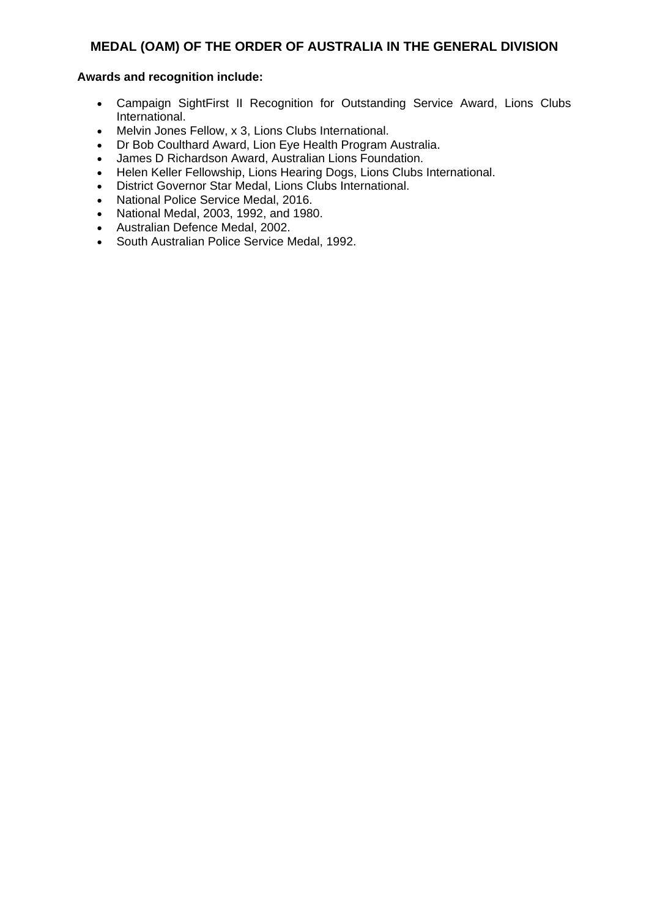- Campaign SightFirst II Recognition for Outstanding Service Award, Lions Clubs International.
- Melvin Jones Fellow, x 3, Lions Clubs International.
- Dr Bob Coulthard Award, Lion Eye Health Program Australia.
- James D Richardson Award, Australian Lions Foundation.
- Helen Keller Fellowship, Lions Hearing Dogs, Lions Clubs International.
- District Governor Star Medal, Lions Clubs International.
- National Police Service Medal, 2016.
- National Medal, 2003, 1992, and 1980.
- Australian Defence Medal, 2002.
- South Australian Police Service Medal, 1992.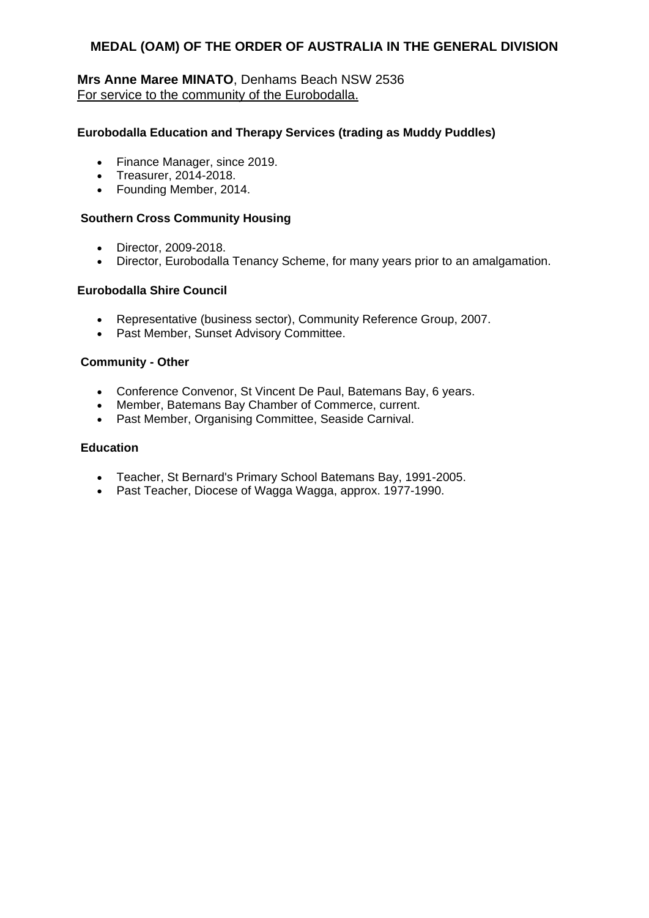# **Mrs Anne Maree MINATO**, Denhams Beach NSW 2536 For service to the community of the Eurobodalla.

# **Eurobodalla Education and Therapy Services (trading as Muddy Puddles)**

- Finance Manager, since 2019.
- Treasurer, 2014-2018.
- Founding Member, 2014.

#### **Southern Cross Community Housing**

- Director, 2009-2018.
- Director, Eurobodalla Tenancy Scheme, for many years prior to an amalgamation.

#### **Eurobodalla Shire Council**

- Representative (business sector), Community Reference Group, 2007.
- Past Member, Sunset Advisory Committee.

#### **Community - Other**

- Conference Convenor, St Vincent De Paul, Batemans Bay, 6 years.
- Member, Batemans Bay Chamber of Commerce, current.
- Past Member, Organising Committee, Seaside Carnival.

#### **Education**

- Teacher, St Bernard's Primary School Batemans Bay, 1991-2005.
- Past Teacher, Diocese of Wagga Wagga, approx. 1977-1990.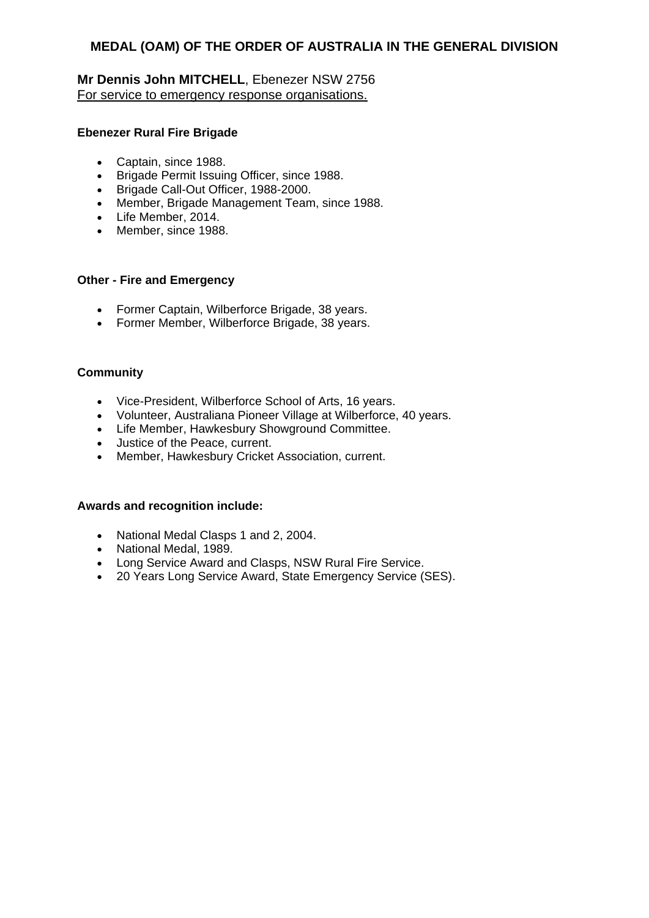# **Mr Dennis John MITCHELL**, Ebenezer NSW 2756 For service to emergency response organisations.

## **Ebenezer Rural Fire Brigade**

- Captain, since 1988.
- **•** Brigade Permit Issuing Officer, since 1988.
- Brigade Call-Out Officer, 1988-2000.
- Member, Brigade Management Team, since 1988.
- Life Member, 2014.
- Member, since 1988.

## **Other - Fire and Emergency**

- Former Captain, Wilberforce Brigade, 38 years.
- Former Member, Wilberforce Brigade, 38 years.

# **Community**

- Vice-President, Wilberforce School of Arts, 16 years.
- Volunteer, Australiana Pioneer Village at Wilberforce, 40 years.
- Life Member, Hawkesbury Showground Committee.
- Justice of the Peace, current.
- Member, Hawkesbury Cricket Association, current.

- National Medal Clasps 1 and 2, 2004.
- National Medal, 1989.
- Long Service Award and Clasps, NSW Rural Fire Service.
- 20 Years Long Service Award, State Emergency Service (SES).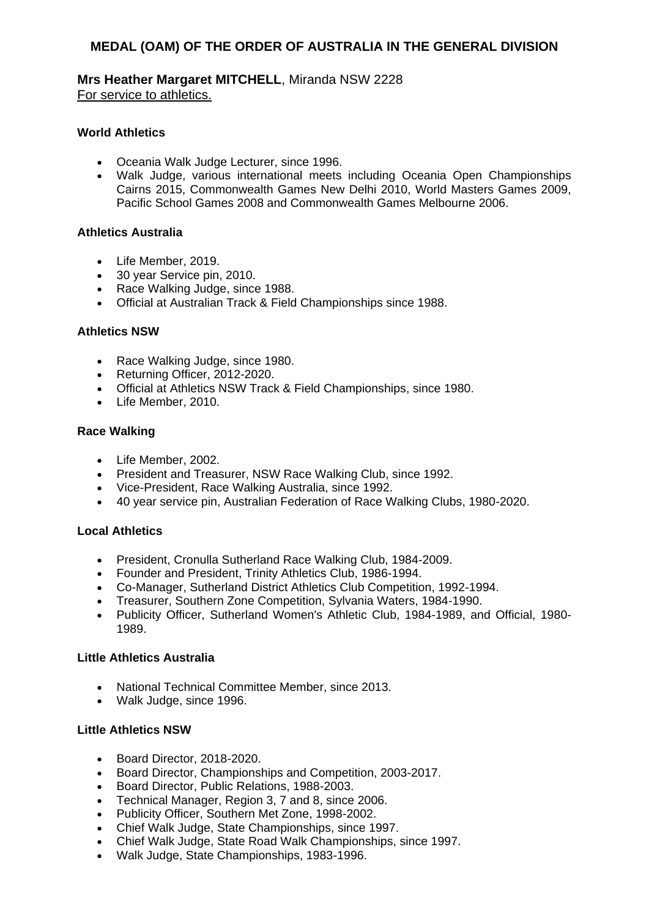**Mrs Heather Margaret MITCHELL**, Miranda NSW 2228 For service to athletics.

## **World Athletics**

- Oceania Walk Judge Lecturer, since 1996.
- Walk Judge, various international meets including Oceania Open Championships Cairns 2015, Commonwealth Games New Delhi 2010, World Masters Games 2009, Pacific School Games 2008 and Commonwealth Games Melbourne 2006.

#### **Athletics Australia**

- Life Member, 2019.
- 30 year Service pin, 2010.
- Race Walking Judge, since 1988.
- Official at Australian Track & Field Championships since 1988.

#### **Athletics NSW**

- Race Walking Judge, since 1980.
- Returning Officer, 2012-2020.
- Official at Athletics NSW Track & Field Championships, since 1980.
- Life Member, 2010.

#### **Race Walking**

- Life Member, 2002.
- President and Treasurer, NSW Race Walking Club, since 1992.
- Vice-President, Race Walking Australia, since 1992.
- 40 year service pin, Australian Federation of Race Walking Clubs, 1980-2020.

#### **Local Athletics**

- President, Cronulla Sutherland Race Walking Club, 1984-2009.
- Founder and President, Trinity Athletics Club, 1986-1994.
- Co-Manager, Sutherland District Athletics Club Competition, 1992-1994.
- Treasurer, Southern Zone Competition, Sylvania Waters, 1984-1990.
- Publicity Officer, Sutherland Women's Athletic Club, 1984-1989, and Official, 1980- 1989.

#### **Little Athletics Australia**

- National Technical Committee Member, since 2013.
- Walk Judge, since 1996.

#### **Little Athletics NSW**

- Board Director, 2018-2020.
- Board Director, Championships and Competition, 2003-2017.
- Board Director, Public Relations, 1988-2003.
- Technical Manager, Region 3, 7 and 8, since 2006.
- Publicity Officer, Southern Met Zone, 1998-2002.
- Chief Walk Judge, State Championships, since 1997.
- Chief Walk Judge, State Road Walk Championships, since 1997.
- Walk Judge, State Championships, 1983-1996.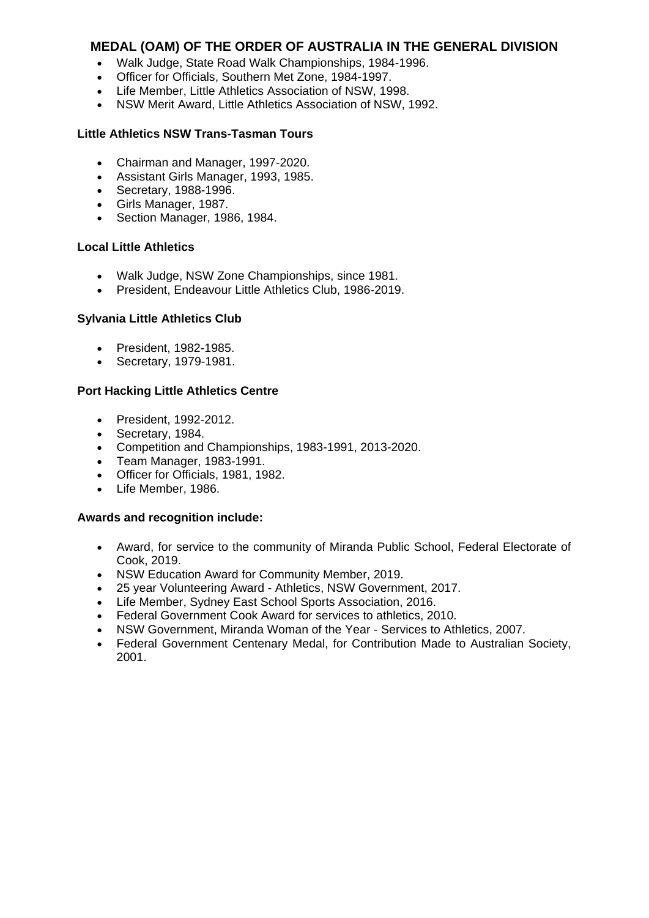- Walk Judge, State Road Walk Championships, 1984-1996.
- Officer for Officials, Southern Met Zone, 1984-1997.
- Life Member, Little Athletics Association of NSW, 1998.
- NSW Merit Award, Little Athletics Association of NSW, 1992.

#### **Little Athletics NSW Trans-Tasman Tours**

- Chairman and Manager, 1997-2020.
- Assistant Girls Manager, 1993, 1985.
- Secretary, 1988-1996.
- Girls Manager, 1987.
- Section Manager, 1986, 1984.

## **Local Little Athletics**

- Walk Judge, NSW Zone Championships, since 1981.
- President, Endeavour Little Athletics Club, 1986-2019.

## **Sylvania Little Athletics Club**

- President, 1982-1985.
- Secretary, 1979-1981.

## **Port Hacking Little Athletics Centre**

- President, 1992-2012.
- Secretary, 1984.
- Competition and Championships, 1983-1991, 2013-2020.
- Team Manager, 1983-1991.
- Officer for Officials, 1981, 1982.
- Life Member, 1986.

- Award, for service to the community of Miranda Public School, Federal Electorate of Cook, 2019.
- NSW Education Award for Community Member, 2019.
- 25 year Volunteering Award Athletics, NSW Government, 2017.
- Life Member, Sydney East School Sports Association, 2016.
- Federal Government Cook Award for services to athletics, 2010.
- NSW Government, Miranda Woman of the Year Services to Athletics, 2007.
- Federal Government Centenary Medal, for Contribution Made to Australian Society, 2001.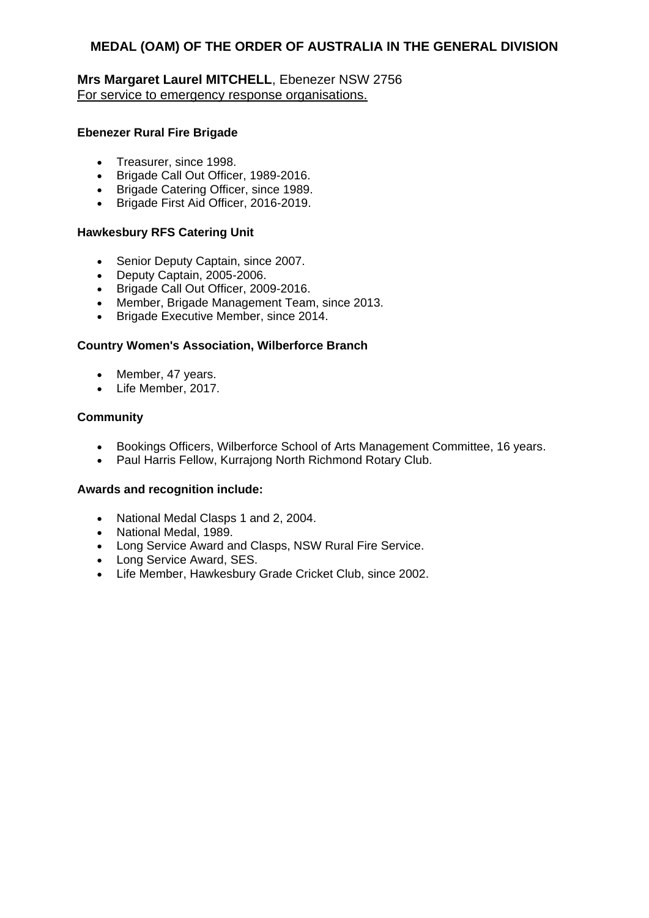# **Mrs Margaret Laurel MITCHELL**, Ebenezer NSW 2756 For service to emergency response organisations.

## **Ebenezer Rural Fire Brigade**

- Treasurer, since 1998.
- Brigade Call Out Officer, 1989-2016.
- Brigade Catering Officer, since 1989.
- Brigade First Aid Officer, 2016-2019.

## **Hawkesbury RFS Catering Unit**

- Senior Deputy Captain, since 2007.
- Deputy Captain, 2005-2006.
- Brigade Call Out Officer, 2009-2016.
- Member, Brigade Management Team, since 2013.
- Brigade Executive Member, since 2014.

#### **Country Women's Association, Wilberforce Branch**

- Member, 47 years.
- Life Member, 2017.

## **Community**

- Bookings Officers, Wilberforce School of Arts Management Committee, 16 years.
- Paul Harris Fellow, Kurrajong North Richmond Rotary Club.

- National Medal Clasps 1 and 2, 2004.
- National Medal, 1989.
- Long Service Award and Clasps, NSW Rural Fire Service.
- Long Service Award, SES.
- Life Member, Hawkesbury Grade Cricket Club, since 2002.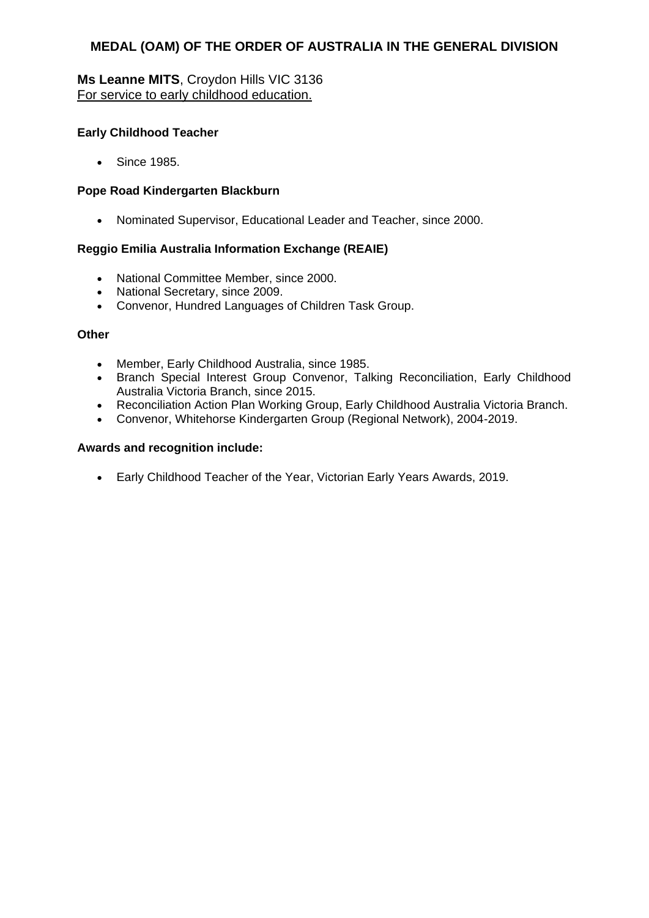# **Ms Leanne MITS**, Croydon Hills VIC 3136 For service to early childhood education.

# **Early Childhood Teacher**

• Since 1985.

## **Pope Road Kindergarten Blackburn**

Nominated Supervisor, Educational Leader and Teacher, since 2000.

## **Reggio Emilia Australia Information Exchange (REAIE)**

- National Committee Member, since 2000.
- National Secretary, since 2009.
- Convenor, Hundred Languages of Children Task Group.

#### **Other**

- Member, Early Childhood Australia, since 1985.
- Branch Special Interest Group Convenor, Talking Reconciliation, Early Childhood Australia Victoria Branch, since 2015.
- Reconciliation Action Plan Working Group, Early Childhood Australia Victoria Branch.
- Convenor, Whitehorse Kindergarten Group (Regional Network), 2004-2019.

#### **Awards and recognition include:**

Early Childhood Teacher of the Year, Victorian Early Years Awards, 2019.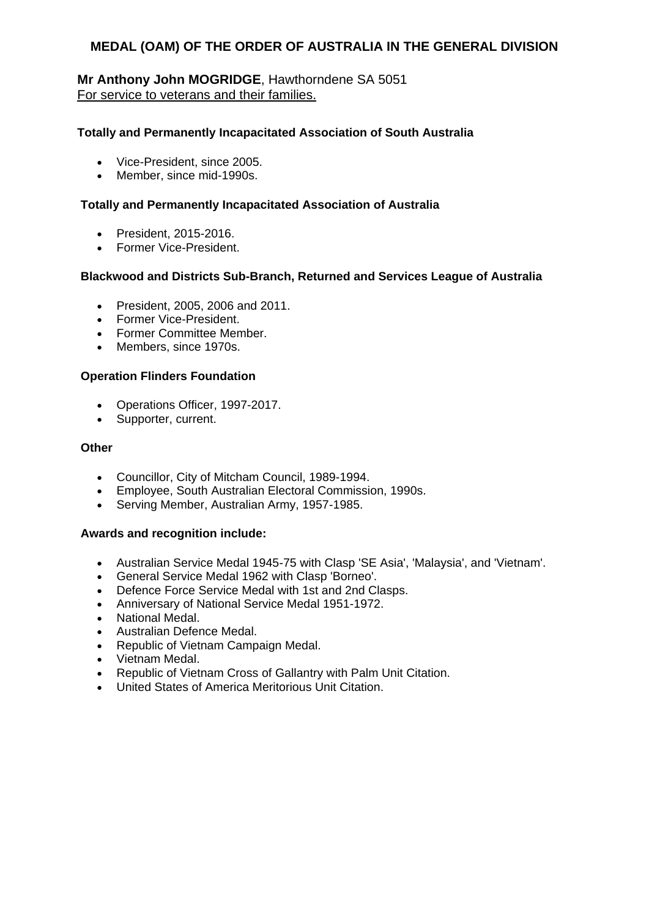# **Mr Anthony John MOGRIDGE**, Hawthorndene SA 5051 For service to veterans and their families.

## **Totally and Permanently Incapacitated Association of South Australia**

- Vice-President, since 2005.
- Member, since mid-1990s.

# **Totally and Permanently Incapacitated Association of Australia**

- President, 2015-2016.
- **•** Former Vice-President.

## **Blackwood and Districts Sub-Branch, Returned and Services League of Australia**

- President, 2005, 2006 and 2011.
- Former Vice-President.
- Former Committee Member.
- Members, since 1970s.

# **Operation Flinders Foundation**

- Operations Officer, 1997-2017.
- Supporter, current.

## **Other**

- Councillor, City of Mitcham Council, 1989-1994.
- Employee, South Australian Electoral Commission, 1990s.
- Serving Member, Australian Army, 1957-1985.

- Australian Service Medal 1945-75 with Clasp 'SE Asia', 'Malaysia', and 'Vietnam'.
- General Service Medal 1962 with Clasp 'Borneo'.
- Defence Force Service Medal with 1st and 2nd Clasps.
- Anniversary of National Service Medal 1951-1972.
- National Medal.
- Australian Defence Medal.
- Republic of Vietnam Campaign Medal.
- Vietnam Medal.
- Republic of Vietnam Cross of Gallantry with Palm Unit Citation.
- United States of America Meritorious Unit Citation.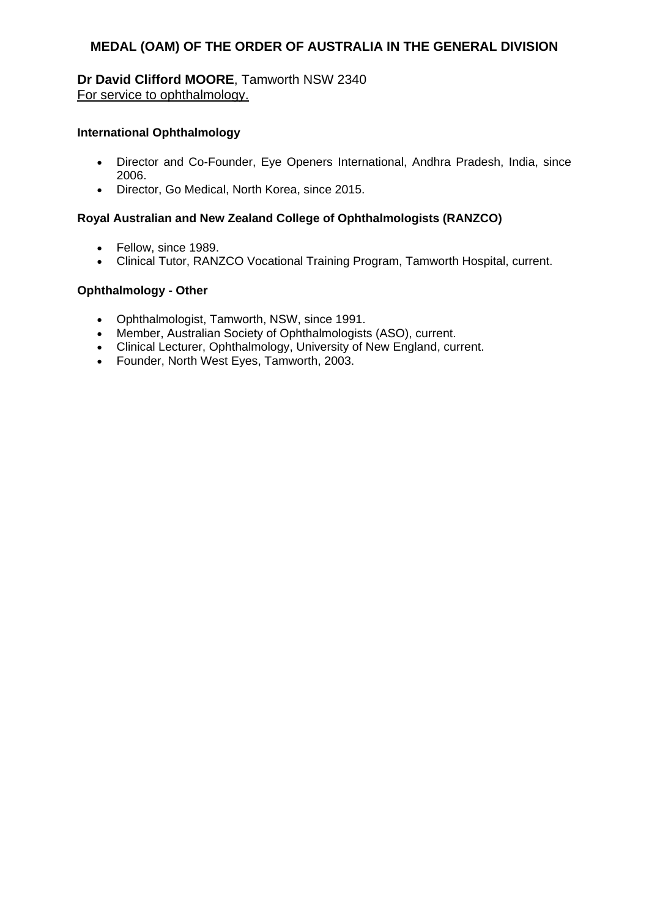# **Dr David Clifford MOORE**, Tamworth NSW 2340 For service to ophthalmology.

## **International Ophthalmology**

- Director and Co-Founder, Eye Openers International, Andhra Pradesh, India, since 2006.
- Director, Go Medical, North Korea, since 2015.

## **Royal Australian and New Zealand College of Ophthalmologists (RANZCO)**

- Fellow, since 1989.
- Clinical Tutor, RANZCO Vocational Training Program, Tamworth Hospital, current.

# **Ophthalmology - Other**

- Ophthalmologist, Tamworth, NSW, since 1991.
- Member, Australian Society of Ophthalmologists (ASO), current.
- Clinical Lecturer, Ophthalmology, University of New England, current.
- Founder, North West Eyes, Tamworth, 2003.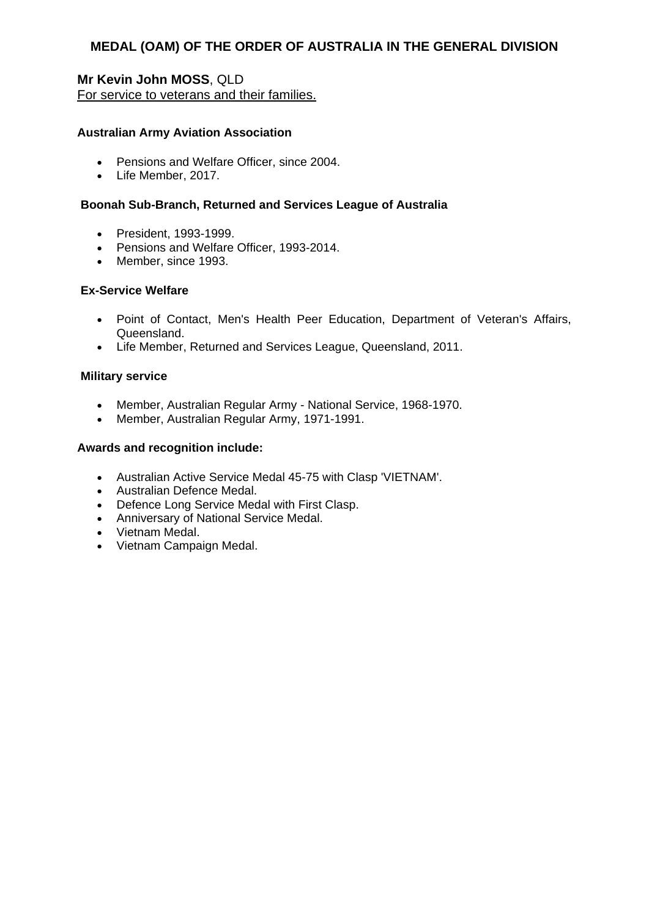# **Mr Kevin John MOSS**, QLD For service to veterans and their families.

# **Australian Army Aviation Association**

- Pensions and Welfare Officer, since 2004.
- Life Member, 2017.

# **Boonah Sub-Branch, Returned and Services League of Australia**

- President, 1993-1999.
- Pensions and Welfare Officer, 1993-2014.
- Member, since 1993.

# **Ex-Service Welfare**

- Point of Contact, Men's Health Peer Education, Department of Veteran's Affairs, Queensland.
- Life Member, Returned and Services League, Queensland, 2011.

## **Military service**

- Member, Australian Regular Army National Service, 1968-1970.
- Member, Australian Regular Army, 1971-1991.

- Australian Active Service Medal 45-75 with Clasp 'VIETNAM'.
- Australian Defence Medal.
- Defence Long Service Medal with First Clasp.
- Anniversary of National Service Medal.
- Vietnam Medal.
- Vietnam Campaign Medal.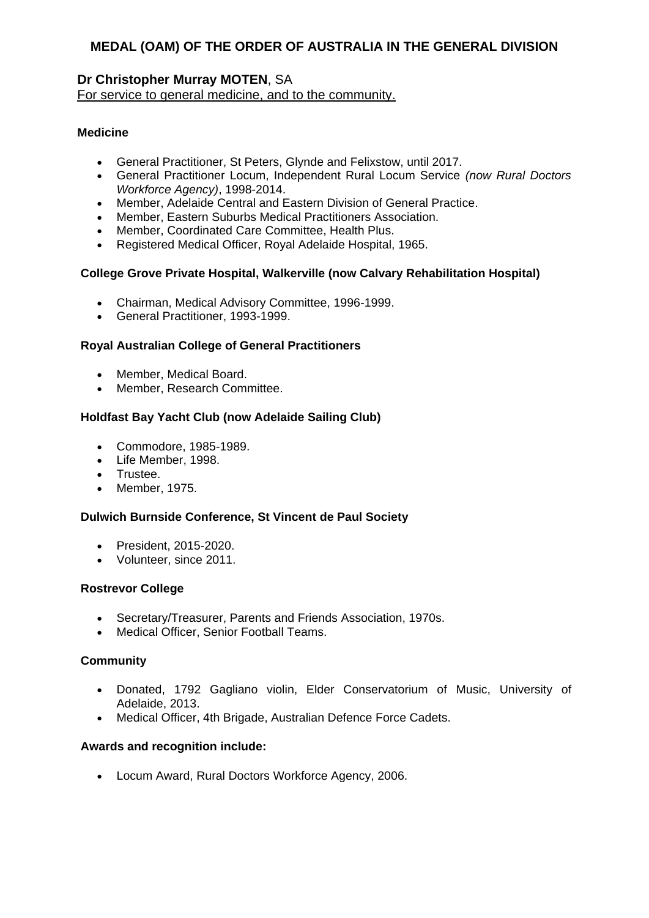# **Dr Christopher Murray MOTEN**, SA

For service to general medicine, and to the community.

# **Medicine**

- General Practitioner, St Peters, Glynde and Felixstow, until 2017.
- General Practitioner Locum, Independent Rural Locum Service *(now Rural Doctors Workforce Agency)*, 1998-2014.
- Member, Adelaide Central and Eastern Division of General Practice.
- Member, Eastern Suburbs Medical Practitioners Association.
- Member, Coordinated Care Committee, Health Plus.
- Registered Medical Officer, Royal Adelaide Hospital, 1965.

# **College Grove Private Hospital, Walkerville (now Calvary Rehabilitation Hospital)**

- Chairman, Medical Advisory Committee, 1996-1999.
- General Practitioner, 1993-1999.

# **Royal Australian College of General Practitioners**

- Member, Medical Board.
- Member, Research Committee.

# **Holdfast Bay Yacht Club (now Adelaide Sailing Club)**

- Commodore, 1985-1989.
- Life Member, 1998.
- **•** Trustee.
- Member, 1975.

## **Dulwich Burnside Conference, St Vincent de Paul Society**

- President, 2015-2020.
- Volunteer, since 2011.

## **Rostrevor College**

- Secretary/Treasurer, Parents and Friends Association, 1970s.
- Medical Officer, Senior Football Teams.

## **Community**

- Donated, 1792 Gagliano violin, Elder Conservatorium of Music, University of Adelaide, 2013.
- Medical Officer, 4th Brigade, Australian Defence Force Cadets.

## **Awards and recognition include:**

Locum Award, Rural Doctors Workforce Agency, 2006.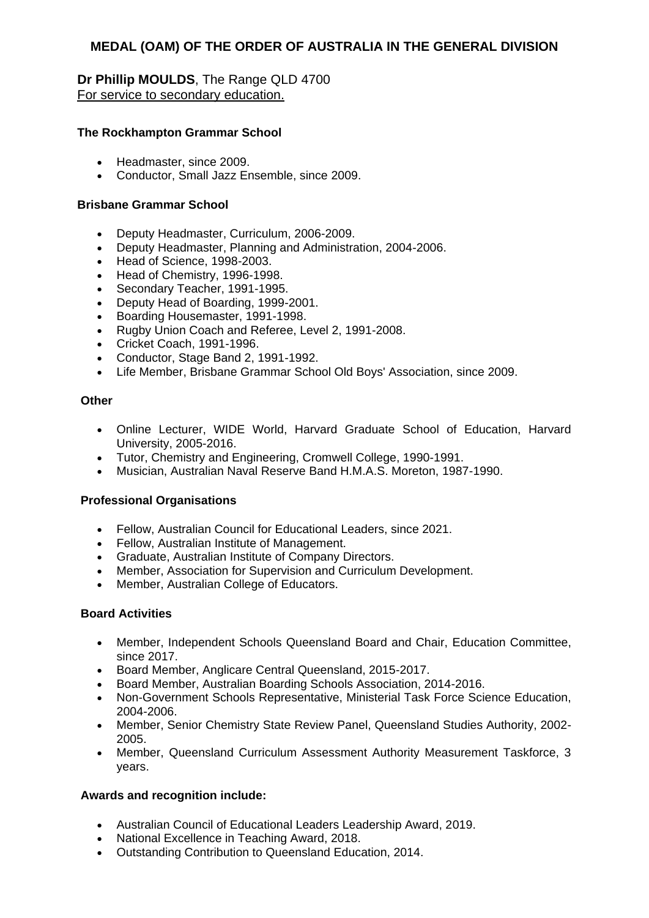# **Dr Phillip MOULDS**, The Range QLD 4700 For service to secondary education.

## **The Rockhampton Grammar School**

- Headmaster, since 2009.
- Conductor, Small Jazz Ensemble, since 2009.

#### **Brisbane Grammar School**

- Deputy Headmaster, Curriculum, 2006-2009.
- Deputy Headmaster, Planning and Administration, 2004-2006.
- Head of Science, 1998-2003.
- Head of Chemistry, 1996-1998.
- Secondary Teacher, 1991-1995.
- Deputy Head of Boarding, 1999-2001.
- Boarding Housemaster, 1991-1998.
- Rugby Union Coach and Referee, Level 2, 1991-2008.
- Cricket Coach, 1991-1996.
- Conductor, Stage Band 2, 1991-1992.
- Life Member, Brisbane Grammar School Old Boys' Association, since 2009.

#### **Other**

- Online Lecturer, WIDE World, Harvard Graduate School of Education, Harvard University, 2005-2016.
- Tutor, Chemistry and Engineering, Cromwell College, 1990-1991.
- Musician, Australian Naval Reserve Band H.M.A.S. Moreton, 1987-1990.

## **Professional Organisations**

- Fellow, Australian Council for Educational Leaders, since 2021.
- Fellow, Australian Institute of Management.
- Graduate, Australian Institute of Company Directors.
- Member, Association for Supervision and Curriculum Development.
- Member, Australian College of Educators.

#### **Board Activities**

- Member, Independent Schools Queensland Board and Chair, Education Committee, since 2017.
- Board Member, Anglicare Central Queensland, 2015-2017.
- Board Member, Australian Boarding Schools Association, 2014-2016.
- Non-Government Schools Representative, Ministerial Task Force Science Education, 2004-2006.
- Member, Senior Chemistry State Review Panel, Queensland Studies Authority, 2002- 2005.
- Member, Queensland Curriculum Assessment Authority Measurement Taskforce, 3 years.

- Australian Council of Educational Leaders Leadership Award, 2019.
- National Excellence in Teaching Award, 2018.
- Outstanding Contribution to Queensland Education, 2014.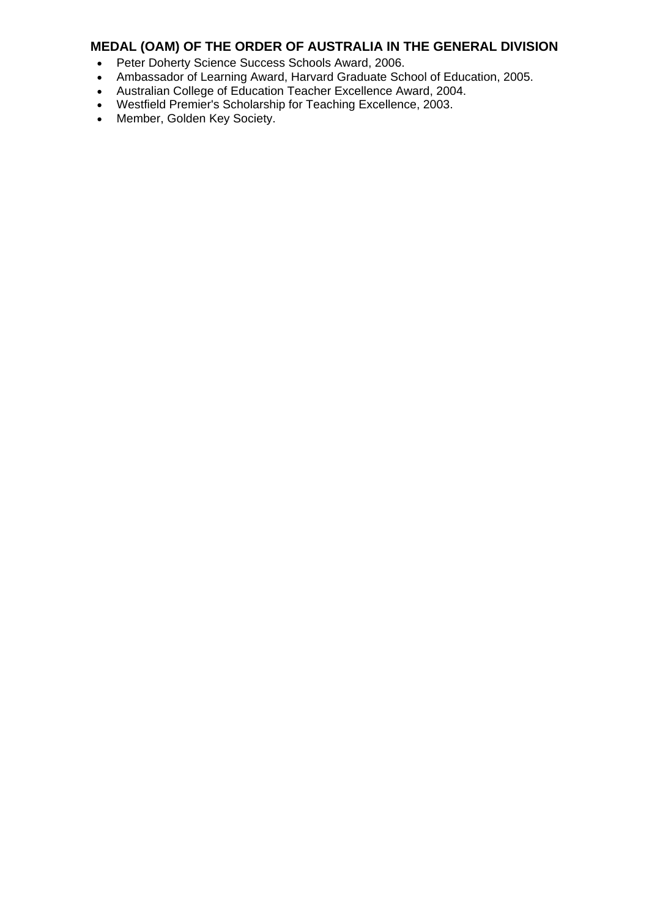- Peter Doherty Science Success Schools Award, 2006.
- Ambassador of Learning Award, Harvard Graduate School of Education, 2005.
- Australian College of Education Teacher Excellence Award, 2004.
- Westfield Premier's Scholarship for Teaching Excellence, 2003.
- Member, Golden Key Society.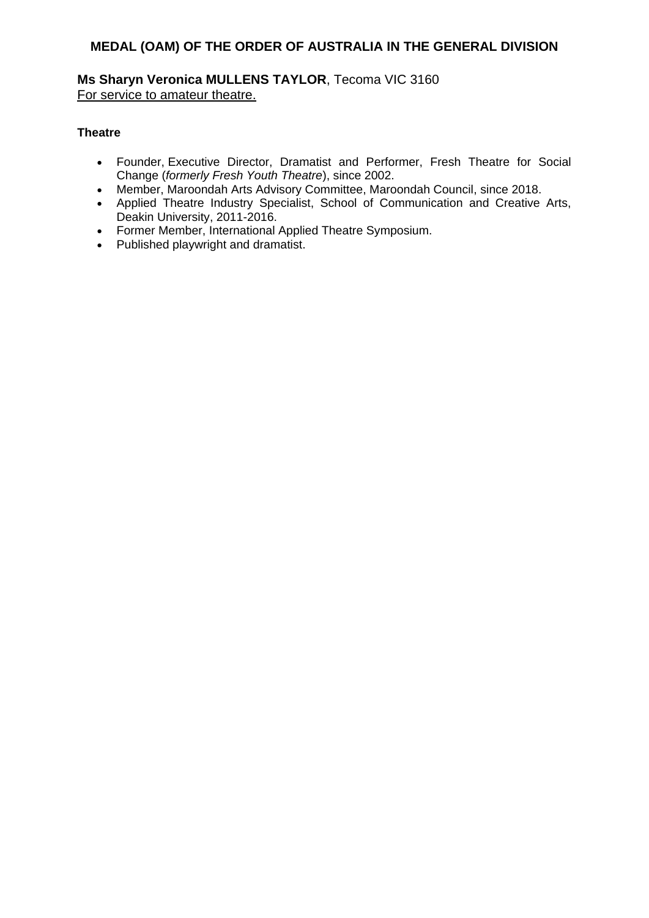# **Ms Sharyn Veronica MULLENS TAYLOR**, Tecoma VIC 3160 For service to amateur theatre.

# **Theatre**

- Founder, Executive Director, Dramatist and Performer, Fresh Theatre for Social Change (*formerly Fresh Youth Theatre*), since 2002.
- Member, Maroondah Arts Advisory Committee, Maroondah Council, since 2018.
- Applied Theatre Industry Specialist, School of Communication and Creative Arts, Deakin University, 2011-2016.
- Former Member, International Applied Theatre Symposium.
- Published playwright and dramatist.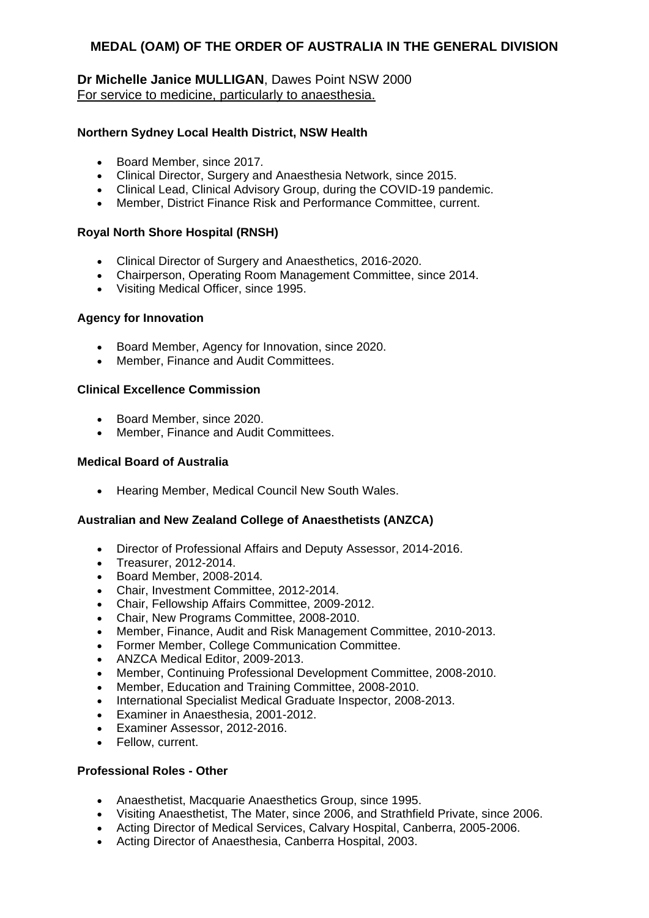# **Dr Michelle Janice MULLIGAN**, Dawes Point NSW 2000 For service to medicine, particularly to anaesthesia.

# **Northern Sydney Local Health District, NSW Health**

- Board Member, since 2017*.*
- Clinical Director, Surgery and Anaesthesia Network, since 2015.
- Clinical Lead, Clinical Advisory Group, during the COVID-19 pandemic.
- Member, District Finance Risk and Performance Committee, current.

# **Royal North Shore Hospital (RNSH)**

- Clinical Director of Surgery and Anaesthetics, 2016-2020.
- Chairperson, Operating Room Management Committee, since 2014.
- Visiting Medical Officer, since 1995.

# **Agency for Innovation**

- Board Member, Agency for Innovation, since 2020.
- Member, Finance and Audit Committees.

## **Clinical Excellence Commission**

- Board Member, since 2020.
- Member, Finance and Audit Committees.

# **Medical Board of Australia**

• Hearing Member, Medical Council New South Wales.

## **Australian and New Zealand College of Anaesthetists (ANZCA)**

- Director of Professional Affairs and Deputy Assessor, 2014-2016.
- Treasurer, 2012-2014.
- Board Member, 2008-2014*.*
- Chair, Investment Committee, 2012-2014.
- Chair, Fellowship Affairs Committee, 2009-2012.
- Chair, New Programs Committee, 2008-2010.
- Member, Finance, Audit and Risk Management Committee, 2010-2013.
- Former Member, College Communication Committee.
- ANZCA Medical Editor, 2009-2013.
- Member, Continuing Professional Development Committee, 2008-2010.
- Member, Education and Training Committee, 2008-2010.
- International Specialist Medical Graduate Inspector, 2008-2013.
- Examiner in Anaesthesia, 2001-2012.
- Examiner Assessor, 2012-2016.
- Fellow, current.

# **Professional Roles - Other**

- Anaesthetist, Macquarie Anaesthetics Group, since 1995.
- Visiting Anaesthetist, The Mater, since 2006, and Strathfield Private, since 2006.
- Acting Director of Medical Services, Calvary Hospital, Canberra, 2005-2006.
- Acting Director of Anaesthesia, Canberra Hospital, 2003.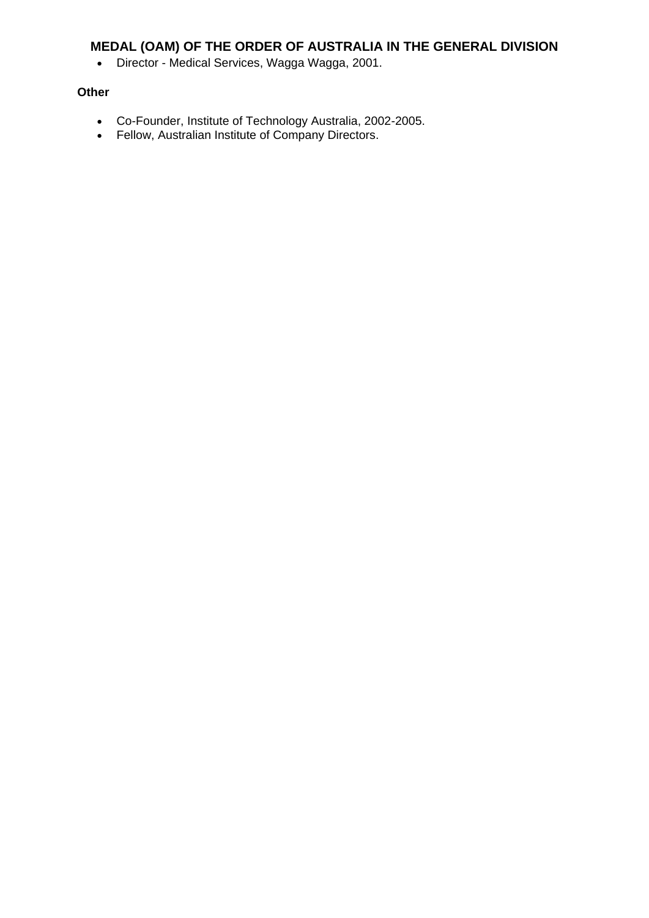Director - Medical Services, Wagga Wagga, 2001.

# **Other**

- Co-Founder, Institute of Technology Australia, 2002-2005.
- Fellow, Australian Institute of Company Directors.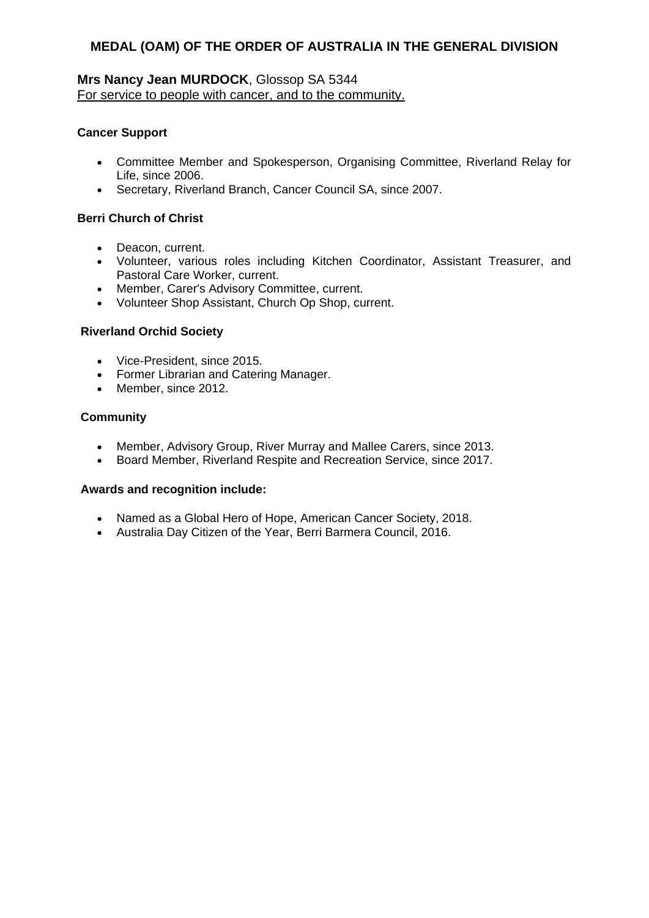# **Mrs Nancy Jean MURDOCK**, Glossop SA 5344 For service to people with cancer, and to the community.

## **Cancer Support**

- Committee Member and Spokesperson, Organising Committee, Riverland Relay for Life, since 2006.
- Secretary, Riverland Branch, Cancer Council SA, since 2007.

# **Berri Church of Christ**

- Deacon, current.
- Volunteer, various roles including Kitchen Coordinator, Assistant Treasurer, and Pastoral Care Worker, current.
- Member, Carer's Advisory Committee, current.
- Volunteer Shop Assistant, Church Op Shop, current.

# **Riverland Orchid Society**

- Vice-President, since 2015.
- Former Librarian and Catering Manager.
- Member, since 2012.

## **Community**

- Member, Advisory Group, River Murray and Mallee Carers, since 2013.
- Board Member, Riverland Respite and Recreation Service, since 2017.

- Named as a Global Hero of Hope, American Cancer Society, 2018.
- Australia Day Citizen of the Year, Berri Barmera Council, 2016.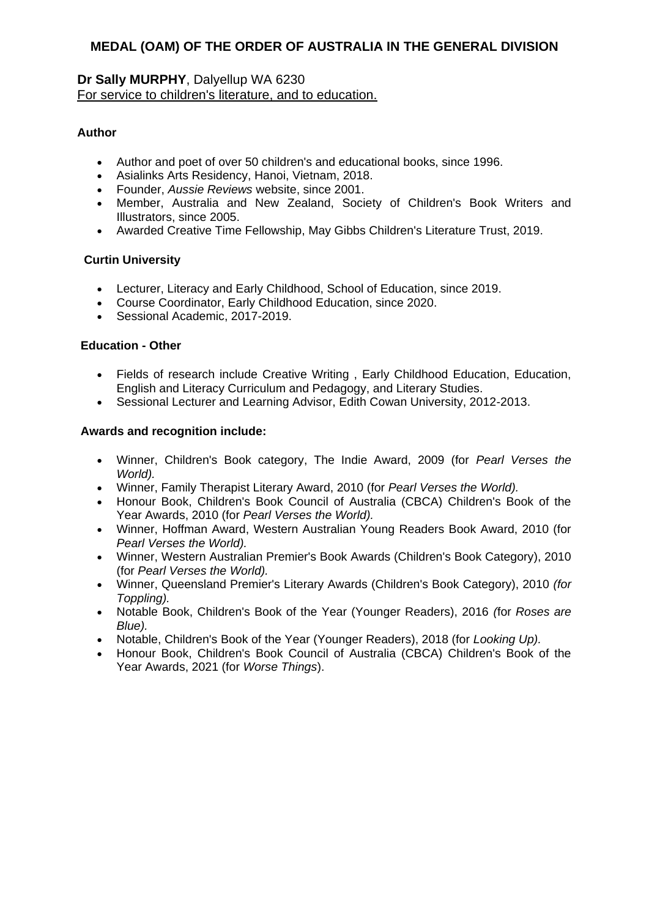# **Dr Sally MURPHY**, Dalyellup WA 6230 For service to children's literature, and to education.

# **Author**

- Author and poet of over 50 children's and educational books, since 1996.
- Asialinks Arts Residency, Hanoi, Vietnam, 2018.
- Founder, *Aussie Reviews* website, since 2001.
- Member, Australia and New Zealand, Society of Children's Book Writers and Illustrators, since 2005.
- Awarded Creative Time Fellowship, May Gibbs Children's Literature Trust, 2019.

# **Curtin University**

- Lecturer, Literacy and Early Childhood, School of Education, since 2019.
- Course Coordinator, Early Childhood Education, since 2020.
- Sessional Academic, 2017-2019.

# **Education - Other**

- Fields of research include Creative Writing , Early Childhood Education, Education, English and Literacy Curriculum and Pedagogy, and Literary Studies.
- Sessional Lecturer and Learning Advisor, Edith Cowan University, 2012-2013.

- Winner, Children's Book category, The Indie Award, 2009 (for *Pearl Verses the World).*
- Winner, Family Therapist Literary Award, 2010 (for *Pearl Verses the World).*
- Honour Book, Children's Book Council of Australia (CBCA) Children's Book of the Year Awards, 2010 (for *Pearl Verses the World).*
- Winner, Hoffman Award, Western Australian Young Readers Book Award, 2010 (for *Pearl Verses the World).*
- Winner, Western Australian Premier's Book Awards (Children's Book Category), 2010 (for *Pearl Verses the World).*
- Winner, Queensland Premier's Literary Awards (Children's Book Category), 2010 *(for Toppling).*
- Notable Book, Children's Book of the Year (Younger Readers), 2016 *(*for *Roses are Blue).*
- Notable, Children's Book of the Year (Younger Readers), 2018 (for *Looking Up).*
- Honour Book, Children's Book Council of Australia (CBCA) Children's Book of the Year Awards, 2021 (for *Worse Things*).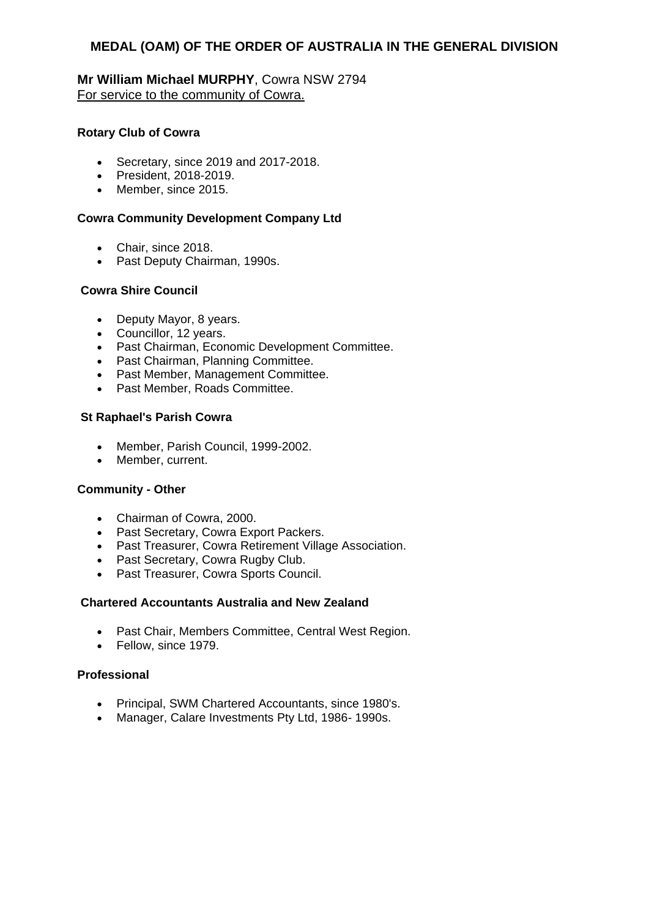# **Mr William Michael MURPHY**, Cowra NSW 2794 For service to the community of Cowra.

# **Rotary Club of Cowra**

- Secretary, since 2019 and 2017-2018.
- President, 2018-2019.
- Member, since 2015.

## **Cowra Community Development Company Ltd**

- Chair, since 2018.
- Past Deputy Chairman, 1990s.

## **Cowra Shire Council**

- Deputy Mayor, 8 years.
- Councillor, 12 years.
- Past Chairman, Economic Development Committee.
- Past Chairman, Planning Committee.
- Past Member, Management Committee.
- Past Member, Roads Committee.

#### **St Raphael's Parish Cowra**

- Member, Parish Council, 1999-2002.
- Member, current.

## **Community - Other**

- Chairman of Cowra, 2000.
- Past Secretary, Cowra Export Packers.
- Past Treasurer, Cowra Retirement Village Association.
- Past Secretary, Cowra Rugby Club.
- Past Treasurer, Cowra Sports Council.

#### **Chartered Accountants Australia and New Zealand**

- Past Chair, Members Committee, Central West Region.
- Fellow, since 1979.

#### **Professional**

- Principal, SWM Chartered Accountants, since 1980's.
- Manager, Calare Investments Pty Ltd, 1986-1990s.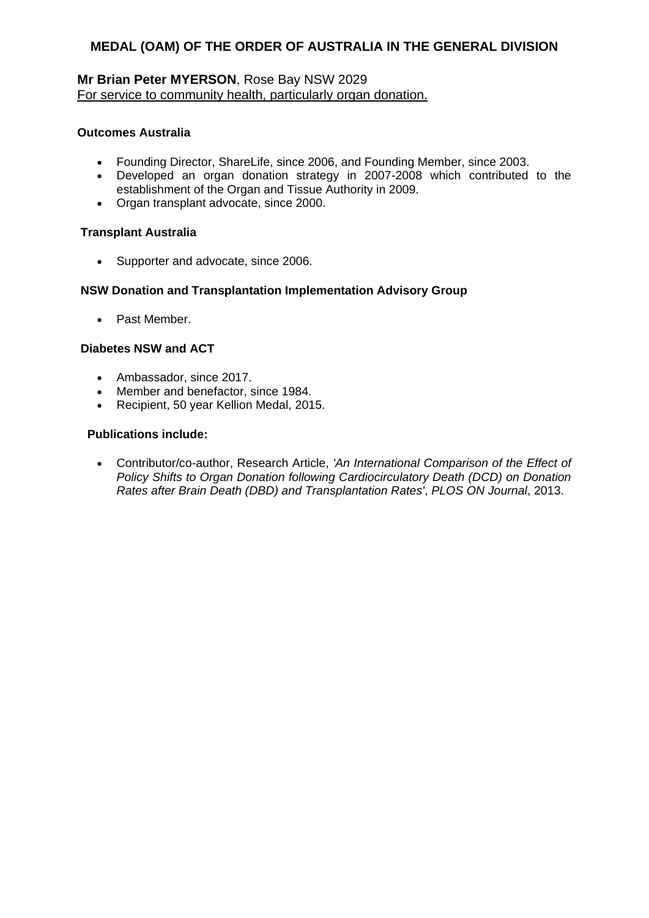# **Mr Brian Peter MYERSON**, Rose Bay NSW 2029 For service to community health, particularly organ donation.

## **Outcomes Australia**

- Founding Director, ShareLife, since 2006, and Founding Member, since 2003.
- Developed an organ donation strategy in 2007-2008 which contributed to the establishment of the Organ and Tissue Authority in 2009.
- Organ transplant advocate, since 2000.

## **Transplant Australia**

• Supporter and advocate, since 2006.

## **NSW Donation and Transplantation Implementation Advisory Group**

Past Member.

## **Diabetes NSW and ACT**

- Ambassador, since 2017.
- Member and benefactor, since 1984.
- Recipient, 50 year Kellion Medal, 2015.

#### **Publications include:**

 Contributor/co-author, Research Article, *'An International Comparison of the Effect of Policy Shifts to Organ Donation following Cardiocirculatory Death (DCD) on Donation Rates after Brain Death (DBD) and Transplantation Rates'*, *PLOS ON Journal*, 2013.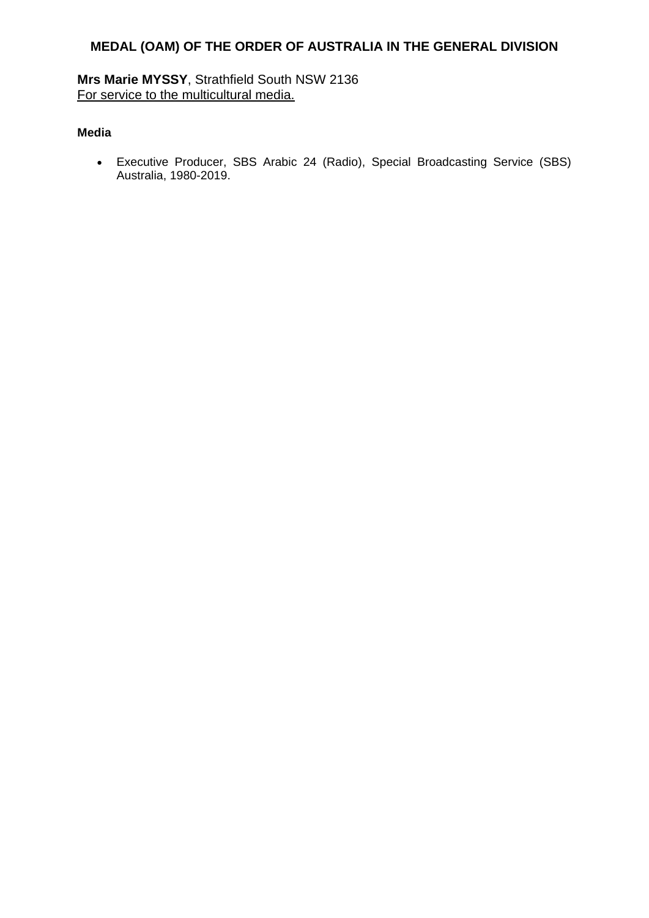**Mrs Marie MYSSY**, Strathfield South NSW 2136 For service to the multicultural media.

# **Media**

 Executive Producer, SBS Arabic 24 (Radio), Special Broadcasting Service (SBS) Australia, 1980-2019.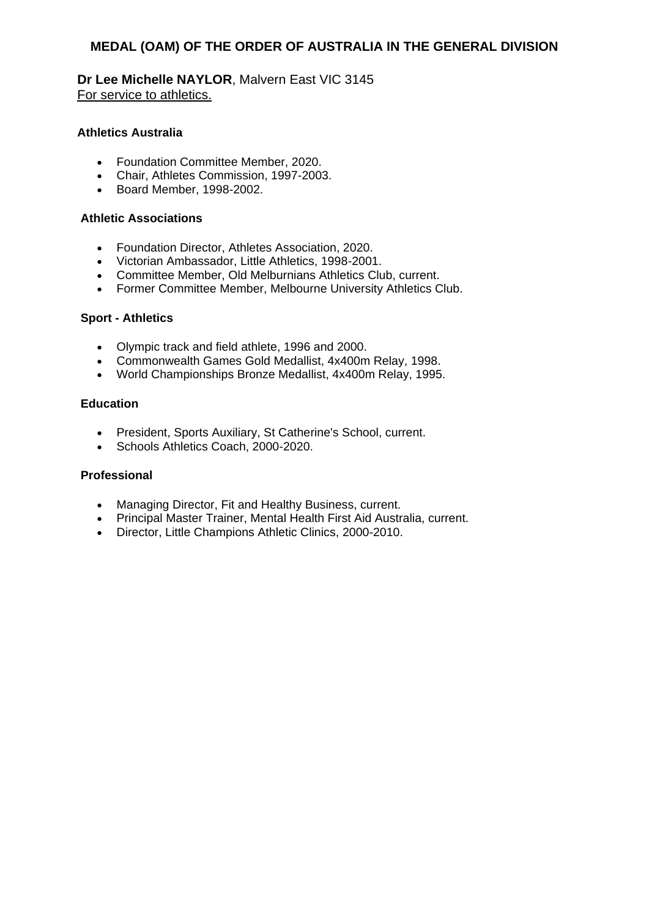**Dr Lee Michelle NAYLOR**, Malvern East VIC 3145 For service to athletics.

# **Athletics Australia**

- Foundation Committee Member, 2020.
- Chair, Athletes Commission, 1997-2003.
- Board Member, 1998-2002.

#### **Athletic Associations**

- Foundation Director, Athletes Association, 2020.
- Victorian Ambassador, Little Athletics, 1998-2001.
- Committee Member, Old Melburnians Athletics Club, current.
- Former Committee Member, Melbourne University Athletics Club.

#### **Sport - Athletics**

- Olympic track and field athlete, 1996 and 2000.
- Commonwealth Games Gold Medallist, 4x400m Relay, 1998.
- World Championships Bronze Medallist, 4x400m Relay, 1995.

#### **Education**

- President, Sports Auxiliary, St Catherine's School, current.
- Schools Athletics Coach, 2000-2020.

## **Professional**

- Managing Director, Fit and Healthy Business, current.
- Principal Master Trainer, Mental Health First Aid Australia, current.
- Director, Little Champions Athletic Clinics, 2000-2010.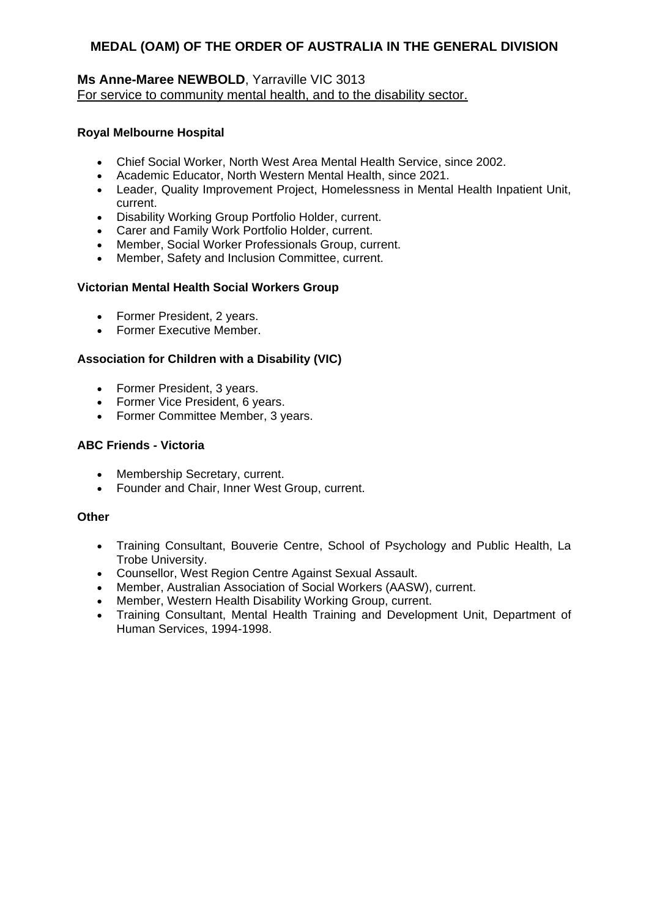# **Ms Anne-Maree NEWBOLD**, Yarraville VIC 3013 For service to community mental health, and to the disability sector.

# **Royal Melbourne Hospital**

- Chief Social Worker, North West Area Mental Health Service, since 2002.
- Academic Educator, North Western Mental Health, since 2021.
- Leader, Quality Improvement Project, Homelessness in Mental Health Inpatient Unit, current.
- Disability Working Group Portfolio Holder, current.
- Carer and Family Work Portfolio Holder, current.
- Member, Social Worker Professionals Group, current.
- Member, Safety and Inclusion Committee, current.

## **Victorian Mental Health Social Workers Group**

- Former President, 2 years.
- Former Executive Member.

# **Association for Children with a Disability (VIC)**

- Former President, 3 years.
- Former Vice President, 6 years.
- Former Committee Member, 3 years.

# **ABC Friends - Victoria**

- Membership Secretary, current.
- Founder and Chair, Inner West Group, current.

## **Other**

- Training Consultant, Bouverie Centre, School of Psychology and Public Health, La Trobe University.
- Counsellor, West Region Centre Against Sexual Assault.
- Member, Australian Association of Social Workers (AASW), current.
- Member, Western Health Disability Working Group, current.
- Training Consultant, Mental Health Training and Development Unit, Department of Human Services, 1994-1998.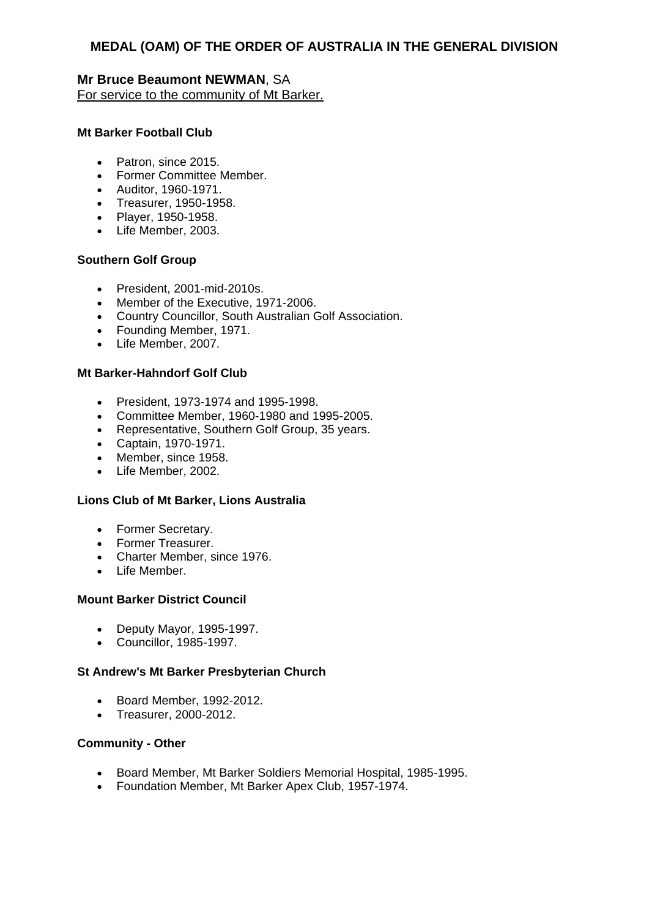# **Mr Bruce Beaumont NEWMAN**, SA For service to the community of Mt Barker.

## **Mt Barker Football Club**

- Patron, since 2015.
- Former Committee Member.
- Auditor, 1960-1971.
- Treasurer, 1950-1958.
- Player, 1950-1958.
- Life Member, 2003.

## **Southern Golf Group**

- President, 2001-mid-2010s.
- Member of the Executive, 1971-2006.
- Country Councillor, South Australian Golf Association.
- Founding Member, 1971.
- Life Member, 2007.

# **Mt Barker-Hahndorf Golf Club**

- President, 1973-1974 and 1995-1998.
- Committee Member, 1960-1980 and 1995-2005.
- Representative, Southern Golf Group, 35 years.
- Captain, 1970-1971.
- Member, since 1958.
- Life Member, 2002.

## **Lions Club of Mt Barker, Lions Australia**

- Former Secretary.
- Former Treasurer.
- Charter Member, since 1976.
- · Life Member.

## **Mount Barker District Council**

- Deputy Mayor, 1995-1997.
- Councillor, 1985-1997.

## **St Andrew's Mt Barker Presbyterian Church**

- Board Member, 1992-2012.
- Treasurer, 2000-2012.

## **Community - Other**

- Board Member, Mt Barker Soldiers Memorial Hospital, 1985-1995.
- Foundation Member, Mt Barker Apex Club, 1957-1974.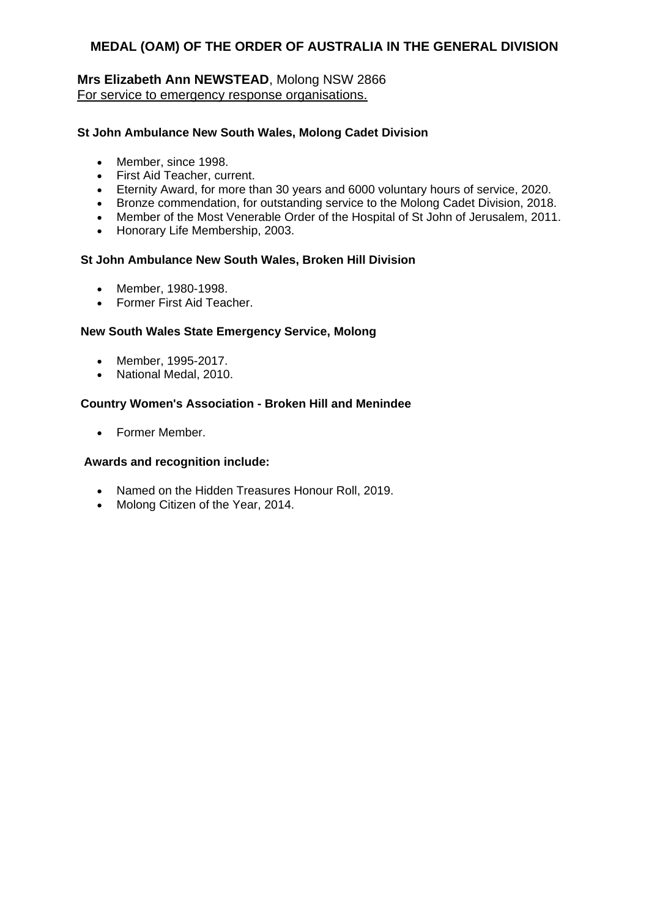# **Mrs Elizabeth Ann NEWSTEAD**, Molong NSW 2866 For service to emergency response organisations.

## **St John Ambulance New South Wales, Molong Cadet Division**

- Member, since 1998.
- First Aid Teacher, current.
- Eternity Award, for more than 30 years and 6000 voluntary hours of service, 2020.
- Bronze commendation, for outstanding service to the Molong Cadet Division, 2018.
- Member of the Most Venerable Order of the Hospital of St John of Jerusalem, 2011.
- Honorary Life Membership, 2003.

## **St John Ambulance New South Wales, Broken Hill Division**

- Member, 1980-1998.
- Former First Aid Teacher.

## **New South Wales State Emergency Service, Molong**

- Member, 1995-2017.
- National Medal, 2010.

## **Country Women's Association - Broken Hill and Menindee**

Former Member.

- Named on the Hidden Treasures Honour Roll, 2019.
- Molong Citizen of the Year, 2014.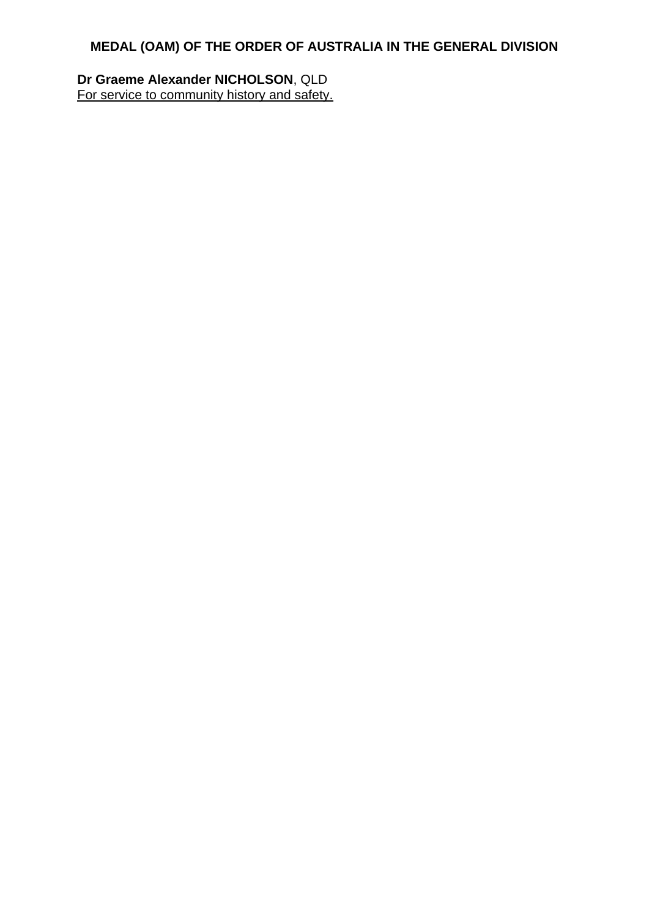**Dr Graeme Alexander NICHOLSON**, QLD For service to community history and safety.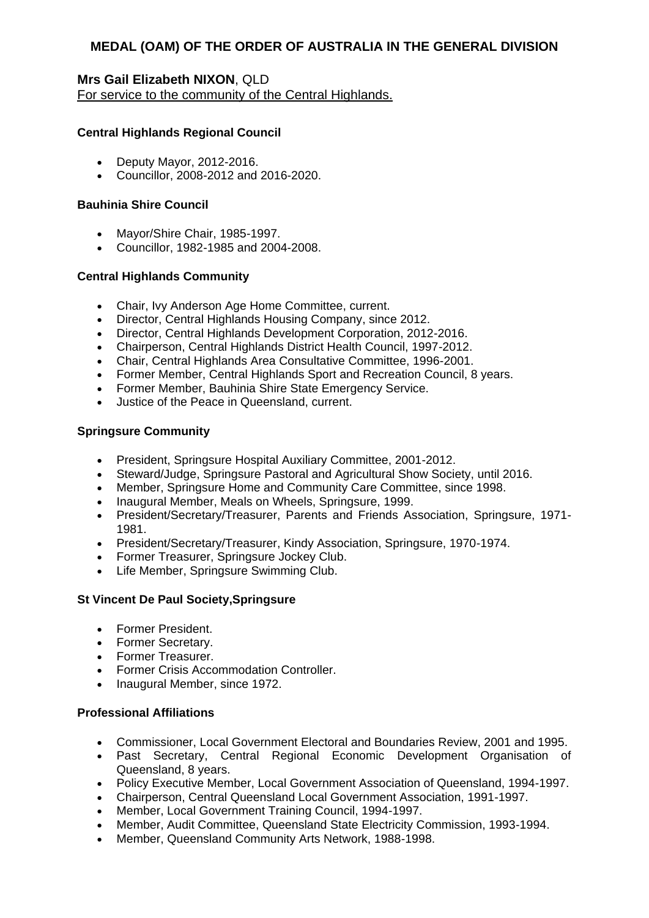### **Mrs Gail Elizabeth NIXON**, QLD

For service to the community of the Central Highlands.

### **Central Highlands Regional Council**

- Deputy Mayor, 2012-2016.
- Councillor, 2008-2012 and 2016-2020.

### **Bauhinia Shire Council**

- Mayor/Shire Chair, 1985-1997.
- Councillor, 1982-1985 and 2004-2008.

### **Central Highlands Community**

- Chair, Ivy Anderson Age Home Committee, current.
- Director, Central Highlands Housing Company, since 2012.
- Director, Central Highlands Development Corporation, 2012-2016.
- Chairperson, Central Highlands District Health Council, 1997-2012.
- Chair, Central Highlands Area Consultative Committee, 1996-2001.
- Former Member, Central Highlands Sport and Recreation Council, 8 years.
- Former Member, Bauhinia Shire State Emergency Service.
- Justice of the Peace in Queensland, current.

### **Springsure Community**

- President, Springsure Hospital Auxiliary Committee, 2001-2012.
- Steward/Judge, Springsure Pastoral and Agricultural Show Society, until 2016.
- Member, Springsure Home and Community Care Committee, since 1998.
- Inaugural Member, Meals on Wheels, Springsure, 1999.
- President/Secretary/Treasurer, Parents and Friends Association, Springsure, 1971- 1981.
- President/Secretary/Treasurer, Kindy Association, Springsure, 1970-1974.
- Former Treasurer, Springsure Jockey Club.
- Life Member, Springsure Swimming Club.

### **St Vincent De Paul Society,Springsure**

- Former President.
- Former Secretary.
- Former Treasurer.
- Former Crisis Accommodation Controller.
- Inaugural Member, since 1972.

### **Professional Affiliations**

- Commissioner, Local Government Electoral and Boundaries Review, 2001 and 1995.
- Past Secretary, Central Regional Economic Development Organisation of Queensland, 8 years.
- Policy Executive Member, Local Government Association of Queensland, 1994-1997.
- Chairperson, Central Queensland Local Government Association, 1991-1997.
- Member, Local Government Training Council, 1994-1997.
- Member, Audit Committee, Queensland State Electricity Commission, 1993-1994.
- Member, Queensland Community Arts Network, 1988-1998.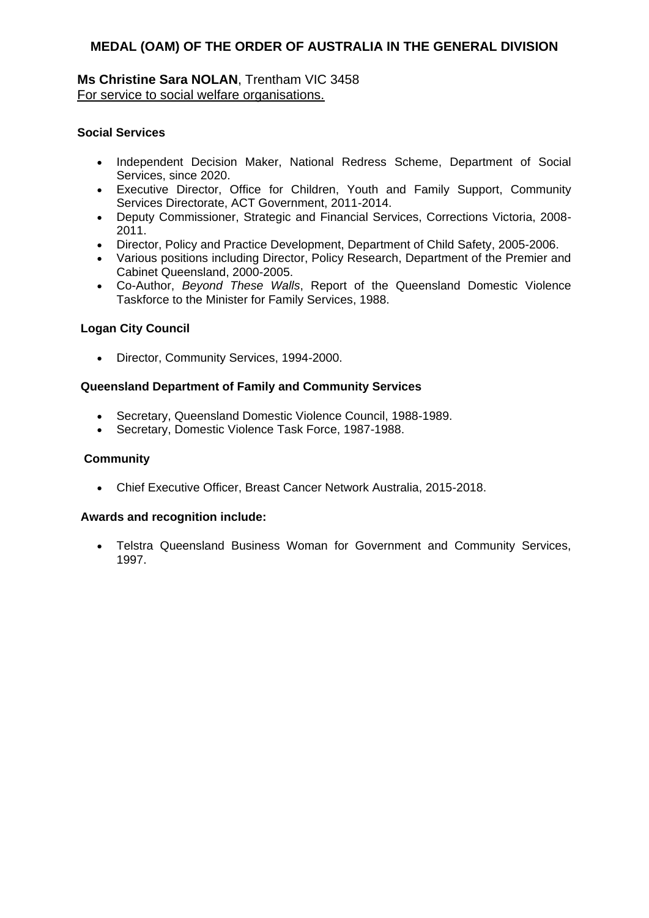### **Ms Christine Sara NOLAN**, Trentham VIC 3458 For service to social welfare organisations.

### **Social Services**

- Independent Decision Maker, National Redress Scheme, Department of Social Services, since 2020.
- Executive Director, Office for Children, Youth and Family Support, Community Services Directorate, ACT Government, 2011-2014.
- Deputy Commissioner, Strategic and Financial Services, Corrections Victoria, 2008- 2011.
- Director, Policy and Practice Development, Department of Child Safety, 2005-2006.
- Various positions including Director, Policy Research, Department of the Premier and Cabinet Queensland, 2000-2005.
- Co-Author, *Beyond These Walls*, Report of the Queensland Domestic Violence Taskforce to the Minister for Family Services, 1988.

### **Logan City Council**

Director, Community Services, 1994-2000.

### **Queensland Department of Family and Community Services**

- Secretary, Queensland Domestic Violence Council, 1988-1989.
- Secretary, Domestic Violence Task Force, 1987-1988.

### **Community**

Chief Executive Officer, Breast Cancer Network Australia, 2015-2018.

### **Awards and recognition include:**

 Telstra Queensland Business Woman for Government and Community Services, 1997.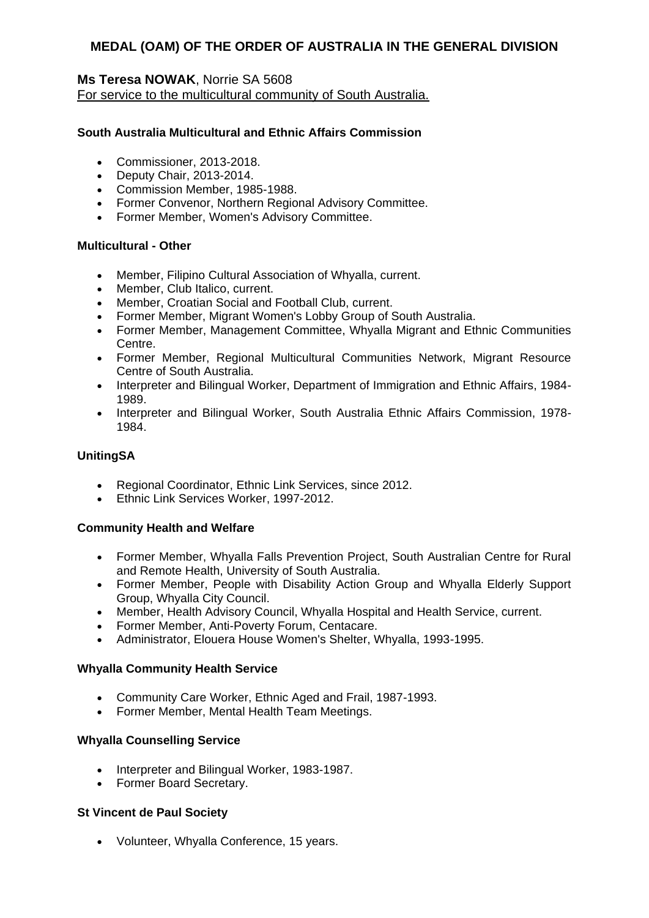### **Ms Teresa NOWAK**, Norrie SA 5608

For service to the multicultural community of South Australia.

### **South Australia Multicultural and Ethnic Affairs Commission**

- Commissioner, 2013-2018.
- Deputy Chair, 2013-2014.
- Commission Member, 1985-1988.
- Former Convenor, Northern Regional Advisory Committee.
- Former Member, Women's Advisory Committee.

#### **Multicultural - Other**

- Member, Filipino Cultural Association of Whyalla, current.
- Member, Club Italico, current.
- Member, Croatian Social and Football Club, current.
- Former Member, Migrant Women's Lobby Group of South Australia.
- Former Member, Management Committee, Whyalla Migrant and Ethnic Communities Centre.
- Former Member, Regional Multicultural Communities Network, Migrant Resource Centre of South Australia.
- Interpreter and Bilingual Worker, Department of Immigration and Ethnic Affairs, 1984-1989.
- Interpreter and Bilingual Worker, South Australia Ethnic Affairs Commission, 1978-1984.

### **UnitingSA**

- Regional Coordinator, Ethnic Link Services, since 2012.
- Ethnic Link Services Worker, 1997-2012.

### **Community Health and Welfare**

- Former Member, Whyalla Falls Prevention Project, South Australian Centre for Rural and Remote Health, University of South Australia.
- Former Member, People with Disability Action Group and Whyalla Elderly Support Group, Whyalla City Council.
- Member, Health Advisory Council, Whyalla Hospital and Health Service, current.
- Former Member, Anti-Poverty Forum, Centacare.
- Administrator, Elouera House Women's Shelter, Whyalla, 1993-1995.

### **Whyalla Community Health Service**

- Community Care Worker, Ethnic Aged and Frail, 1987-1993.
- Former Member, Mental Health Team Meetings.

### **Whyalla Counselling Service**

- Interpreter and Bilingual Worker, 1983-1987.
- Former Board Secretary.

### **St Vincent de Paul Society**

Volunteer, Whyalla Conference, 15 years.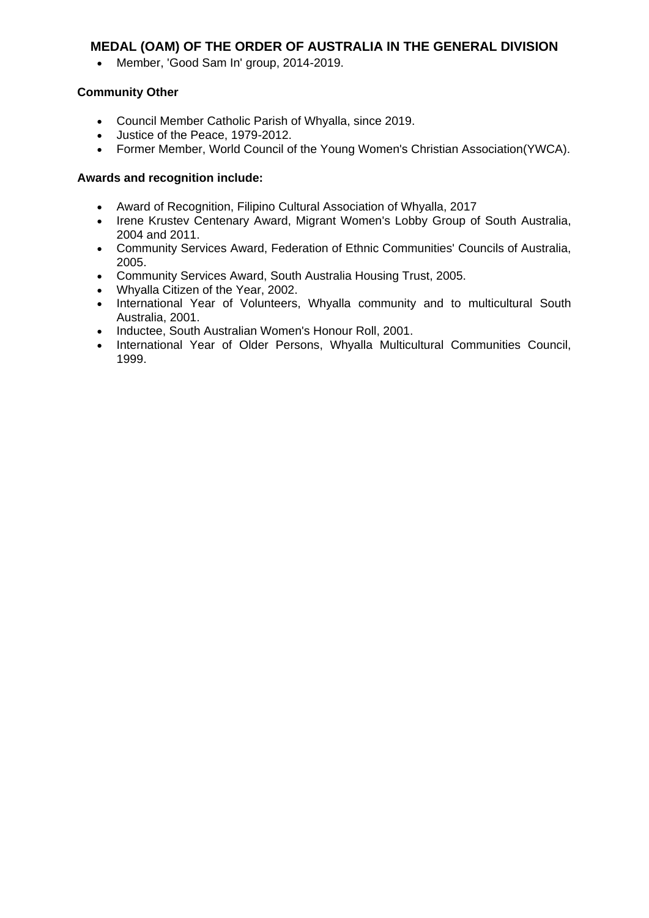Member, 'Good Sam In' group, 2014-2019.

# **Community Other**

- Council Member Catholic Parish of Whyalla, since 2019.
- Justice of the Peace, 1979-2012.
- Former Member, World Council of the Young Women's Christian Association(YWCA).

- Award of Recognition, Filipino Cultural Association of Whyalla, 2017
- Irene Krustev Centenary Award, Migrant Women's Lobby Group of South Australia, 2004 and 2011.
- Community Services Award, Federation of Ethnic Communities' Councils of Australia, 2005.
- Community Services Award, South Australia Housing Trust, 2005.
- Whyalla Citizen of the Year, 2002.
- International Year of Volunteers, Whyalla community and to multicultural South Australia, 2001.
- Inductee, South Australian Women's Honour Roll, 2001.
- International Year of Older Persons, Whyalla Multicultural Communities Council, 1999.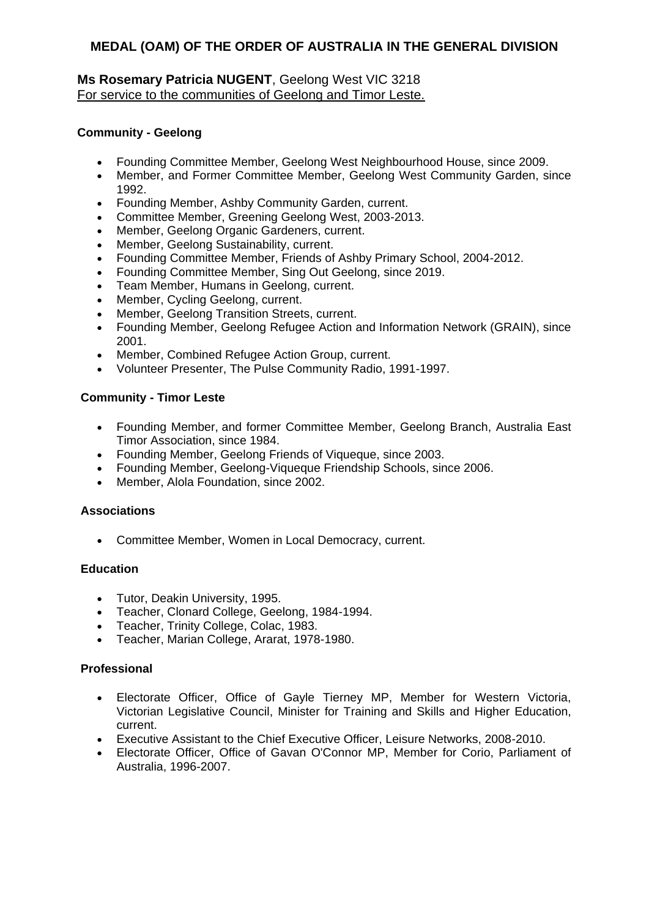# **Ms Rosemary Patricia NUGENT**, Geelong West VIC 3218 For service to the communities of Geelong and Timor Leste.

### **Community - Geelong**

- Founding Committee Member, Geelong West Neighbourhood House, since 2009.
- Member, and Former Committee Member, Geelong West Community Garden, since 1992.
- Founding Member, Ashby Community Garden, current.
- Committee Member, Greening Geelong West, 2003-2013.
- Member, Geelong Organic Gardeners, current.
- Member, Geelong Sustainability, current.
- Founding Committee Member, Friends of Ashby Primary School, 2004-2012.
- Founding Committee Member, Sing Out Geelong, since 2019.
- Team Member, Humans in Geelong, current.
- Member, Cycling Geelong, current.
- Member, Geelong Transition Streets, current.
- Founding Member, Geelong Refugee Action and Information Network (GRAIN), since 2001.
- Member, Combined Refugee Action Group, current.
- Volunteer Presenter, The Pulse Community Radio, 1991-1997.

### **Community - Timor Leste**

- Founding Member, and former Committee Member, Geelong Branch, Australia East Timor Association, since 1984.
- Founding Member, Geelong Friends of Viqueque, since 2003.
- Founding Member, Geelong-Viqueque Friendship Schools, since 2006.
- Member, Alola Foundation, since 2002.

### **Associations**

Committee Member, Women in Local Democracy, current.

### **Education**

- Tutor, Deakin University, 1995.
- Teacher, Clonard College, Geelong, 1984-1994.
- Teacher, Trinity College, Colac, 1983.
- Teacher, Marian College, Ararat, 1978-1980.

# **Professional**

- Electorate Officer, Office of Gayle Tierney MP, Member for Western Victoria, Victorian Legislative Council, Minister for Training and Skills and Higher Education, current.
- Executive Assistant to the Chief Executive Officer, Leisure Networks, 2008-2010.
- Electorate Officer, Office of Gavan O'Connor MP, Member for Corio, Parliament of Australia, 1996-2007.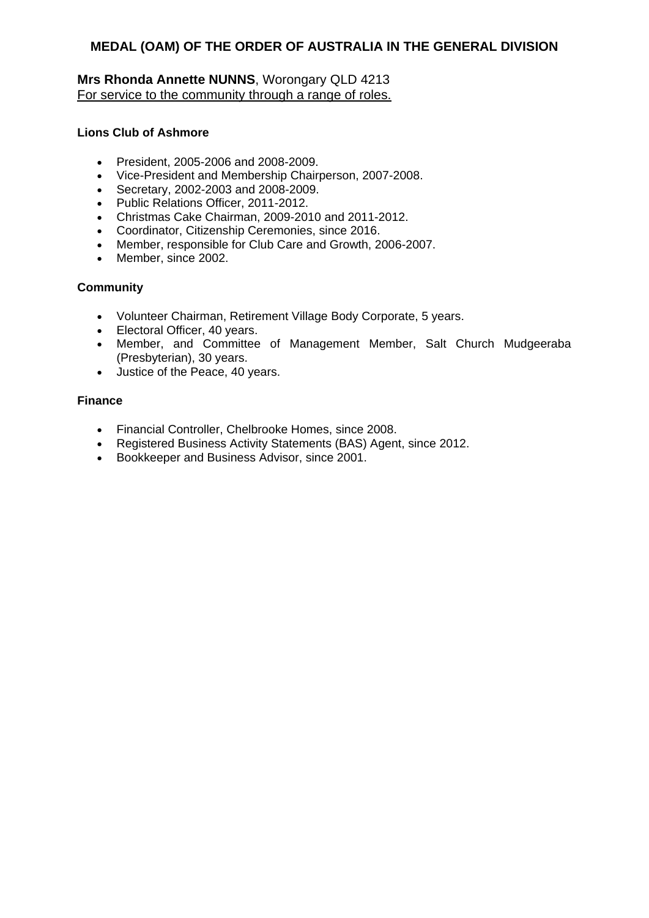# **Mrs Rhonda Annette NUNNS**, Worongary QLD 4213 For service to the community through a range of roles.

### **Lions Club of Ashmore**

- President, 2005-2006 and 2008-2009.
- Vice-President and Membership Chairperson, 2007-2008.
- Secretary, 2002-2003 and 2008-2009.
- Public Relations Officer, 2011-2012.
- Christmas Cake Chairman, 2009-2010 and 2011-2012.
- Coordinator, Citizenship Ceremonies, since 2016.
- Member, responsible for Club Care and Growth, 2006-2007.
- Member, since 2002.

### **Community**

- Volunteer Chairman, Retirement Village Body Corporate, 5 years.
- Electoral Officer, 40 years.
- Member, and Committee of Management Member, Salt Church Mudgeeraba (Presbyterian), 30 years.
- Justice of the Peace, 40 years.

### **Finance**

- Financial Controller, Chelbrooke Homes, since 2008.
- Registered Business Activity Statements (BAS) Agent, since 2012.
- Bookkeeper and Business Advisor, since 2001.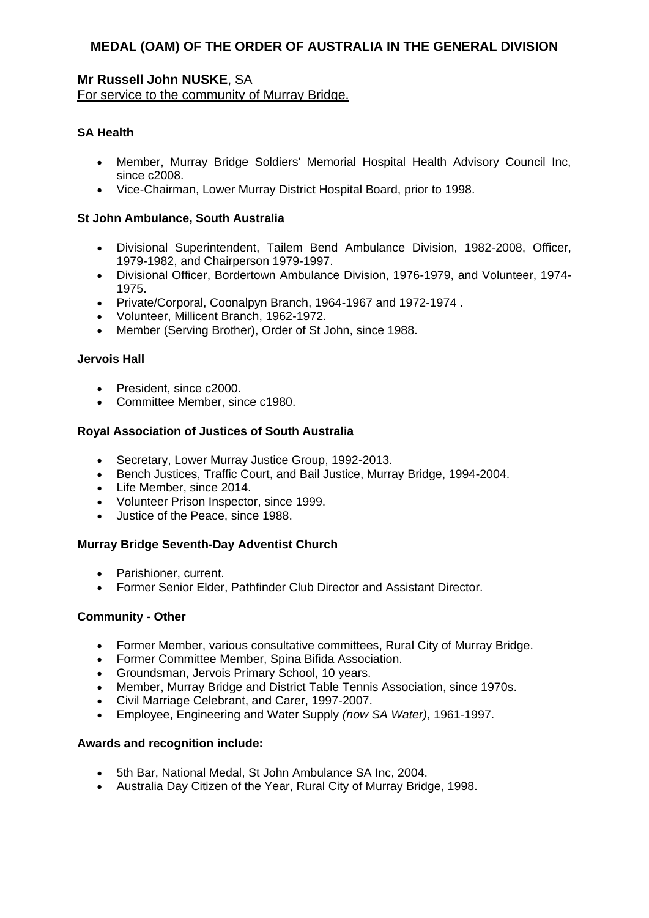# **Mr Russell John NUSKE**, SA

For service to the community of Murray Bridge.

### **SA Health**

- Member, Murray Bridge Soldiers' Memorial Hospital Health Advisory Council Inc, since c<sub>2008</sub>.
- Vice-Chairman, Lower Murray District Hospital Board, prior to 1998.

### **St John Ambulance, South Australia**

- Divisional Superintendent, Tailem Bend Ambulance Division, 1982-2008, Officer, 1979-1982, and Chairperson 1979-1997.
- Divisional Officer, Bordertown Ambulance Division, 1976-1979, and Volunteer, 1974- 1975.
- Private/Corporal, Coonalpyn Branch, 1964-1967 and 1972-1974 .
- Volunteer, Millicent Branch, 1962-1972.
- Member (Serving Brother), Order of St John, since 1988.

#### **Jervois Hall**

- President, since c2000.
- Committee Member, since c1980.

### **Royal Association of Justices of South Australia**

- Secretary, Lower Murray Justice Group, 1992-2013.
- **Bench Justices, Traffic Court, and Bail Justice, Murray Bridge, 1994-2004.**
- Life Member, since 2014.
- Volunteer Prison Inspector, since 1999.
- Justice of the Peace, since 1988.

### **Murray Bridge Seventh-Day Adventist Church**

- Parishioner, current.
- Former Senior Elder, Pathfinder Club Director and Assistant Director.

### **Community - Other**

- Former Member, various consultative committees, Rural City of Murray Bridge.
- Former Committee Member, Spina Bifida Association.
- Groundsman, Jervois Primary School, 10 years.
- Member, Murray Bridge and District Table Tennis Association, since 1970s.
- Civil Marriage Celebrant, and Carer, 1997-2007.
- Employee, Engineering and Water Supply *(now SA Water)*, 1961-1997.

- 5th Bar, National Medal, St John Ambulance SA Inc, 2004.
- Australia Day Citizen of the Year, Rural City of Murray Bridge, 1998.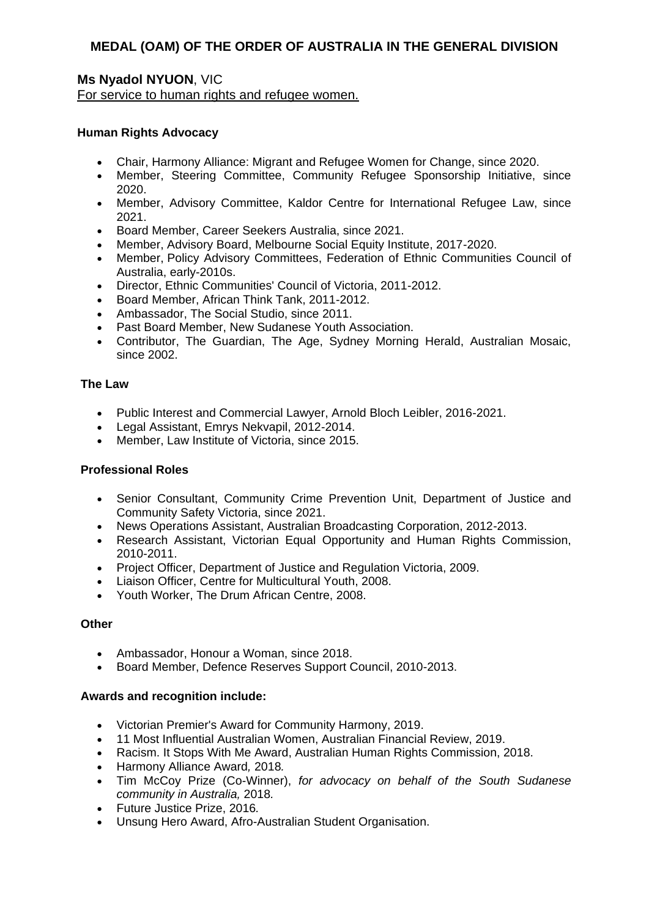# **Ms Nyadol NYUON**, VIC

For service to human rights and refugee women.

### **Human Rights Advocacy**

- Chair, Harmony Alliance: Migrant and Refugee Women for Change, since 2020.
- Member, Steering Committee, Community Refugee Sponsorship Initiative, since 2020.
- Member, Advisory Committee, Kaldor Centre for International Refugee Law, since 2021.
- Board Member, Career Seekers Australia, since 2021.
- Member, Advisory Board, Melbourne Social Equity Institute, 2017-2020.
- Member, Policy Advisory Committees, Federation of Ethnic Communities Council of Australia, early-2010s.
- Director, Ethnic Communities' Council of Victoria, 2011-2012.
- Board Member, African Think Tank, 2011-2012.
- Ambassador, The Social Studio, since 2011.
- Past Board Member, New Sudanese Youth Association.
- Contributor, The Guardian, The Age, Sydney Morning Herald, Australian Mosaic, since 2002.

### **The Law**

- Public Interest and Commercial Lawyer, Arnold Bloch Leibler, 2016-2021.
- Legal Assistant, Emrys Nekvapil, 2012-2014.
- Member, Law Institute of Victoria, since 2015.

### **Professional Roles**

- Senior Consultant, Community Crime Prevention Unit, Department of Justice and Community Safety Victoria, since 2021.
- News Operations Assistant, Australian Broadcasting Corporation, 2012-2013.
- Research Assistant, Victorian Equal Opportunity and Human Rights Commission, 2010-2011.
- Project Officer, Department of Justice and Regulation Victoria, 2009.
- Liaison Officer, Centre for Multicultural Youth, 2008.
- Youth Worker, The Drum African Centre, 2008.

### **Other**

- Ambassador, Honour a Woman, since 2018.
- Board Member, Defence Reserves Support Council, 2010-2013.

- Victorian Premier's Award for Community Harmony, 2019.
- 11 Most Influential Australian Women, Australian Financial Review, 2019.
- Racism. It Stops With Me Award, Australian Human Rights Commission, 2018.
- Harmony Alliance Award*,* 2018*.*
- Tim McCoy Prize (Co-Winner), *for advocacy on behalf of the South Sudanese community in Australia,* 2018*.*
- Future Justice Prize, 2016*.*
- Unsung Hero Award, Afro-Australian Student Organisation.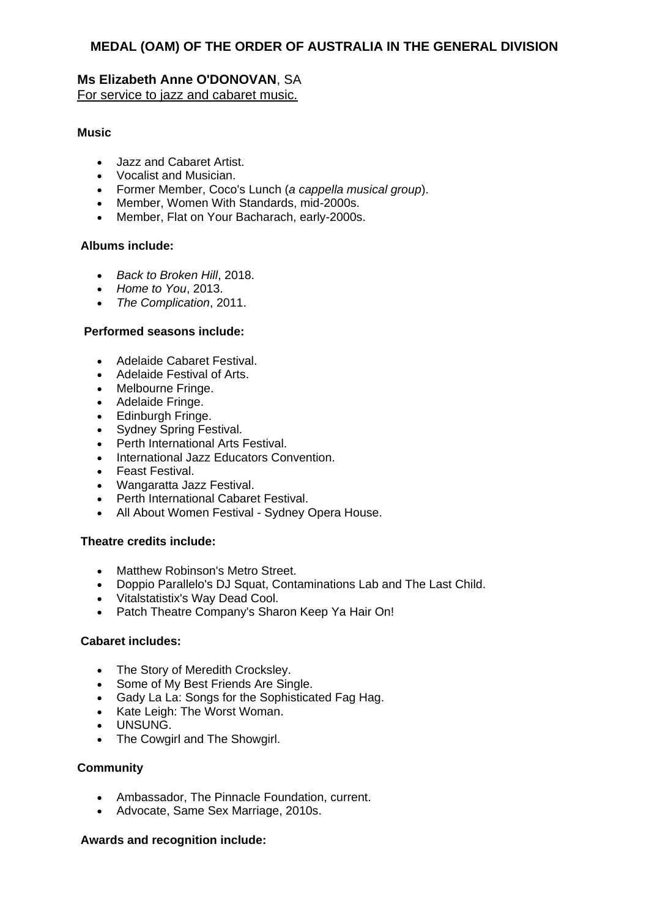# **Ms Elizabeth Anne O'DONOVAN**, SA

For service to jazz and cabaret music.

### **Music**

- Jazz and Cabaret Artist.
- Vocalist and Musician.
- Former Member, Coco's Lunch (*a cappella musical group*).
- Member, Women With Standards, mid-2000s.
- Member, Flat on Your Bacharach, early-2000s.

### **Albums include:**

- *Back to Broken Hill*, 2018.
- *Home to You*, 2013.
- *The Complication*, 2011.

### **Performed seasons include:**

- Adelaide Cabaret Festival.
- Adelaide Festival of Arts.
- Melbourne Fringe.
- Adelaide Fringe.
- Edinburgh Fringe.
- Sydney Spring Festival.
- Perth International Arts Festival.
- International Jazz Educators Convention.
- Feast Festival.
- Wangaratta Jazz Festival.
- Perth International Cabaret Festival.
- All About Women Festival Sydney Opera House.

### **Theatre credits include:**

- Matthew Robinson's Metro Street.
- Doppio Parallelo's DJ Squat, Contaminations Lab and The Last Child.
- Vitalstatistix's Way Dead Cool.
- Patch Theatre Company's Sharon Keep Ya Hair On!

### **Cabaret includes:**

- The Story of Meredith Crocksley.
- Some of My Best Friends Are Single.
- Gady La La: Songs for the Sophisticated Fag Hag.
- Kate Leigh: The Worst Woman.
- UNSUNG.
- The Cowgirl and The Showgirl.

### **Community**

- Ambassador, The Pinnacle Foundation, current.
- Advocate, Same Sex Marriage, 2010s.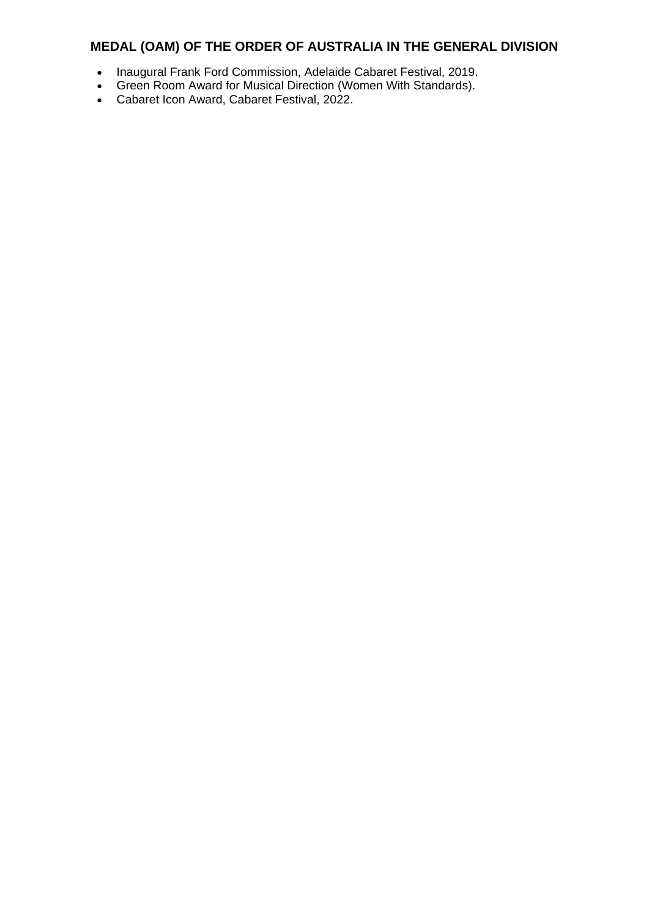- Inaugural Frank Ford Commission, Adelaide Cabaret Festival, 2019.
- Green Room Award for Musical Direction (Women With Standards).
- Cabaret Icon Award, Cabaret Festival, 2022.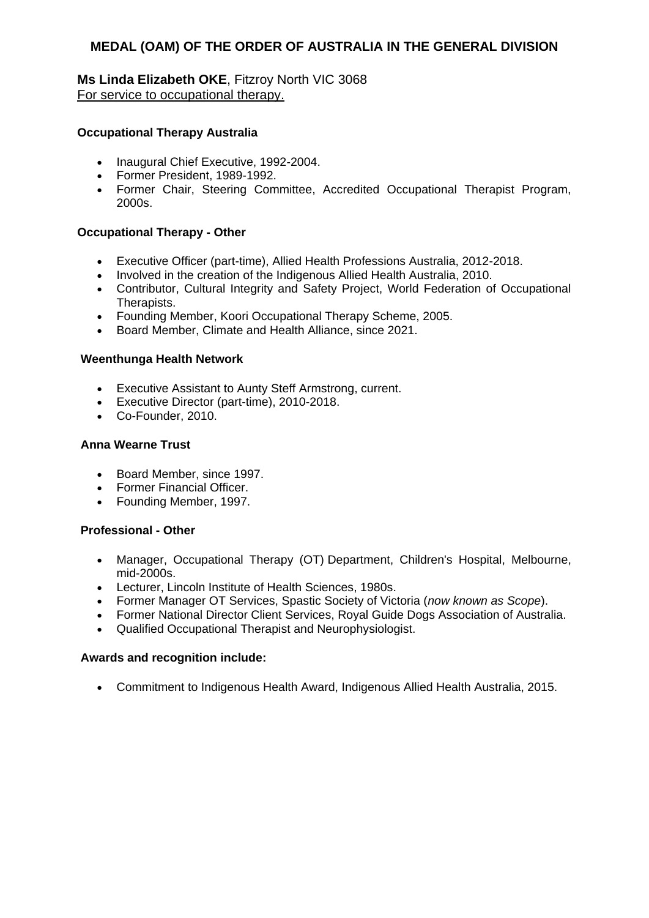**Ms Linda Elizabeth OKE**, Fitzroy North VIC 3068 For service to occupational therapy.

### **Occupational Therapy Australia**

- Inaugural Chief Executive, 1992-2004.
- Former President, 1989-1992.
- Former Chair, Steering Committee, Accredited Occupational Therapist Program, 2000s.

#### **Occupational Therapy - Other**

- Executive Officer (part-time), Allied Health Professions Australia, 2012-2018.
- Involved in the creation of the Indigenous Allied Health Australia, 2010.
- Contributor, Cultural Integrity and Safety Project, World Federation of Occupational Therapists.
- Founding Member, Koori Occupational Therapy Scheme, 2005.
- Board Member, Climate and Health Alliance, since 2021.

#### **Weenthunga Health Network**

- Executive Assistant to Aunty Steff Armstrong, current.
- Executive Director (part-time), 2010-2018.
- Co-Founder, 2010.

#### **Anna Wearne Trust**

- Board Member, since 1997.
- Former Financial Officer.
- Founding Member, 1997.

#### **Professional - Other**

- Manager, Occupational Therapy (OT) Department, Children's Hospital, Melbourne, mid-2000s.
- Lecturer, Lincoln Institute of Health Sciences, 1980s.
- Former Manager OT Services, Spastic Society of Victoria (*now known as Scope*).
- Former National Director Client Services, Royal Guide Dogs Association of Australia.
- Qualified Occupational Therapist and Neurophysiologist.

#### **Awards and recognition include:**

Commitment to Indigenous Health Award, Indigenous Allied Health Australia, 2015.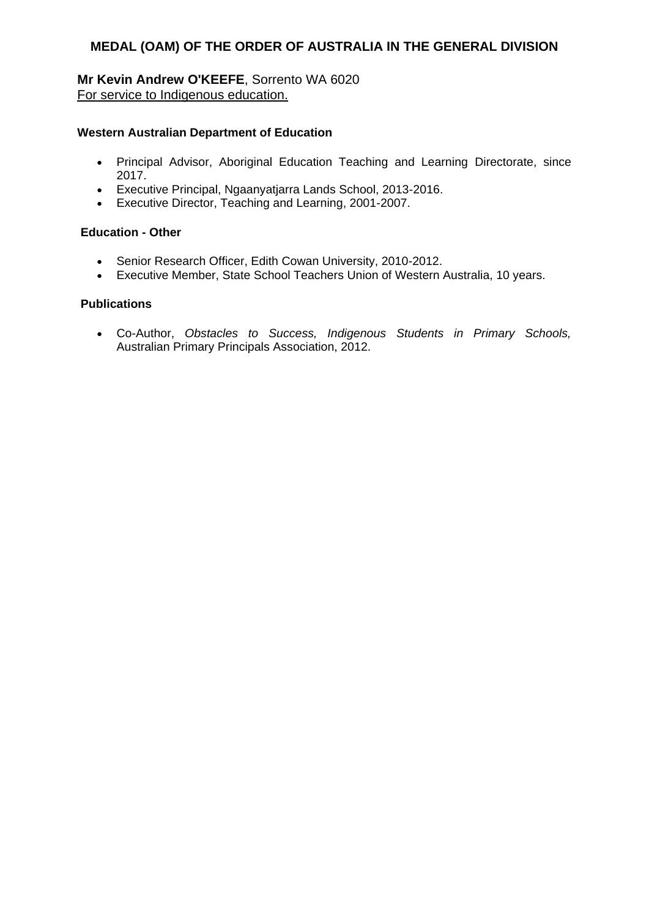### **Mr Kevin Andrew O'KEEFE**, Sorrento WA 6020 For service to Indigenous education.

### **Western Australian Department of Education**

- Principal Advisor, Aboriginal Education Teaching and Learning Directorate, since 2017.
- Executive Principal, Ngaanyatjarra Lands School, 2013-2016.
- Executive Director, Teaching and Learning, 2001-2007.

### **Education - Other**

- Senior Research Officer, Edith Cowan University, 2010-2012.
- Executive Member, State School Teachers Union of Western Australia, 10 years.

### **Publications**

 Co-Author, *Obstacles to Success, Indigenous Students in Primary Schools,* Australian Primary Principals Association, 2012.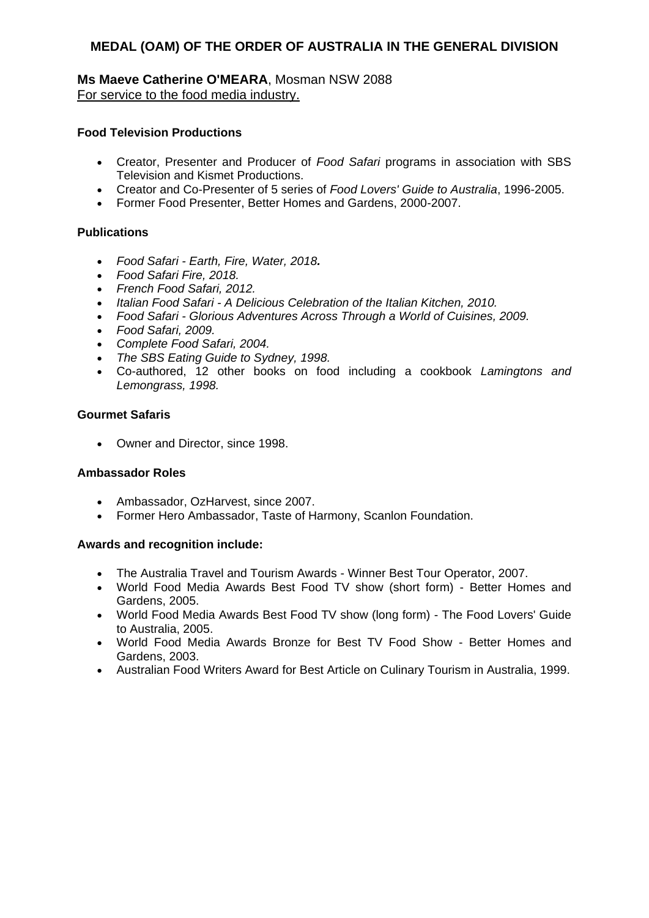### **Ms Maeve Catherine O'MEARA**, Mosman NSW 2088 For service to the food media industry.

### **Food Television Productions**

- Creator, Presenter and Producer of *Food Safari* programs in association with SBS Television and Kismet Productions.
- Creator and Co-Presenter of 5 series of *Food Lovers' Guide to Australia*, 1996-2005.
- Former Food Presenter, Better Homes and Gardens, 2000-2007.

### **Publications**

- *Food Safari - Earth, Fire, Water, 2018.*
- *Food Safari Fire, 2018.*
- *French Food Safari, 2012.*
- *Italian Food Safari - A Delicious Celebration of the Italian Kitchen, 2010.*
- *Food Safari - Glorious Adventures Across Through a World of Cuisines, 2009.*
- *Food Safari, 2009.*
- *Complete Food Safari, 2004.*
- *The SBS Eating Guide to Sydney, 1998.*
- Co-authored, 12 other books on food including a cookbook *Lamingtons and Lemongrass, 1998.*

### **Gourmet Safaris**

• Owner and Director, since 1998.

### **Ambassador Roles**

- Ambassador, OzHarvest, since 2007.
- Former Hero Ambassador, Taste of Harmony, Scanlon Foundation.

- The Australia Travel and Tourism Awards Winner Best Tour Operator, 2007.
- World Food Media Awards Best Food TV show (short form) Better Homes and Gardens, 2005.
- World Food Media Awards Best Food TV show (long form) The Food Lovers' Guide to Australia, 2005.
- World Food Media Awards Bronze for Best TV Food Show Better Homes and Gardens, 2003.
- Australian Food Writers Award for Best Article on Culinary Tourism in Australia, 1999.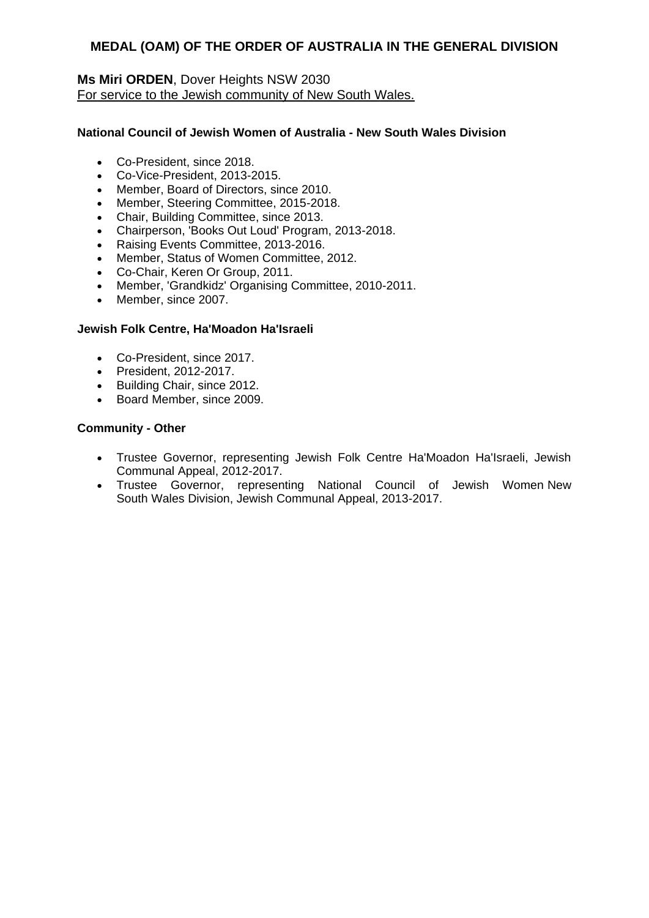### **Ms Miri ORDEN**, Dover Heights NSW 2030 For service to the Jewish community of New South Wales.

### **National Council of Jewish Women of Australia - New South Wales Division**

- Co-President, since 2018.
- Co-Vice-President, 2013-2015.
- Member, Board of Directors, since 2010.
- Member, Steering Committee, 2015-2018.
- Chair, Building Committee, since 2013.
- Chairperson, 'Books Out Loud' Program, 2013-2018.
- Raising Events Committee, 2013-2016.
- Member, Status of Women Committee, 2012.
- Co-Chair, Keren Or Group, 2011.
- Member, 'Grandkidz' Organising Committee, 2010-2011.
- Member, since 2007.

#### **Jewish Folk Centre, Ha'Moadon Ha'Israeli**

- Co-President, since 2017.
- President, 2012-2017.
- Building Chair, since 2012.
- Board Member, since 2009.

### **Community - Other**

- Trustee Governor, representing Jewish Folk Centre Ha'Moadon Ha'Israeli, Jewish Communal Appeal, 2012-2017.
- Trustee Governor, representing National Council of Jewish Women New South Wales Division, Jewish Communal Appeal, 2013-2017.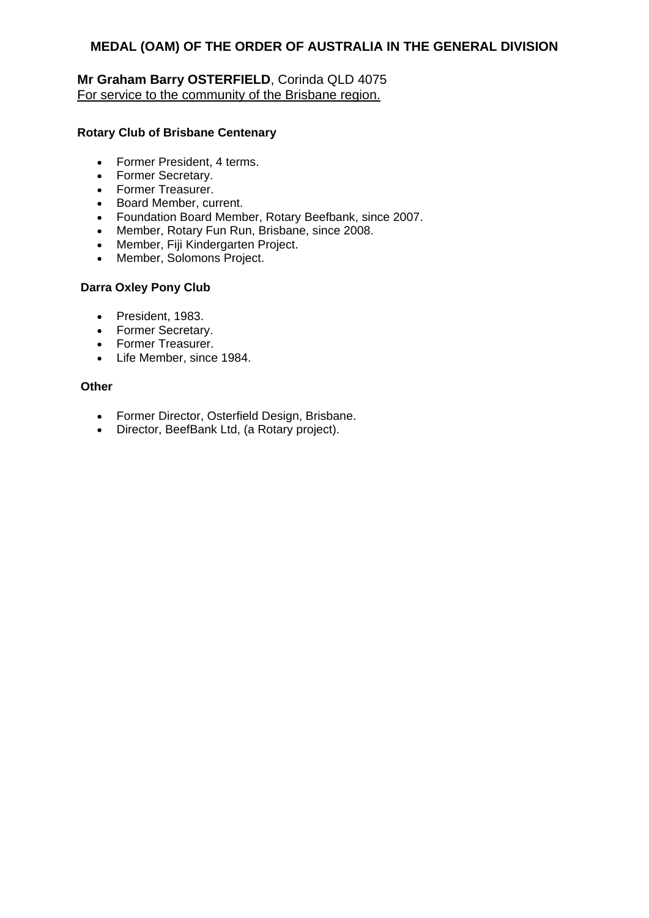### **Mr Graham Barry OSTERFIELD**, Corinda QLD 4075 For service to the community of the Brisbane region.

### **Rotary Club of Brisbane Centenary**

- Former President, 4 terms.
- Former Secretary.
- Former Treasurer.
- Board Member, current.
- Foundation Board Member, Rotary Beefbank, since 2007.
- Member, Rotary Fun Run, Brisbane, since 2008.
- Member, Fiji Kindergarten Project.
- Member, Solomons Project.

### **Darra Oxley Pony Club**

- President, 1983.
- Former Secretary.
- Former Treasurer.
- Life Member, since 1984.

### **Other**

- Former Director, Osterfield Design, Brisbane.
- Director, BeefBank Ltd, (a Rotary project).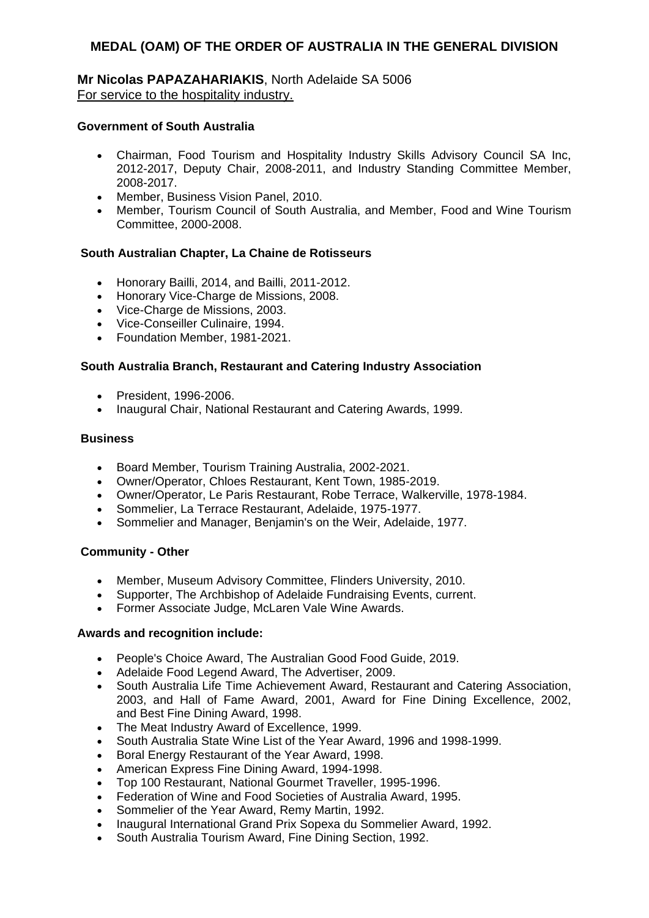### **Mr Nicolas PAPAZAHARIAKIS**, North Adelaide SA 5006 For service to the hospitality industry.

### **Government of South Australia**

- Chairman, Food Tourism and Hospitality Industry Skills Advisory Council SA Inc, 2012-2017, Deputy Chair, 2008-2011, and Industry Standing Committee Member, 2008-2017.
- Member, Business Vision Panel. 2010.
- Member, Tourism Council of South Australia, and Member, Food and Wine Tourism Committee, 2000-2008.

#### **South Australian Chapter, La Chaine de Rotisseurs**

- Honorary Bailli, 2014, and Bailli, 2011-2012.
- Honorary Vice-Charge de Missions, 2008.
- Vice-Charge de Missions, 2003.
- Vice-Conseiller Culinaire, 1994.
- Foundation Member, 1981-2021.

#### **South Australia Branch, Restaurant and Catering Industry Association**

- President, 1996-2006.
- Inaugural Chair, National Restaurant and Catering Awards, 1999.

#### **Business**

- Board Member, Tourism Training Australia, 2002-2021.
- Owner/Operator, Chloes Restaurant, Kent Town, 1985-2019.
- Owner/Operator, Le Paris Restaurant, Robe Terrace, Walkerville, 1978-1984.
- Sommelier, La Terrace Restaurant, Adelaide, 1975-1977.
- Sommelier and Manager, Benjamin's on the Weir, Adelaide, 1977.

### **Community - Other**

- Member, Museum Advisory Committee, Flinders University, 2010.
- Supporter, The Archbishop of Adelaide Fundraising Events, current.
- Former Associate Judge, McLaren Vale Wine Awards.

- People's Choice Award, The Australian Good Food Guide, 2019.
- Adelaide Food Legend Award, The Advertiser, 2009.
- South Australia Life Time Achievement Award, Restaurant and Catering Association, 2003, and Hall of Fame Award, 2001, Award for Fine Dining Excellence, 2002, and Best Fine Dining Award, 1998.
- The Meat Industry Award of Excellence, 1999.
- South Australia State Wine List of the Year Award, 1996 and 1998-1999.
- Boral Energy Restaurant of the Year Award, 1998.
- American Express Fine Dining Award, 1994-1998.
- Top 100 Restaurant, National Gourmet Traveller, 1995-1996.
- Federation of Wine and Food Societies of Australia Award, 1995.
- Sommelier of the Year Award, Remy Martin, 1992.
- Inaugural International Grand Prix Sopexa du Sommelier Award, 1992.
- South Australia Tourism Award, Fine Dining Section, 1992.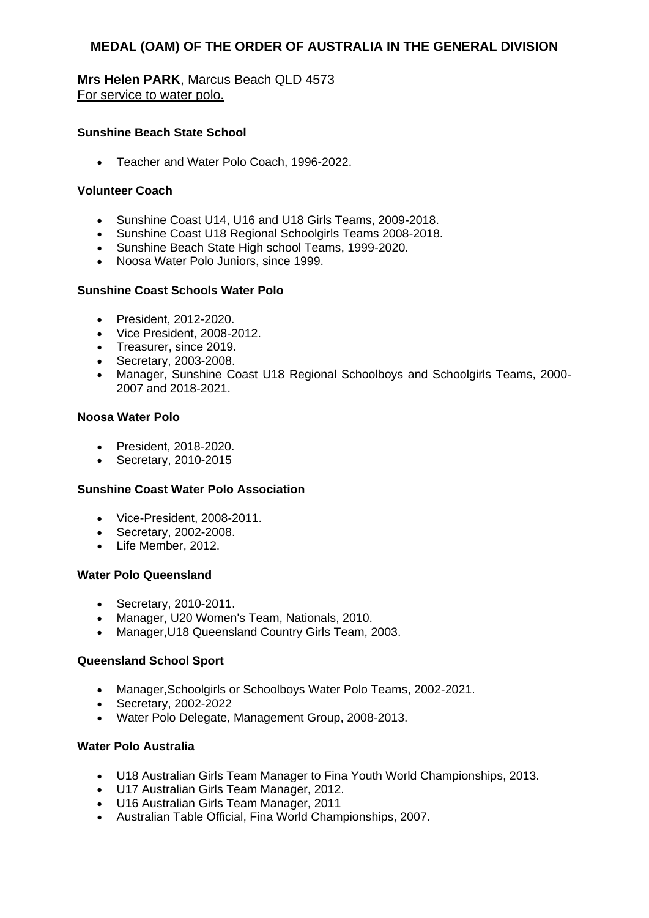**Mrs Helen PARK**, Marcus Beach QLD 4573 For service to water polo.

### **Sunshine Beach State School**

Teacher and Water Polo Coach, 1996-2022.

#### **Volunteer Coach**

- Sunshine Coast U14, U16 and U18 Girls Teams, 2009-2018.
- Sunshine Coast U18 Regional Schoolgirls Teams 2008-2018.
- Sunshine Beach State High school Teams, 1999-2020.
- Noosa Water Polo Juniors, since 1999.

#### **Sunshine Coast Schools Water Polo**

- President, 2012-2020.
- Vice President, 2008-2012.
- Treasurer, since 2019.
- Secretary, 2003-2008.
- Manager, Sunshine Coast U18 Regional Schoolboys and Schoolgirls Teams, 2000- 2007 and 2018-2021.

#### **Noosa Water Polo**

- President, 2018-2020.
- Secretary, 2010-2015

#### **Sunshine Coast Water Polo Association**

- Vice-President, 2008-2011.
- Secretary, 2002-2008.
- Life Member, 2012.

#### **Water Polo Queensland**

- Secretary, 2010-2011.
- Manager, U20 Women's Team, Nationals, 2010.
- Manager,U18 Queensland Country Girls Team, 2003.

#### **Queensland School Sport**

- Manager,Schoolgirls or Schoolboys Water Polo Teams, 2002-2021.
- Secretary, 2002-2022
- Water Polo Delegate, Management Group, 2008-2013.

#### **Water Polo Australia**

- U18 Australian Girls Team Manager to Fina Youth World Championships, 2013.
- U17 Australian Girls Team Manager, 2012.
- U16 Australian Girls Team Manager, 2011
- Australian Table Official, Fina World Championships, 2007.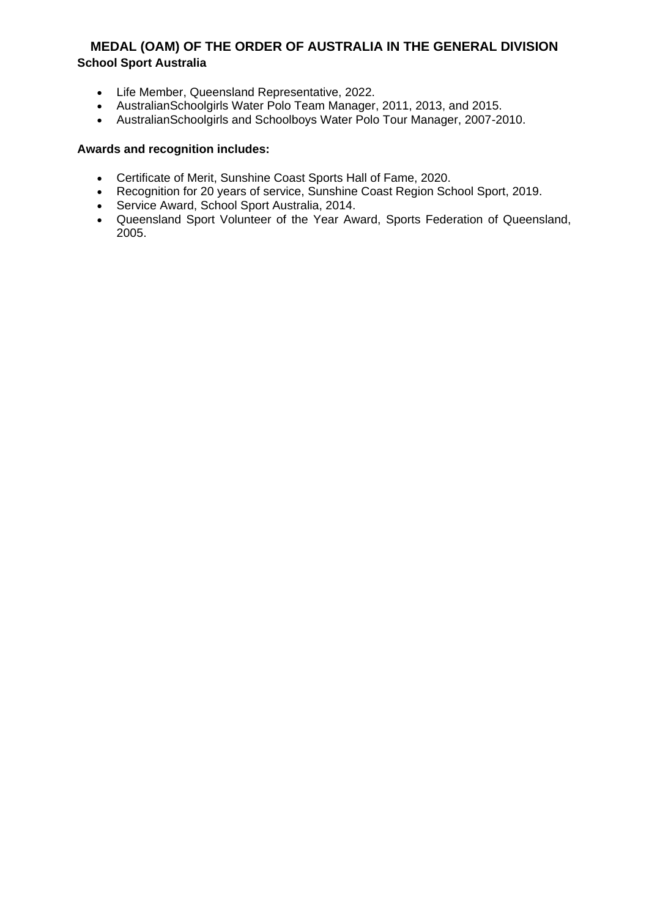# **MEDAL (OAM) OF THE ORDER OF AUSTRALIA IN THE GENERAL DIVISION School Sport Australia**

- Life Member, Queensland Representative, 2022.
- AustralianSchoolgirls Water Polo Team Manager, 2011, 2013, and 2015.
- AustralianSchoolgirls and Schoolboys Water Polo Tour Manager, 2007-2010.

- Certificate of Merit, Sunshine Coast Sports Hall of Fame, 2020.
- Recognition for 20 years of service, Sunshine Coast Region School Sport, 2019.
- Service Award, School Sport Australia, 2014.
- Queensland Sport Volunteer of the Year Award, Sports Federation of Queensland, 2005.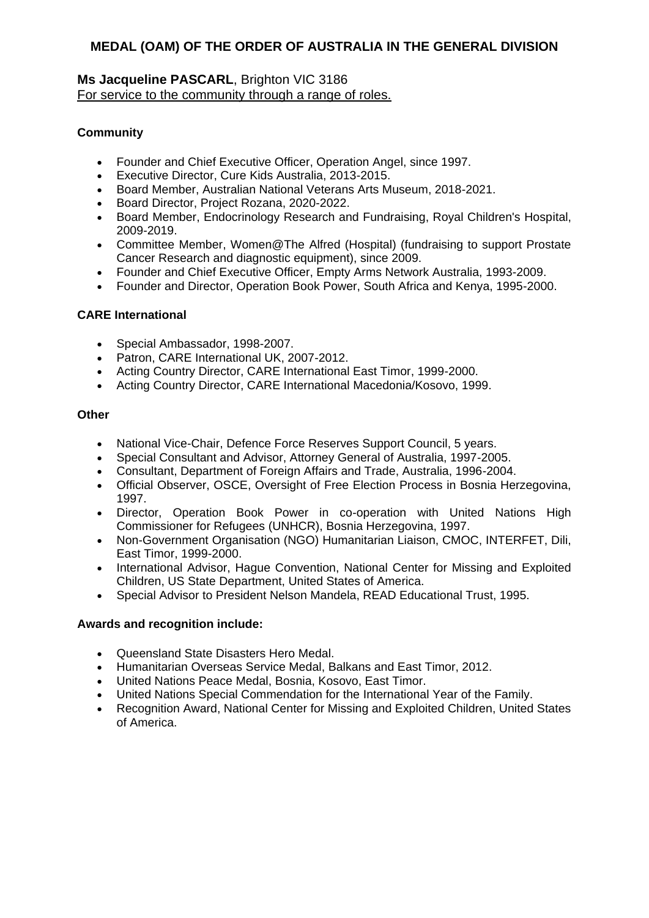### **Ms Jacqueline PASCARL**, Brighton VIC 3186 For service to the community through a range of roles.

# **Community**

- Founder and Chief Executive Officer, Operation Angel, since 1997.
- Executive Director, Cure Kids Australia, 2013-2015.
- Board Member, Australian National Veterans Arts Museum, 2018-2021.
- Board Director, Project Rozana, 2020-2022.
- Board Member, Endocrinology Research and Fundraising, Royal Children's Hospital, 2009-2019.
- Committee Member, Women@The Alfred (Hospital) (fundraising to support Prostate Cancer Research and diagnostic equipment), since 2009.
- Founder and Chief Executive Officer, Empty Arms Network Australia, 1993-2009.
- Founder and Director, Operation Book Power, South Africa and Kenya, 1995-2000.

# **CARE International**

- Special Ambassador, 1998-2007.
- Patron, CARE International UK, 2007-2012.
- Acting Country Director, CARE International East Timor, 1999-2000.
- Acting Country Director, CARE International Macedonia/Kosovo, 1999.

### **Other**

- National Vice-Chair, Defence Force Reserves Support Council, 5 years.
- Special Consultant and Advisor, Attorney General of Australia, 1997-2005.
- Consultant, Department of Foreign Affairs and Trade, Australia, 1996-2004.
- Official Observer, OSCE, Oversight of Free Election Process in Bosnia Herzegovina, 1997.
- Director, Operation Book Power in co-operation with United Nations High Commissioner for Refugees (UNHCR), Bosnia Herzegovina, 1997.
- Non-Government Organisation (NGO) Humanitarian Liaison, CMOC, INTERFET, Dili, East Timor, 1999-2000.
- International Advisor, Hague Convention, National Center for Missing and Exploited Children, US State Department, United States of America.
- Special Advisor to President Nelson Mandela, READ Educational Trust, 1995.

- Queensland State Disasters Hero Medal.
- Humanitarian Overseas Service Medal, Balkans and East Timor, 2012.
- United Nations Peace Medal, Bosnia, Kosovo, East Timor.
- United Nations Special Commendation for the International Year of the Family.
- Recognition Award, National Center for Missing and Exploited Children, United States of America.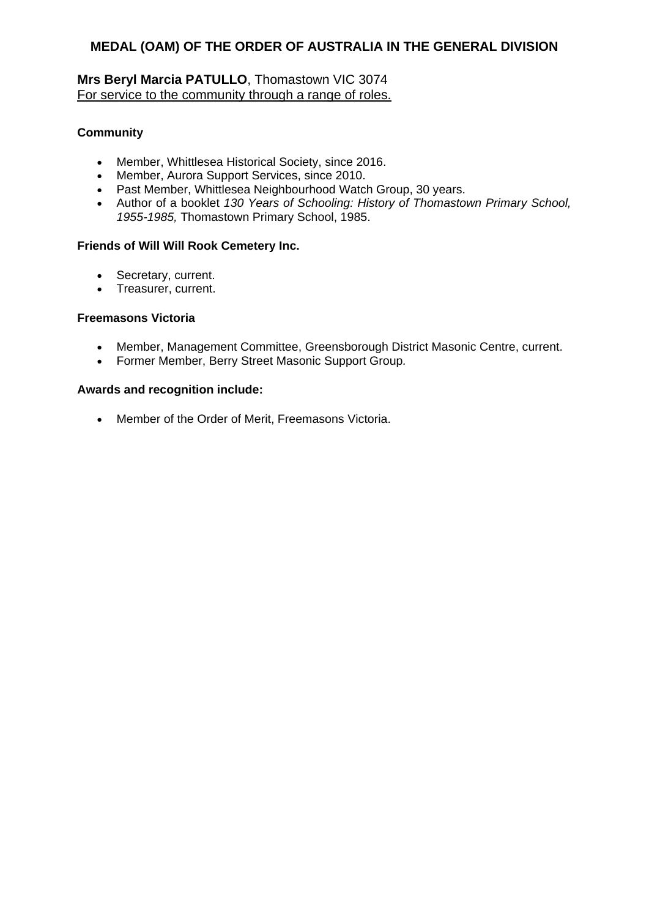# **Mrs Beryl Marcia PATULLO**, Thomastown VIC 3074 For service to the community through a range of roles.

### **Community**

- Member, Whittlesea Historical Society, since 2016.
- Member, Aurora Support Services, since 2010.
- Past Member, Whittlesea Neighbourhood Watch Group, 30 years.
- Author of a booklet *130 Years of Schooling: History of Thomastown Primary School, 1955-1985,* Thomastown Primary School, 1985.

### **Friends of Will Will Rook Cemetery Inc.**

- Secretary, current.
- Treasurer, current.

#### **Freemasons Victoria**

- Member, Management Committee, Greensborough District Masonic Centre, current.
- Former Member, Berry Street Masonic Support Group*.*

### **Awards and recognition include:**

• Member of the Order of Merit, Freemasons Victoria.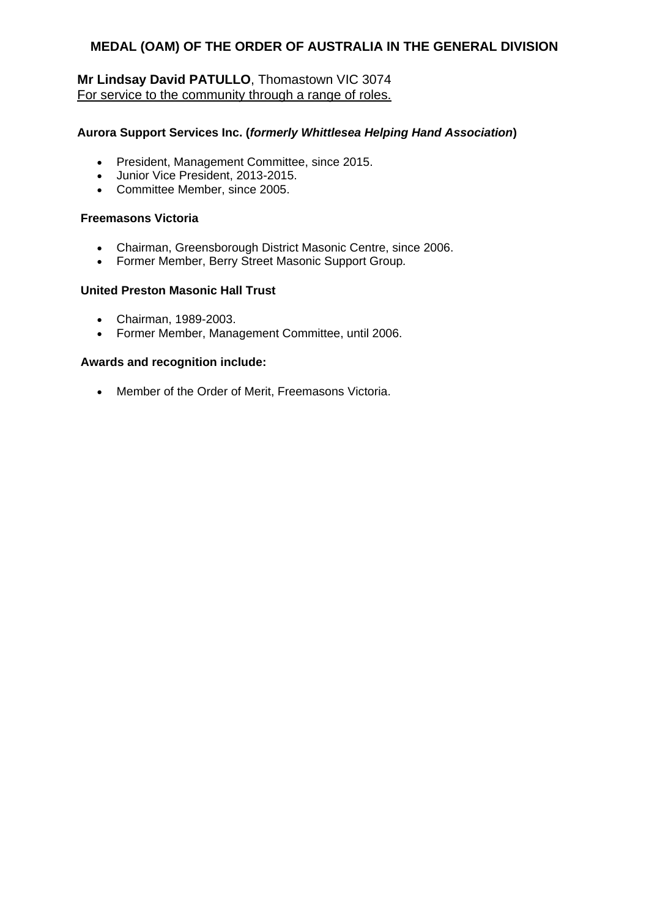# **Mr Lindsay David PATULLO**, Thomastown VIC 3074 For service to the community through a range of roles.

### **Aurora Support Services Inc. (***formerly Whittlesea Helping Hand Association***)**

- President, Management Committee, since 2015.
- Junior Vice President, 2013-2015.
- Committee Member, since 2005.

### **Freemasons Victoria**

- Chairman, Greensborough District Masonic Centre, since 2006.
- Former Member, Berry Street Masonic Support Group*.*

### **United Preston Masonic Hall Trust**

- Chairman, 1989-2003.
- Former Member, Management Committee, until 2006.

#### **Awards and recognition include:**

Member of the Order of Merit, Freemasons Victoria.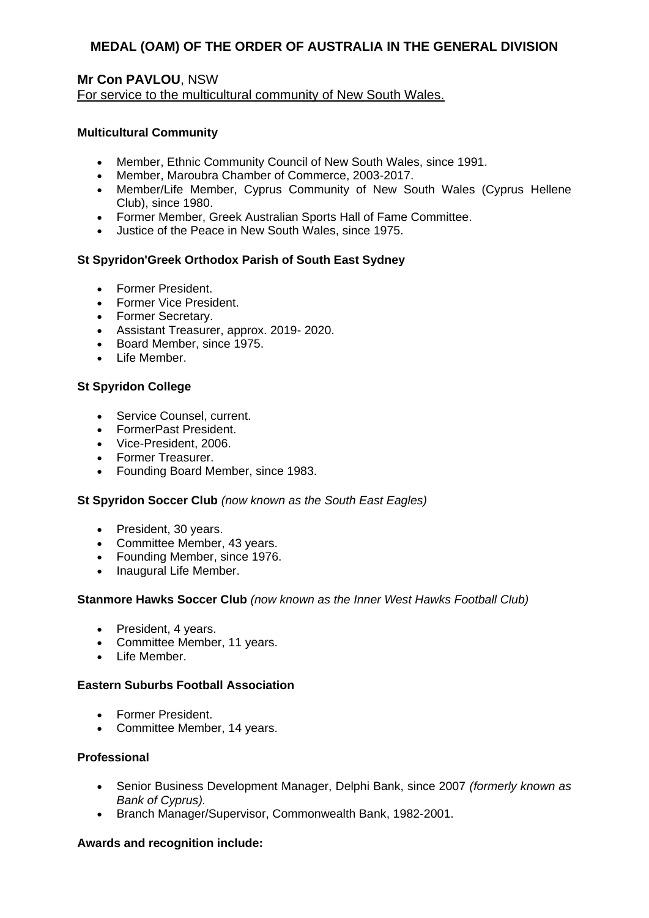# **Mr Con PAVLOU**, NSW For service to the multicultural community of New South Wales.

### **Multicultural Community**

- Member, Ethnic Community Council of New South Wales, since 1991.
- Member, Maroubra Chamber of Commerce, 2003-2017.
- Member/Life Member, Cyprus Community of New South Wales (Cyprus Hellene Club), since 1980.
- Former Member, Greek Australian Sports Hall of Fame Committee.
- Justice of the Peace in New South Wales, since 1975.

#### **St Spyridon'Greek Orthodox Parish of South East Sydney**

- Former President.
- Former Vice President.
- Former Secretary.
- Assistant Treasurer, approx. 2019- 2020.
- Board Member, since 1975.
- Life Member.

#### **St Spyridon College**

- Service Counsel, current.
- FormerPast President.
- Vice-President, 2006.
- Former Treasurer.
- Founding Board Member, since 1983.

#### **St Spyridon Soccer Club** *(now known as the South East Eagles)*

- President, 30 years.
- Committee Member, 43 years.
- Founding Member, since 1976.
- Inaugural Life Member.

#### **Stanmore Hawks Soccer Club** *(now known as the Inner West Hawks Football Club)*

- President, 4 years.
- Committee Member, 11 years.
- Life Member.

#### **Eastern Suburbs Football Association**

- Former President.
- Committee Member, 14 years.

#### **Professional**

- Senior Business Development Manager, Delphi Bank, since 2007 *(formerly known as Bank of Cyprus).*
- Branch Manager/Supervisor, Commonwealth Bank, 1982-2001.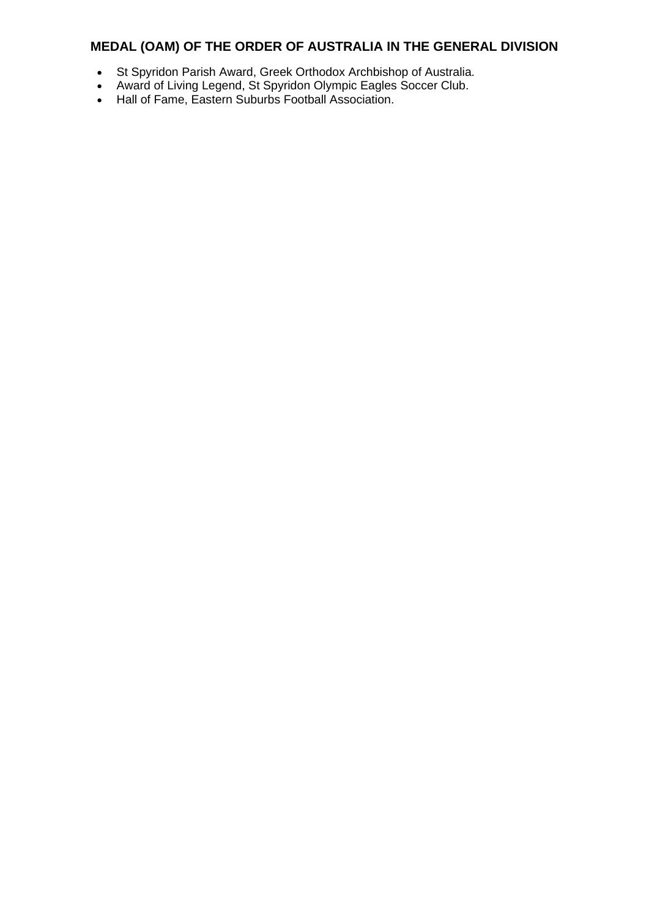- St Spyridon Parish Award, Greek Orthodox Archbishop of Australia*.*
- Award of Living Legend, St Spyridon Olympic Eagles Soccer Club.
- Hall of Fame, Eastern Suburbs Football Association.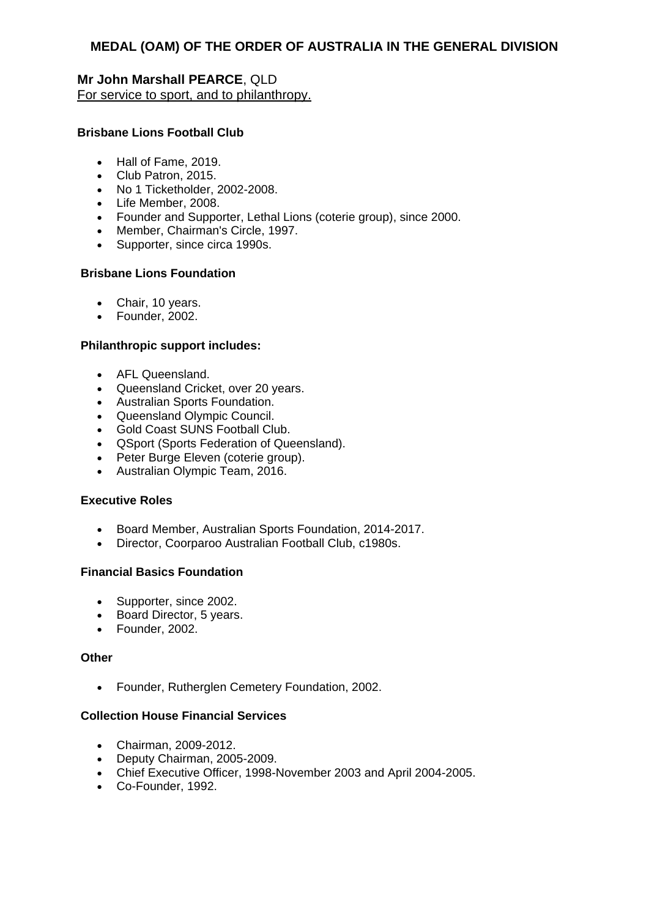**Mr John Marshall PEARCE**, QLD For service to sport, and to philanthropy.

### **Brisbane Lions Football Club**

- Hall of Fame, 2019.
- Club Patron, 2015.
- No 1 Ticketholder, 2002-2008.
- Life Member, 2008.
- Founder and Supporter, Lethal Lions (coterie group), since 2000.
- Member, Chairman's Circle, 1997.
- Supporter, since circa 1990s.

#### **Brisbane Lions Foundation**

- Chair, 10 years.
- Founder, 2002.

#### **Philanthropic support includes:**

- AFL Queensland.
- Queensland Cricket, over 20 years.
- Australian Sports Foundation.
- Queensland Olympic Council.
- Gold Coast SUNS Football Club.
- QSport (Sports Federation of Queensland).
- Peter Burge Eleven (coterie group).
- Australian Olympic Team, 2016.

### **Executive Roles**

- Board Member, Australian Sports Foundation, 2014-2017.
- Director, Coorparoo Australian Football Club, c1980s.

#### **Financial Basics Foundation**

- Supporter, since 2002.
- Board Director, 5 years.
- Founder, 2002.

#### **Other**

Founder, Rutherglen Cemetery Foundation, 2002.

### **Collection House Financial Services**

- Chairman, 2009-2012.
- Deputy Chairman, 2005-2009.
- Chief Executive Officer, 1998-November 2003 and April 2004-2005.
- Co-Founder, 1992.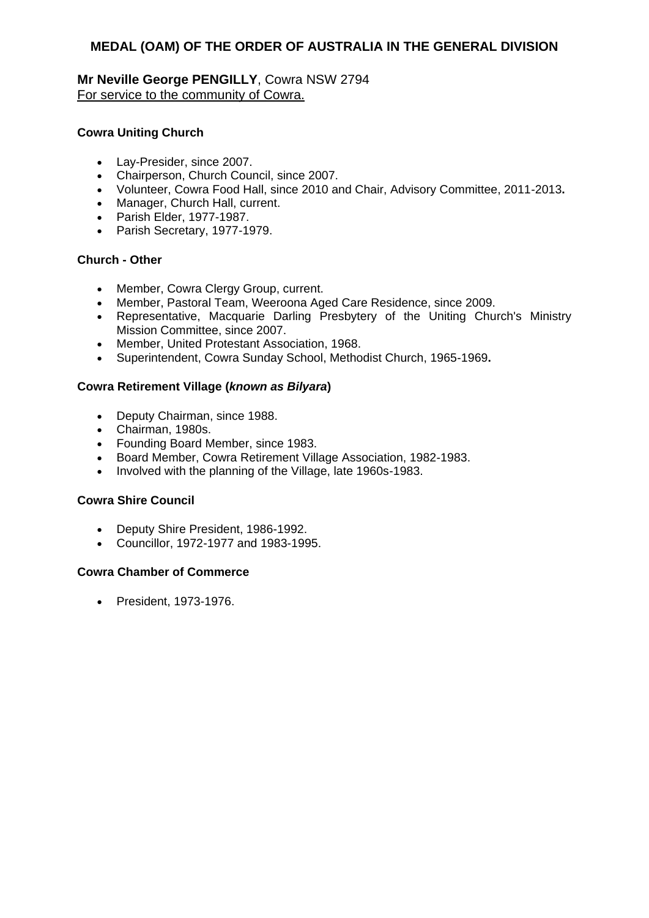### **Mr Neville George PENGILLY**, Cowra NSW 2794 For service to the community of Cowra.

### **Cowra Uniting Church**

- Lay-Presider, since 2007.
- Chairperson, Church Council, since 2007.
- Volunteer, Cowra Food Hall, since 2010 and Chair, Advisory Committee, 2011-2013**.**
- Manager, Church Hall, current.
- Parish Elder, 1977-1987.
- Parish Secretary, 1977-1979.

### **Church - Other**

- Member, Cowra Clergy Group, current.
- Member, Pastoral Team, Weeroona Aged Care Residence, since 2009.
- Representative, Macquarie Darling Presbytery of the Uniting Church's Ministry Mission Committee, since 2007.
- Member, United Protestant Association, 1968.
- Superintendent, Cowra Sunday School, Methodist Church, 1965-1969**.**

### **Cowra Retirement Village (***known as Bilyara***)**

- Deputy Chairman, since 1988.
- Chairman, 1980s.
- Founding Board Member, since 1983.
- Board Member, Cowra Retirement Village Association, 1982-1983.
- Involved with the planning of the Village, late 1960s-1983.

### **Cowra Shire Council**

- Deputy Shire President, 1986-1992.
- Councillor, 1972-1977 and 1983-1995.

### **Cowra Chamber of Commerce**

President, 1973-1976.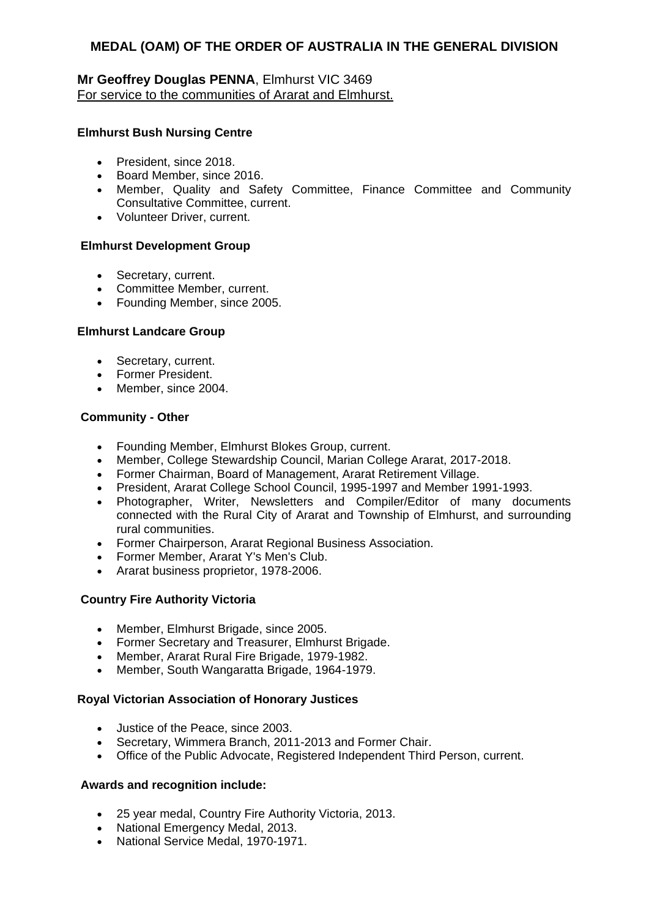# **Mr Geoffrey Douglas PENNA**, Elmhurst VIC 3469 For service to the communities of Ararat and Elmhurst.

### **Elmhurst Bush Nursing Centre**

- President, since 2018.
- Board Member, since 2016.
- Member, Quality and Safety Committee, Finance Committee and Community Consultative Committee, current.
- Volunteer Driver, current.

### **Elmhurst Development Group**

- Secretary, current.
- Committee Member, current.
- Founding Member, since 2005.

### **Elmhurst Landcare Group**

- Secretary, current.
- Former President.
- Member, since 2004.

### **Community - Other**

- Founding Member, Elmhurst Blokes Group, current.
- Member, College Stewardship Council, Marian College Ararat, 2017-2018.
- Former Chairman, Board of Management, Ararat Retirement Village.
- President, Ararat College School Council, 1995-1997 and Member 1991-1993.
- Photographer, Writer, Newsletters and Compiler/Editor of many documents connected with the Rural City of Ararat and Township of Elmhurst, and surrounding rural communities.
- Former Chairperson, Ararat Regional Business Association.
- Former Member, Ararat Y's Men's Club.
- Ararat business proprietor, 1978-2006.

# **Country Fire Authority Victoria**

- Member, Elmhurst Brigade, since 2005.
- Former Secretary and Treasurer, Elmhurst Brigade.
- Member, Ararat Rural Fire Brigade, 1979-1982.
- Member, South Wangaratta Brigade, 1964-1979.

### **Royal Victorian Association of Honorary Justices**

- Justice of the Peace, since 2003.
- Secretary, Wimmera Branch, 2011-2013 and Former Chair.
- Office of the Public Advocate, Registered Independent Third Person, current.

- 25 year medal, Country Fire Authority Victoria, 2013.
- National Emergency Medal, 2013.
- National Service Medal, 1970-1971.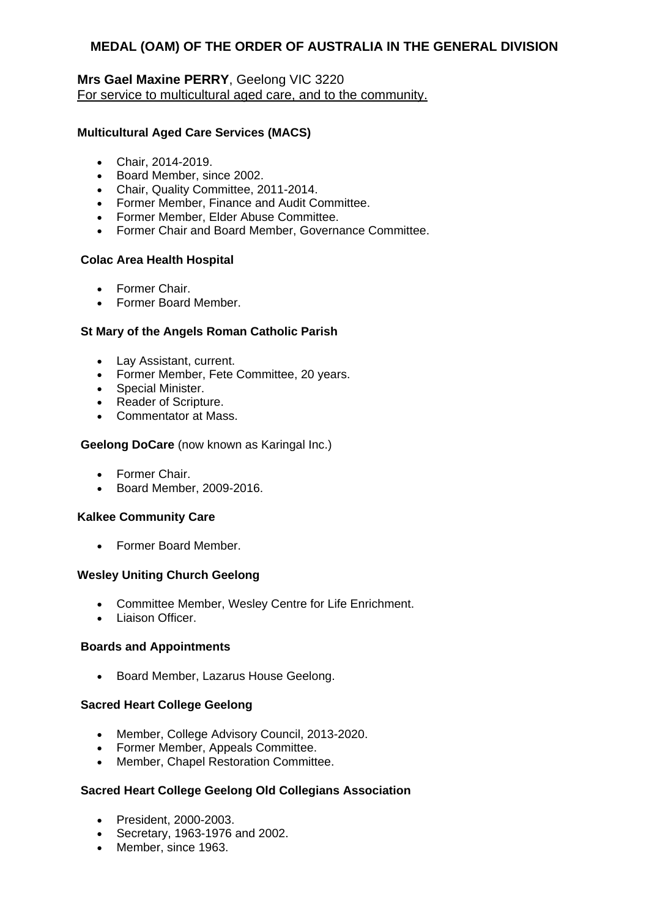### **Mrs Gael Maxine PERRY**, Geelong VIC 3220 For service to multicultural aged care, and to the community.

### **Multicultural Aged Care Services (MACS)**

- Chair, 2014-2019.
- Board Member, since 2002.
- Chair, Quality Committee, 2011-2014.
- Former Member, Finance and Audit Committee.
- Former Member, Elder Abuse Committee.
- Former Chair and Board Member, Governance Committee.

### **Colac Area Health Hospital**

- Former Chair.
- Former Board Member.

### **St Mary of the Angels Roman Catholic Parish**

- Lay Assistant, current.
- Former Member, Fete Committee, 20 years.
- Special Minister.
- Reader of Scripture.
- Commentator at Mass.

#### **Geelong DoCare** (now known as Karingal Inc.)

- Former Chair.
- Board Member, 2009-2016.

#### **Kalkee Community Care**

Former Board Member.

### **Wesley Uniting Church Geelong**

- Committee Member, Wesley Centre for Life Enrichment.
- Liaison Officer.

#### **Boards and Appointments**

• Board Member, Lazarus House Geelong.

### **Sacred Heart College Geelong**

- Member, College Advisory Council, 2013-2020.
- Former Member, Appeals Committee.
- Member, Chapel Restoration Committee.

### **Sacred Heart College Geelong Old Collegians Association**

- President, 2000-2003.
- Secretary, 1963-1976 and 2002.
- Member, since 1963.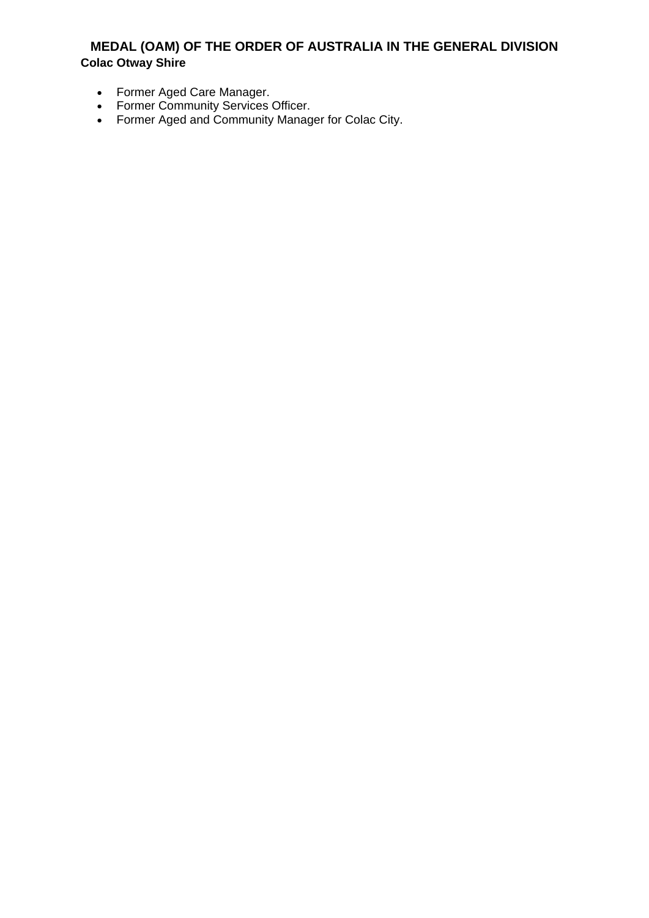# **MEDAL (OAM) OF THE ORDER OF AUSTRALIA IN THE GENERAL DIVISION Colac Otway Shire**

- Former Aged Care Manager.
- Former Community Services Officer.
- Former Aged and Community Manager for Colac City.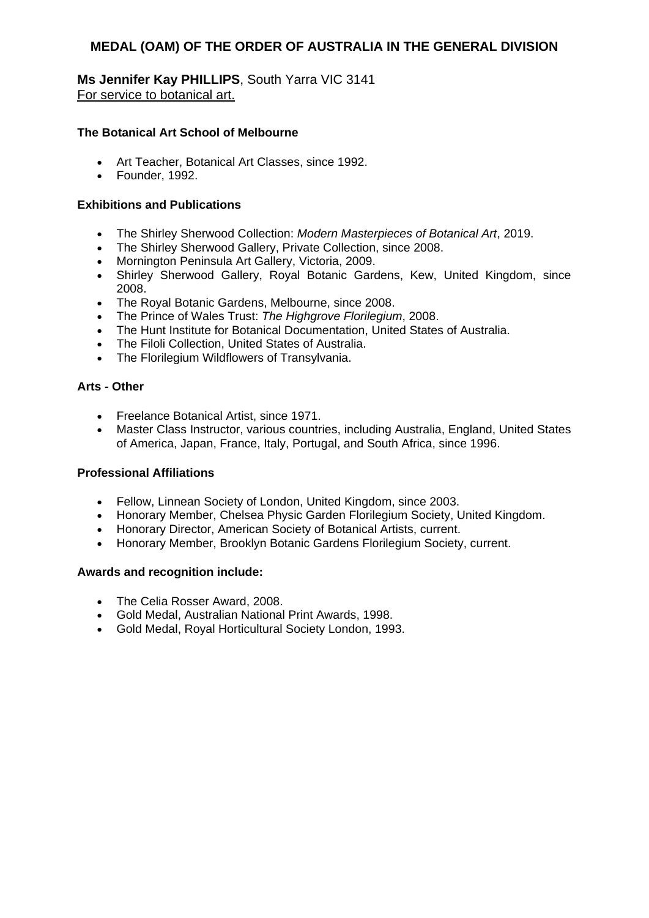**Ms Jennifer Kay PHILLIPS**, South Yarra VIC 3141 For service to botanical art.

### **The Botanical Art School of Melbourne**

- Art Teacher, Botanical Art Classes, since 1992.
- Founder, 1992.

### **Exhibitions and Publications**

- The Shirley Sherwood Collection: *Modern Masterpieces of Botanical Art*, 2019.
- The Shirley Sherwood Gallery, Private Collection, since 2008.
- Mornington Peninsula Art Gallery, Victoria, 2009.
- Shirley Sherwood Gallery, Royal Botanic Gardens, Kew, United Kingdom, since 2008.
- The Royal Botanic Gardens, Melbourne, since 2008.
- The Prince of Wales Trust: *The Highgrove Florilegium*, 2008.
- The Hunt Institute for Botanical Documentation, United States of Australia.
- The Filoli Collection, United States of Australia.
- The Florilegium Wildflowers of Transylvania.

#### **Arts - Other**

- Freelance Botanical Artist, since 1971.
- Master Class Instructor, various countries, including Australia, England, United States of America, Japan, France, Italy, Portugal, and South Africa, since 1996.

#### **Professional Affiliations**

- Fellow, Linnean Society of London, United Kingdom, since 2003.
- Honorary Member, Chelsea Physic Garden Florilegium Society, United Kingdom.
- Honorary Director, American Society of Botanical Artists, current.
- Honorary Member, Brooklyn Botanic Gardens Florilegium Society, current.

- The Celia Rosser Award, 2008.
- Gold Medal, Australian National Print Awards, 1998.
- Gold Medal, Royal Horticultural Society London, 1993.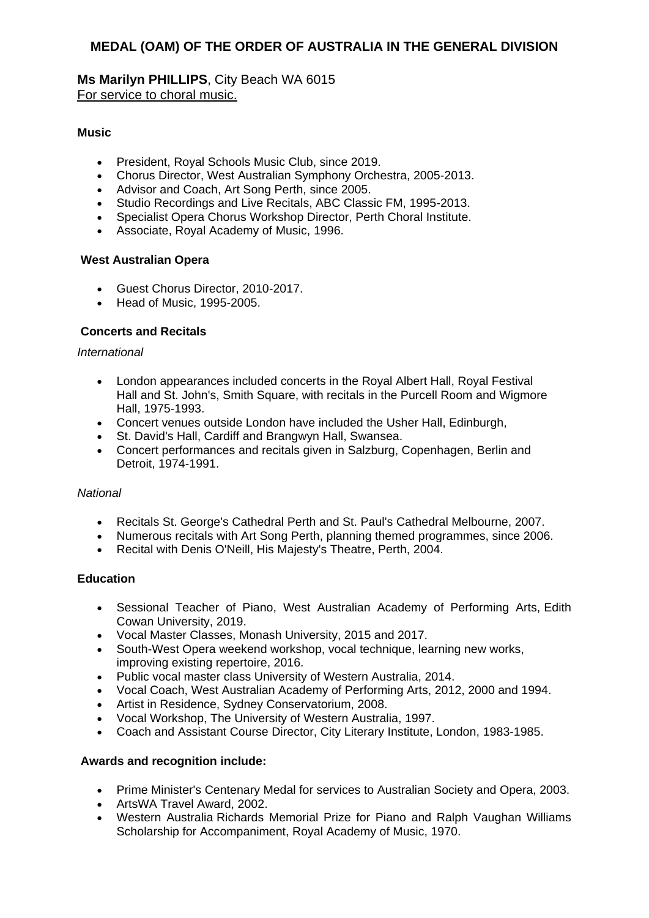**Ms Marilyn PHILLIPS**, City Beach WA 6015 For service to choral music.

### **Music**

- President, Royal Schools Music Club, since 2019.
- Chorus Director, West Australian Symphony Orchestra, 2005-2013.
- Advisor and Coach, Art Song Perth, since 2005.
- Studio Recordings and Live Recitals, ABC Classic FM, 1995-2013.
- Specialist Opera Chorus Workshop Director, Perth Choral Institute.
- Associate, Royal Academy of Music, 1996.

#### **West Australian Opera**

- Guest Chorus Director, 2010-2017.
- Head of Music, 1995-2005.

### **Concerts and Recitals**

#### *International*

- London appearances included concerts in the Royal Albert Hall, Royal Festival Hall and St. John's, Smith Square, with recitals in the Purcell Room and Wigmore Hall, 1975-1993.
- Concert venues outside London have included the Usher Hall, Edinburgh,
- St. David's Hall, Cardiff and Brangwyn Hall, Swansea.
- Concert performances and recitals given in Salzburg, Copenhagen, Berlin and Detroit, 1974-1991.

#### *National*

- Recitals St. George's Cathedral Perth and St. Paul's Cathedral Melbourne, 2007.
- Numerous recitals with Art Song Perth, planning themed programmes, since 2006.
- Recital with Denis O'Neill, His Majesty's Theatre, Perth, 2004.

#### **Education**

- Sessional Teacher of Piano, West Australian Academy of Performing Arts, Edith Cowan University, 2019.
- Vocal Master Classes, Monash University, 2015 and 2017.
- South-West Opera weekend workshop, vocal technique, learning new works, improving existing repertoire, 2016.
- Public vocal master class University of Western Australia, 2014.
- Vocal Coach, West Australian Academy of Performing Arts, 2012, 2000 and 1994.
- Artist in Residence, Sydney Conservatorium, 2008.
- Vocal Workshop, The University of Western Australia, 1997.
- Coach and Assistant Course Director, City Literary Institute, London, 1983-1985.

- Prime Minister's Centenary Medal for services to Australian Society and Opera, 2003.
- ArtsWA Travel Award, 2002.
- Western Australia Richards Memorial Prize for Piano and Ralph Vaughan Williams Scholarship for Accompaniment, Royal Academy of Music, 1970.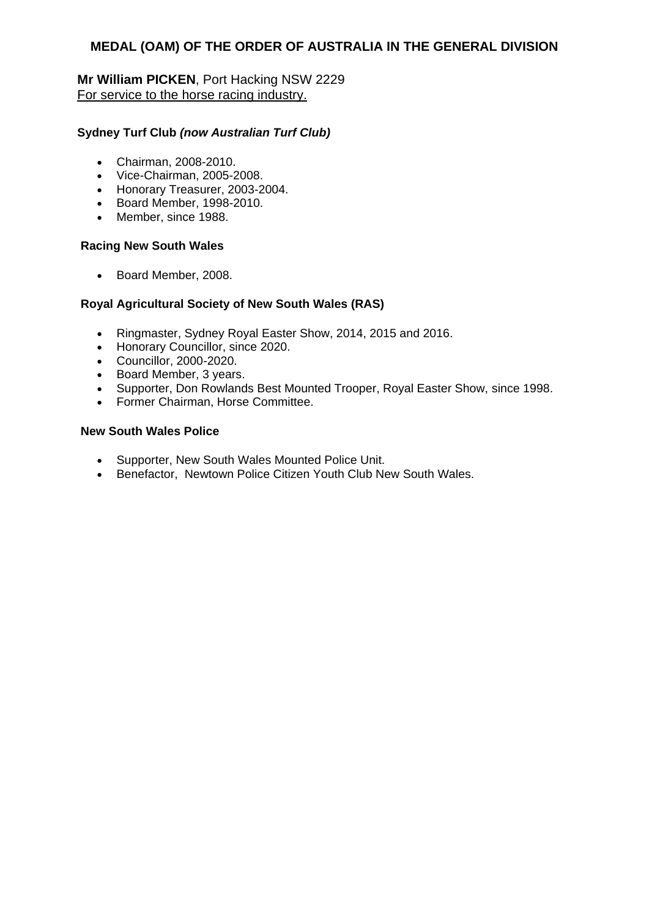### **Mr William PICKEN**, Port Hacking NSW 2229 For service to the horse racing industry.

### **Sydney Turf Club** *(now Australian Turf Club)*

- Chairman, 2008-2010.
- Vice-Chairman, 2005-2008.
- Honorary Treasurer, 2003-2004.
- Board Member, 1998-2010.
- Member, since 1988.

### **Racing New South Wales**

• Board Member, 2008.

### **Royal Agricultural Society of New South Wales (RAS)**

- Ringmaster, Sydney Royal Easter Show, 2014, 2015 and 2016.
- Honorary Councillor, since 2020.
- Councillor, 2000-2020.
- Board Member, 3 years.
- Supporter, Don Rowlands Best Mounted Trooper, Royal Easter Show, since 1998.
- Former Chairman, Horse Committee.

### **New South Wales Police**

- Supporter, New South Wales Mounted Police Unit.
- Benefactor, Newtown Police Citizen Youth Club New South Wales.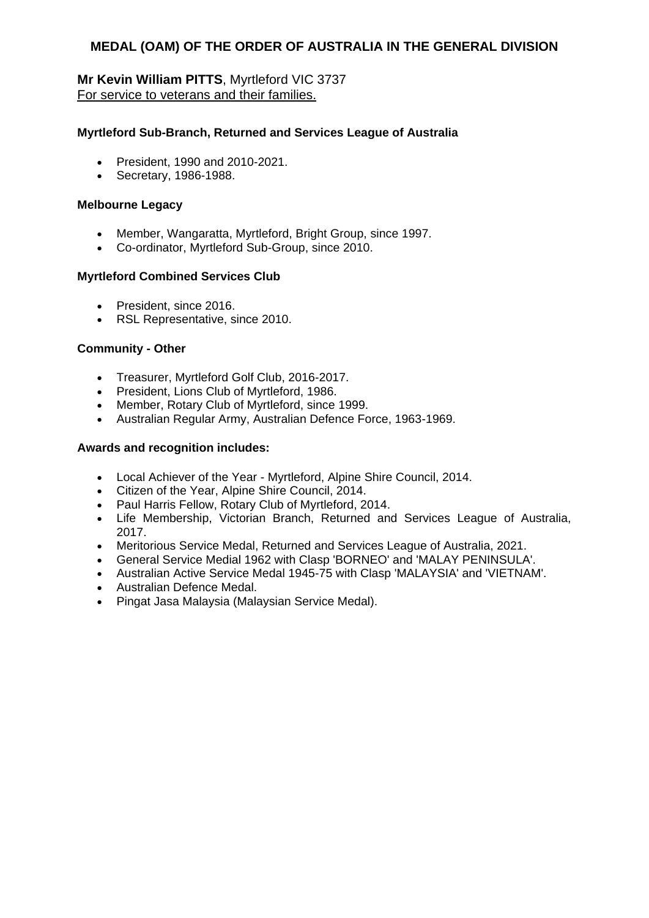# **Mr Kevin William PITTS**, Myrtleford VIC 3737 For service to veterans and their families.

### **Myrtleford Sub-Branch, Returned and Services League of Australia**

- President, 1990 and 2010-2021.
- Secretary, 1986-1988.

### **Melbourne Legacy**

- Member, Wangaratta, Myrtleford, Bright Group, since 1997.
- Co-ordinator, Myrtleford Sub-Group, since 2010.

### **Myrtleford Combined Services Club**

- President, since 2016.
- RSL Representative, since 2010.

### **Community - Other**

- Treasurer, Myrtleford Golf Club, 2016-2017.
- President, Lions Club of Myrtleford, 1986.
- Member, Rotary Club of Myrtleford, since 1999.
- Australian Regular Army, Australian Defence Force, 1963-1969.

- Local Achiever of the Year Myrtleford, Alpine Shire Council, 2014.
- Citizen of the Year, Alpine Shire Council, 2014.
- Paul Harris Fellow, Rotary Club of Myrtleford, 2014.
- Life Membership, Victorian Branch, Returned and Services League of Australia, 2017.
- Meritorious Service Medal, Returned and Services League of Australia, 2021.
- General Service Medial 1962 with Clasp 'BORNEO' and 'MALAY PENINSULA'.
- Australian Active Service Medal 1945-75 with Clasp 'MALAYSIA' and 'VIETNAM'.
- Australian Defence Medal.
- Pingat Jasa Malaysia (Malaysian Service Medal).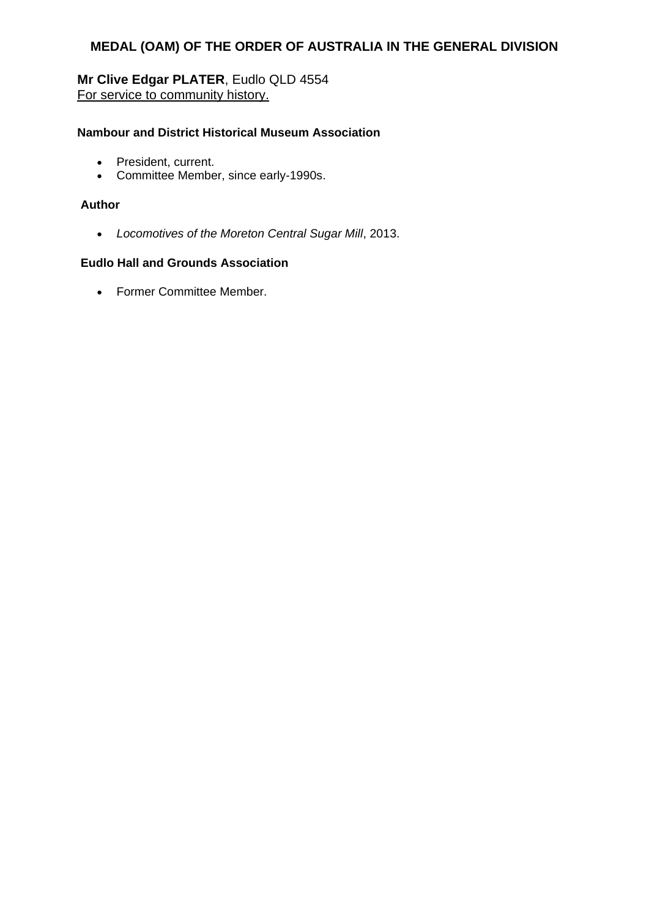# **Mr Clive Edgar PLATER**, Eudlo QLD 4554 For service to community history.

### **Nambour and District Historical Museum Association**

- President, current.
- Committee Member, since early-1990s.

### **Author**

*Locomotives of the Moreton Central Sugar Mill*, 2013.

# **Eudlo Hall and Grounds Association**

• Former Committee Member.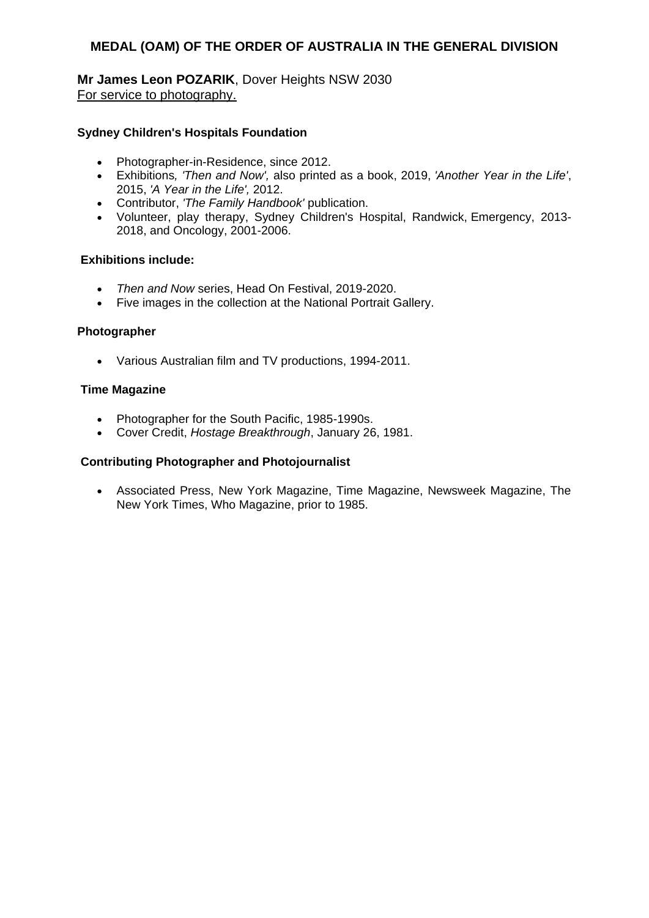# **Mr James Leon POZARIK**, Dover Heights NSW 2030 For service to photography.

### **Sydney Children's Hospitals Foundation**

- Photographer-in-Residence, since 2012.
- Exhibitions*, 'Then and Now',* also printed as a book, 2019, *'Another Year in the Life'*, 2015, *'A Year in the Life',* 2012.
- Contributor, *'The Family Handbook'* publication.
- Volunteer, play therapy, Sydney Children's Hospital, Randwick, Emergency, 2013- 2018, and Oncology, 2001-2006.

#### **Exhibitions include:**

- *Then and Now* series, Head On Festival, 2019-2020.
- Five images in the collection at the National Portrait Gallery.

#### **Photographer**

Various Australian film and TV productions, 1994-2011.

#### **Time Magazine**

- Photographer for the South Pacific, 1985-1990s.
- Cover Credit, *Hostage Breakthrough*, January 26, 1981.

#### **Contributing Photographer and Photojournalist**

 Associated Press, New York Magazine, Time Magazine, Newsweek Magazine, The New York Times, Who Magazine, prior to 1985.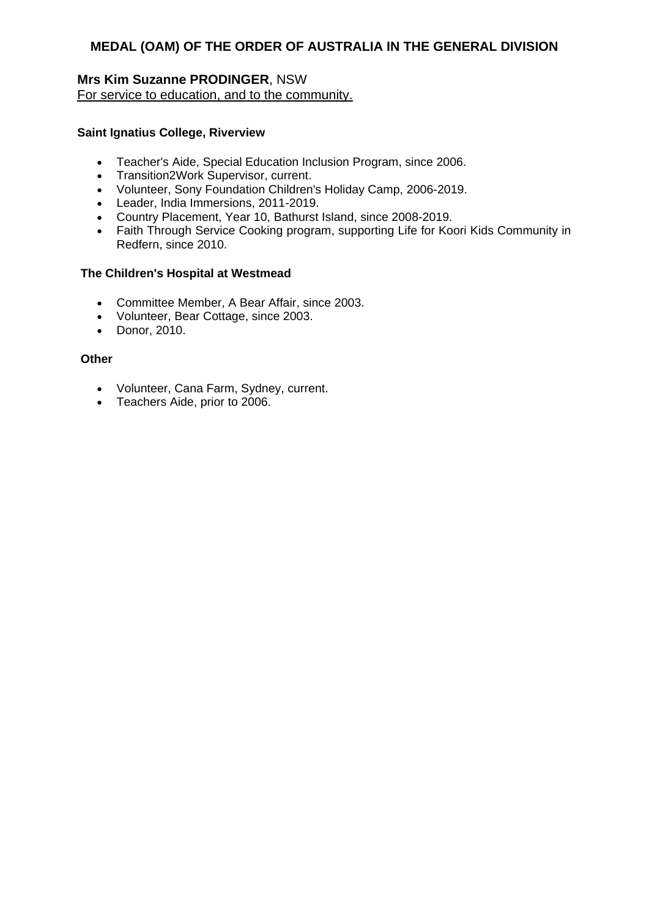### **Mrs Kim Suzanne PRODINGER**, NSW For service to education, and to the community.

### **Saint Ignatius College, Riverview**

- Teacher's Aide, Special Education Inclusion Program, since 2006.
- Transition2Work Supervisor, current.
- Volunteer, Sony Foundation Children's Holiday Camp, 2006-2019.
- Leader, India Immersions, 2011-2019.
- Country Placement, Year 10, Bathurst Island, since 2008-2019.
- Faith Through Service Cooking program, supporting Life for Koori Kids Community in Redfern, since 2010.

### **The Children's Hospital at Westmead**

- Committee Member, A Bear Affair, since 2003.
- Volunteer, Bear Cottage, since 2003.
- Donor, 2010.

#### **Other**

- Volunteer, Cana Farm, Sydney, current.
- Teachers Aide, prior to 2006.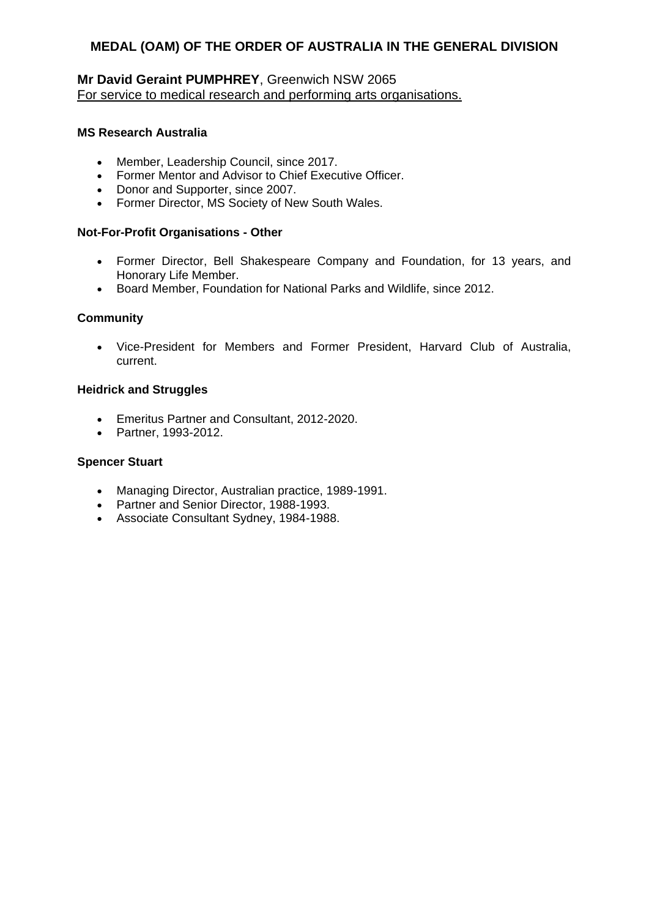# **Mr David Geraint PUMPHREY**, Greenwich NSW 2065 For service to medical research and performing arts organisations.

### **MS Research Australia**

- Member, Leadership Council, since 2017.
- Former Mentor and Advisor to Chief Executive Officer.
- Donor and Supporter, since 2007.
- Former Director, MS Society of New South Wales.

#### **Not-For-Profit Organisations - Other**

- Former Director, Bell Shakespeare Company and Foundation, for 13 years, and Honorary Life Member.
- Board Member, Foundation for National Parks and Wildlife, since 2012.

#### **Community**

 Vice-President for Members and Former President, Harvard Club of Australia, current.

### **Heidrick and Struggles**

- Emeritus Partner and Consultant, 2012-2020.
- Partner, 1993-2012.

#### **Spencer Stuart**

- Managing Director, Australian practice, 1989-1991.
- Partner and Senior Director, 1988-1993.
- Associate Consultant Sydney, 1984-1988.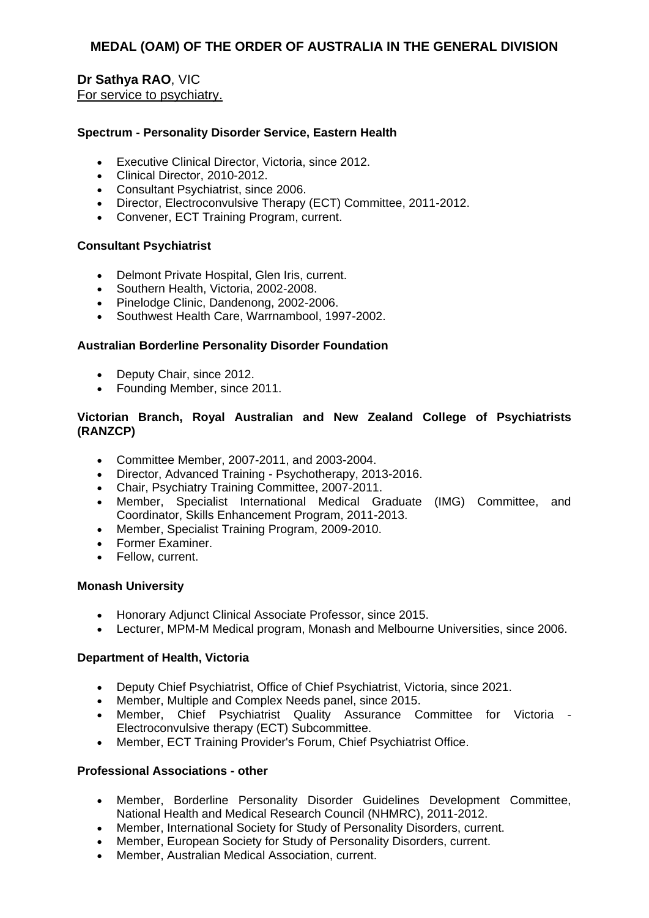## **Dr Sathya RAO**, VIC For service to psychiatry.

#### **Spectrum - Personality Disorder Service, Eastern Health**

- Executive Clinical Director, Victoria, since 2012.
- Clinical Director, 2010-2012.
- Consultant Psychiatrist, since 2006.
- Director, Electroconvulsive Therapy (ECT) Committee, 2011-2012.
- Convener, ECT Training Program, current.

#### **Consultant Psychiatrist**

- Delmont Private Hospital, Glen Iris, current.
- Southern Health, Victoria, 2002-2008.
- Pinelodge Clinic, Dandenong, 2002-2006.
- Southwest Health Care, Warrnambool, 1997-2002.

#### **Australian Borderline Personality Disorder Foundation**

- Deputy Chair, since 2012.
- Founding Member, since 2011.

#### **Victorian Branch, Royal Australian and New Zealand College of Psychiatrists (RANZCP)**

- Committee Member, 2007-2011, and 2003-2004.
- Director, Advanced Training Psychotherapy, 2013-2016.
- Chair, Psychiatry Training Committee, 2007-2011.
- Member, Specialist International Medical Graduate (IMG) Committee, and Coordinator, Skills Enhancement Program, 2011-2013.
- Member, Specialist Training Program, 2009-2010.
- Former Examiner.
- Fellow, current.

#### **Monash University**

- Honorary Adjunct Clinical Associate Professor, since 2015.
- Lecturer, MPM-M Medical program, Monash and Melbourne Universities, since 2006.

#### **Department of Health, Victoria**

- Deputy Chief Psychiatrist, Office of Chief Psychiatrist, Victoria, since 2021.
- Member, Multiple and Complex Needs panel, since 2015.
- Member, Chief Psychiatrist Quality Assurance Committee for Victoria Electroconvulsive therapy (ECT) Subcommittee.
- Member, ECT Training Provider's Forum, Chief Psychiatrist Office.

#### **Professional Associations - other**

- Member, Borderline Personality Disorder Guidelines Development Committee, National Health and Medical Research Council (NHMRC), 2011-2012.
- Member, International Society for Study of Personality Disorders, current.
- Member, European Society for Study of Personality Disorders, current.
- Member, Australian Medical Association, current.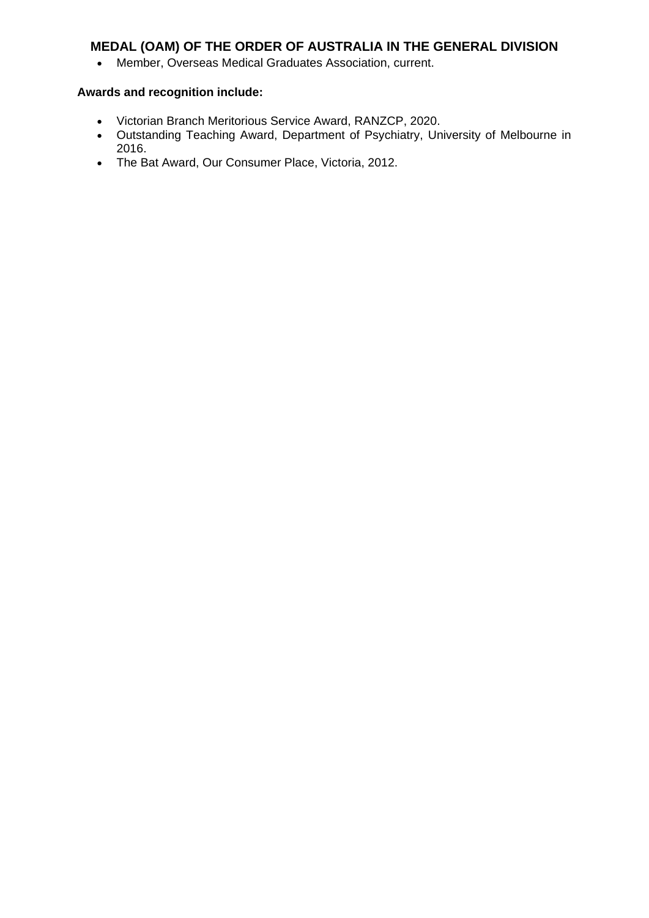Member, Overseas Medical Graduates Association, current.

- Victorian Branch Meritorious Service Award, RANZCP, 2020.
- Outstanding Teaching Award, Department of Psychiatry, University of Melbourne in 2016.
- The Bat Award, Our Consumer Place, Victoria, 2012.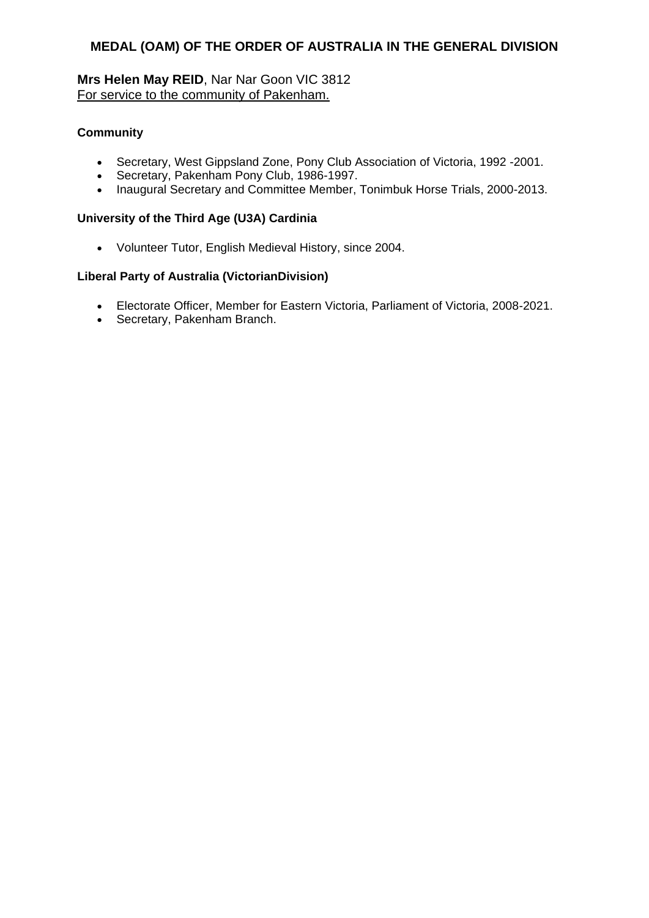# **Mrs Helen May REID**, Nar Nar Goon VIC 3812 For service to the community of Pakenham.

## **Community**

- Secretary, West Gippsland Zone, Pony Club Association of Victoria, 1992 -2001.
- Secretary, Pakenham Pony Club, 1986-1997.
- Inaugural Secretary and Committee Member, Tonimbuk Horse Trials, 2000-2013.

### **University of the Third Age (U3A) Cardinia**

Volunteer Tutor, English Medieval History, since 2004.

# **Liberal Party of Australia (VictorianDivision)**

- Electorate Officer, Member for Eastern Victoria, Parliament of Victoria, 2008-2021.
- Secretary, Pakenham Branch.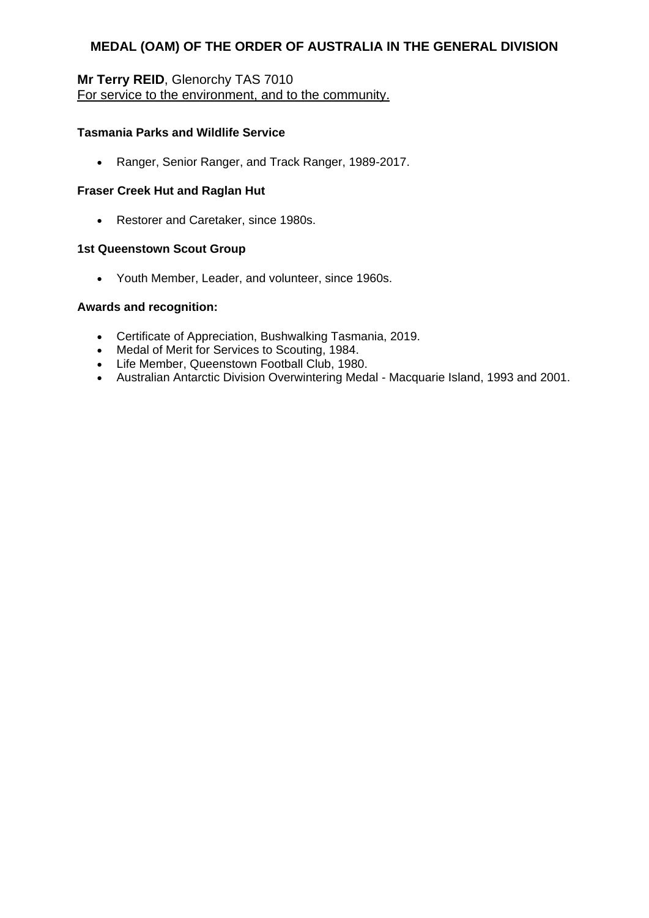## **Mr Terry REID**, Glenorchy TAS 7010 For service to the environment, and to the community.

## **Tasmania Parks and Wildlife Service**

Ranger, Senior Ranger, and Track Ranger, 1989-2017.

#### **Fraser Creek Hut and Raglan Hut**

Restorer and Caretaker, since 1980s.

#### **1st Queenstown Scout Group**

Youth Member, Leader, and volunteer, since 1960s.

#### **Awards and recognition:**

- Certificate of Appreciation, Bushwalking Tasmania, 2019.
- Medal of Merit for Services to Scouting, 1984.
- Life Member, Queenstown Football Club, 1980.
- Australian Antarctic Division Overwintering Medal Macquarie Island, 1993 and 2001.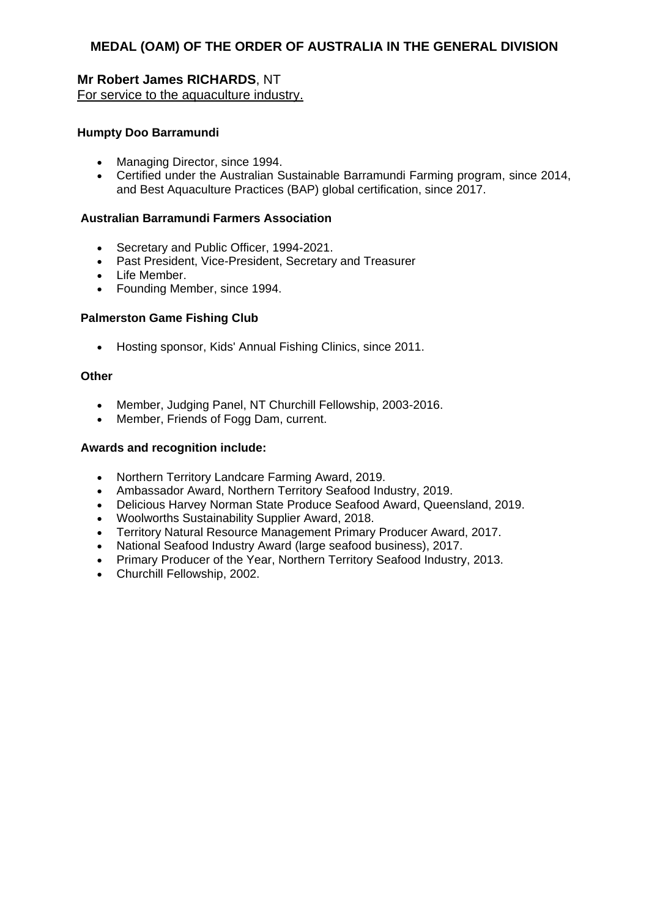# **Mr Robert James RICHARDS**, NT For service to the aquaculture industry.

#### **Humpty Doo Barramundi**

- Managing Director, since 1994.
- Certified under the Australian Sustainable Barramundi Farming program, since 2014, and Best Aquaculture Practices (BAP) global certification, since 2017.

#### **Australian Barramundi Farmers Association**

- Secretary and Public Officer, 1994-2021.
- Past President, Vice-President, Secretary and Treasurer
- Life Member.
- Founding Member, since 1994.

#### **Palmerston Game Fishing Club**

Hosting sponsor, Kids' Annual Fishing Clinics, since 2011.

#### **Other**

- Member, Judging Panel, NT Churchill Fellowship, 2003-2016.
- Member, Friends of Fogg Dam, current.

- Northern Territory Landcare Farming Award, 2019.
- Ambassador Award, Northern Territory Seafood Industry, 2019.
- Delicious Harvey Norman State Produce Seafood Award, Queensland, 2019.
- Woolworths Sustainability Supplier Award, 2018.
- Territory Natural Resource Management Primary Producer Award, 2017.
- National Seafood Industry Award (large seafood business), 2017.
- Primary Producer of the Year, Northern Territory Seafood Industry, 2013.
- Churchill Fellowship, 2002.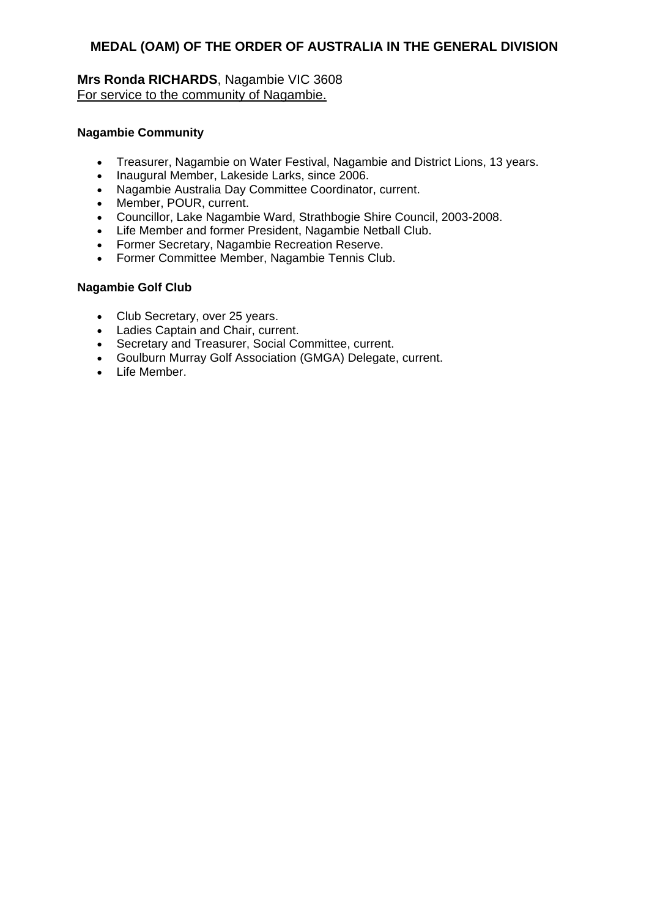## **Mrs Ronda RICHARDS**, Nagambie VIC 3608 For service to the community of Nagambie.

### **Nagambie Community**

- Treasurer, Nagambie on Water Festival, Nagambie and District Lions, 13 years.
- Inaugural Member, Lakeside Larks, since 2006.
- Nagambie Australia Day Committee Coordinator, current.
- Member, POUR, current.
- Councillor, Lake Nagambie Ward, Strathbogie Shire Council, 2003-2008.
- Life Member and former President, Nagambie Netball Club.
- Former Secretary, Nagambie Recreation Reserve.
- Former Committee Member, Nagambie Tennis Club.

#### **Nagambie Golf Club**

- Club Secretary, over 25 years.
- Ladies Captain and Chair, current.
- Secretary and Treasurer, Social Committee, current.
- Goulburn Murray Golf Association (GMGA) Delegate, current.
- Life Member.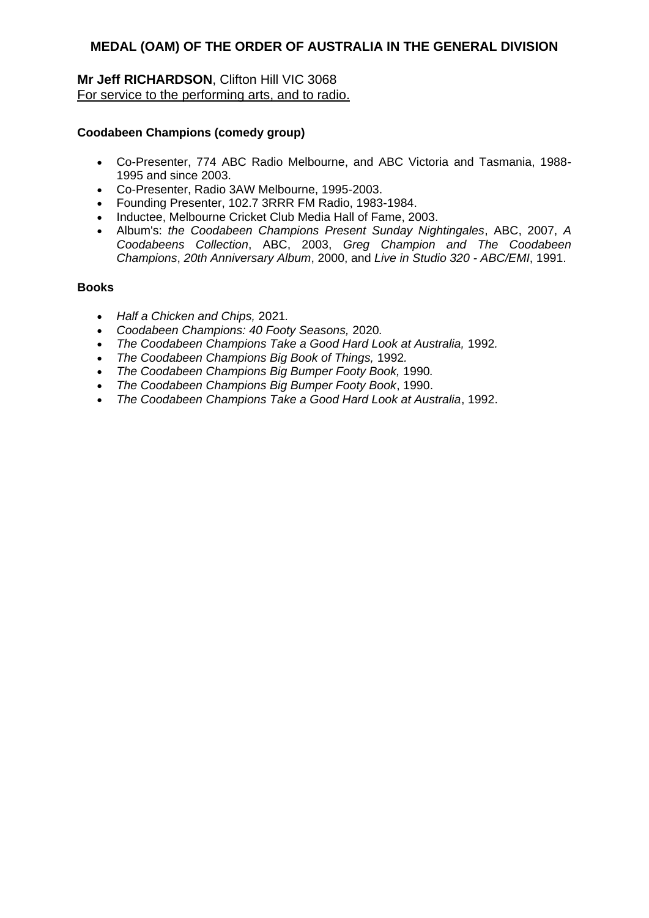## **Mr Jeff RICHARDSON**, Clifton Hill VIC 3068 For service to the performing arts, and to radio.

### **Coodabeen Champions (comedy group)**

- Co-Presenter, 774 ABC Radio Melbourne, and ABC Victoria and Tasmania, 1988- 1995 and since 2003.
- Co-Presenter, Radio 3AW Melbourne, 1995-2003.
- Founding Presenter, 102.7 3RRR FM Radio, 1983-1984.
- Inductee, Melbourne Cricket Club Media Hall of Fame, 2003.
- Album's: *the Coodabeen Champions Present Sunday Nightingales*, ABC, 2007, *A Coodabeens Collection*, ABC, 2003, *Greg Champion and The Coodabeen Champions*, *20th Anniversary Album*, 2000, and *Live in Studio 320 - ABC/EMI*, 1991.

#### **Books**

- *Half a Chicken and Chips,* 2021*.*
- *Coodabeen Champions: 40 Footy Seasons,* 2020*.*
- *The Coodabeen Champions Take a Good Hard Look at Australia,* 1992*.*
- *The Coodabeen Champions Big Book of Things,* 1992*.*
- *The Coodabeen Champions Big Bumper Footy Book,* 1990*.*
- *The Coodabeen Champions Big Bumper Footy Book*, 1990.
- *The Coodabeen Champions Take a Good Hard Look at Australia*, 1992.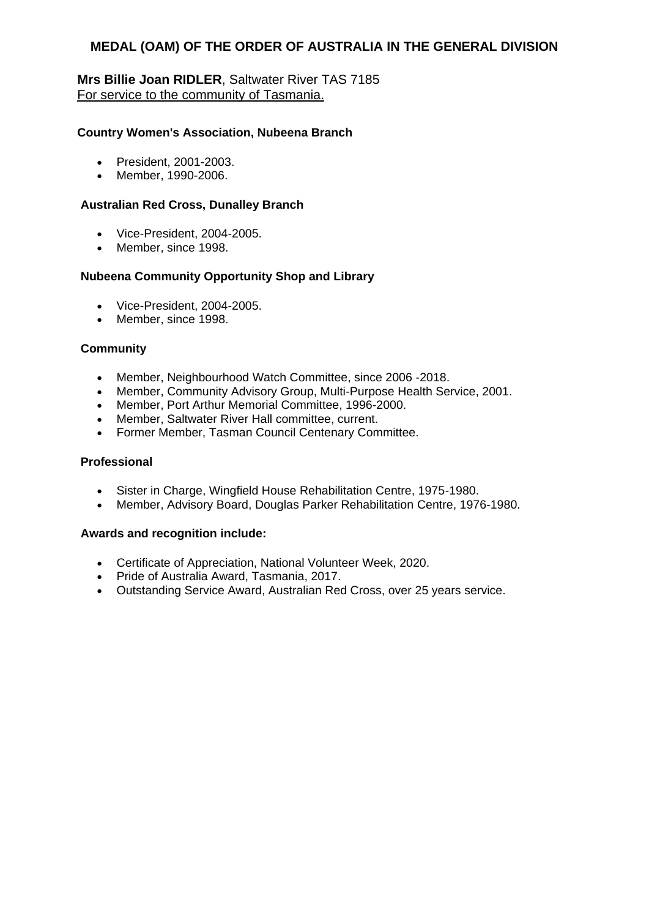## **Mrs Billie Joan RIDLER**, Saltwater River TAS 7185 For service to the community of Tasmania.

### **Country Women's Association, Nubeena Branch**

- President, 2001-2003.
- Member, 1990-2006.

#### **Australian Red Cross, Dunalley Branch**

- Vice-President, 2004-2005.
- Member, since 1998.

## **Nubeena Community Opportunity Shop and Library**

- Vice-President, 2004-2005.
- Member, since 1998.

## **Community**

- Member, Neighbourhood Watch Committee, since 2006 -2018.
- Member, Community Advisory Group, Multi-Purpose Health Service, 2001.
- Member, Port Arthur Memorial Committee, 1996-2000.
- Member, Saltwater River Hall committee, current.
- Former Member, Tasman Council Centenary Committee.

#### **Professional**

- Sister in Charge, Wingfield House Rehabilitation Centre, 1975-1980.
- Member, Advisory Board, Douglas Parker Rehabilitation Centre, 1976-1980.

- Certificate of Appreciation, National Volunteer Week, 2020.
- Pride of Australia Award, Tasmania, 2017.
- Outstanding Service Award, Australian Red Cross, over 25 years service.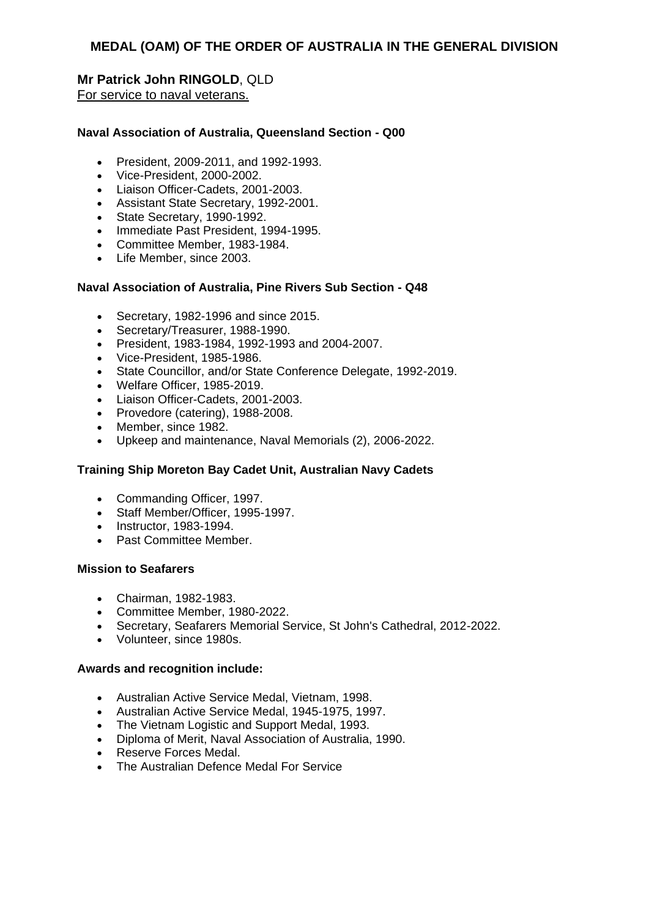## **Mr Patrick John RINGOLD**, QLD For service to naval veterans.

#### **Naval Association of Australia, Queensland Section - Q00**

- President, 2009-2011, and 1992-1993.
- Vice-President, 2000-2002.
- Liaison Officer-Cadets, 2001-2003.
- Assistant State Secretary, 1992-2001.
- State Secretary, 1990-1992.
- Immediate Past President, 1994-1995.
- Committee Member, 1983-1984.
- Life Member, since 2003.

#### **Naval Association of Australia, Pine Rivers Sub Section - Q48**

- Secretary, 1982-1996 and since 2015.
- Secretary/Treasurer, 1988-1990.
- President, 1983-1984, 1992-1993 and 2004-2007.
- Vice-President, 1985-1986.
- State Councillor, and/or State Conference Delegate, 1992-2019.
- Welfare Officer, 1985-2019.
- Liaison Officer-Cadets, 2001-2003.
- Provedore (catering), 1988-2008.
- Member, since 1982.
- Upkeep and maintenance, Naval Memorials (2), 2006-2022.

#### **Training Ship Moreton Bay Cadet Unit, Australian Navy Cadets**

- Commanding Officer, 1997.
- Staff Member/Officer, 1995-1997.
- Instructor, 1983-1994.
- Past Committee Member.

#### **Mission to Seafarers**

- Chairman, 1982-1983.
- Committee Member, 1980-2022.
- Secretary, Seafarers Memorial Service, St John's Cathedral, 2012-2022.
- Volunteer, since 1980s.

- Australian Active Service Medal, Vietnam, 1998.
- Australian Active Service Medal, 1945-1975, 1997.
- The Vietnam Logistic and Support Medal, 1993.
- Diploma of Merit, Naval Association of Australia, 1990.
- Reserve Forces Medal.
- The Australian Defence Medal For Service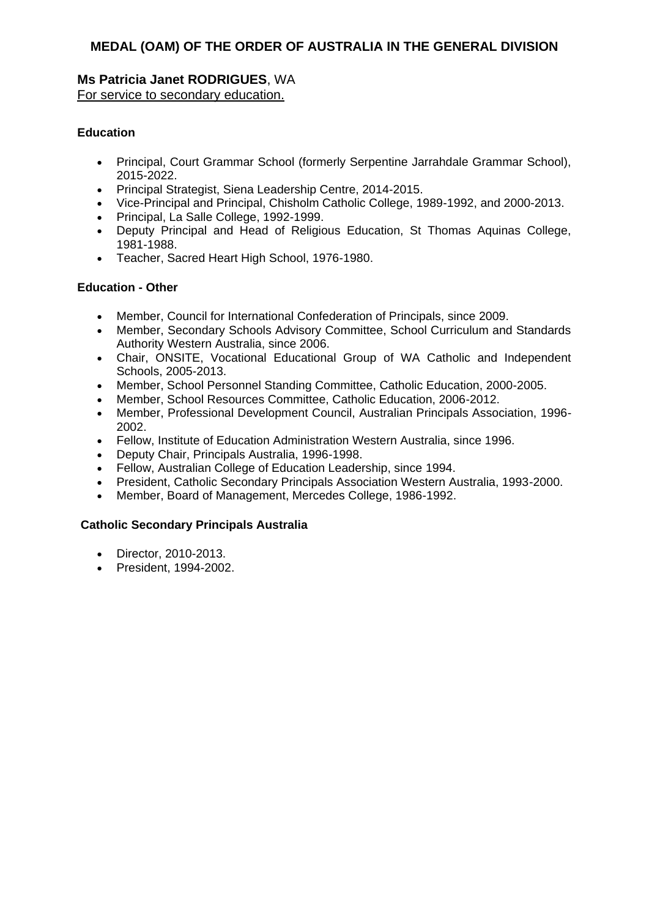### **Ms Patricia Janet RODRIGUES**, WA For service to secondary education.

## **Education**

- Principal, Court Grammar School (formerly Serpentine Jarrahdale Grammar School), 2015-2022.
- Principal Strategist, Siena Leadership Centre, 2014-2015.
- Vice-Principal and Principal, Chisholm Catholic College, 1989-1992, and 2000-2013.
- Principal, La Salle College, 1992-1999.
- Deputy Principal and Head of Religious Education, St Thomas Aquinas College, 1981-1988.
- Teacher, Sacred Heart High School, 1976-1980.

## **Education - Other**

- Member, Council for International Confederation of Principals, since 2009.
- Member, Secondary Schools Advisory Committee, School Curriculum and Standards Authority Western Australia, since 2006.
- Chair, ONSITE, Vocational Educational Group of WA Catholic and Independent Schools, 2005-2013.
- Member, School Personnel Standing Committee, Catholic Education, 2000-2005.
- Member, School Resources Committee, Catholic Education, 2006-2012.
- Member, Professional Development Council, Australian Principals Association, 1996- 2002.
- Fellow, Institute of Education Administration Western Australia, since 1996.
- Deputy Chair, Principals Australia, 1996-1998.
- Fellow, Australian College of Education Leadership, since 1994.
- President, Catholic Secondary Principals Association Western Australia, 1993-2000.
- Member, Board of Management, Mercedes College, 1986-1992.

## **Catholic Secondary Principals Australia**

- Director, 2010-2013.
- President, 1994-2002.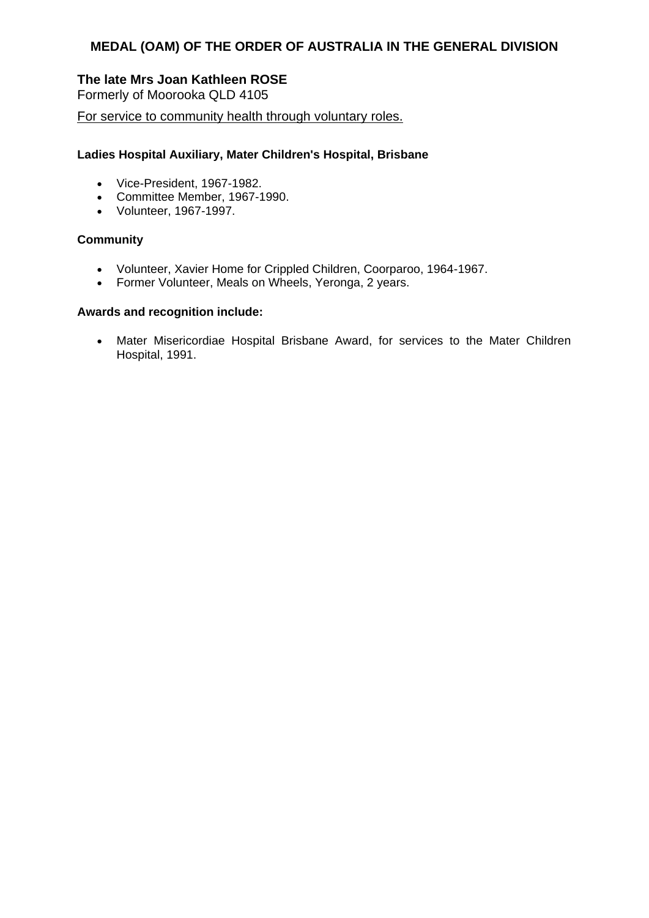## **The late Mrs Joan Kathleen ROSE**

Formerly of Moorooka QLD 4105

For service to community health through voluntary roles.

#### **Ladies Hospital Auxiliary, Mater Children's Hospital, Brisbane**

- Vice-President, 1967-1982.
- Committee Member, 1967-1990.
- Volunteer, 1967-1997.

#### **Community**

- Volunteer, Xavier Home for Crippled Children, Coorparoo, 1964-1967.
- Former Volunteer, Meals on Wheels, Yeronga, 2 years.

#### **Awards and recognition include:**

 Mater Misericordiae Hospital Brisbane Award, for services to the Mater Children Hospital, 1991.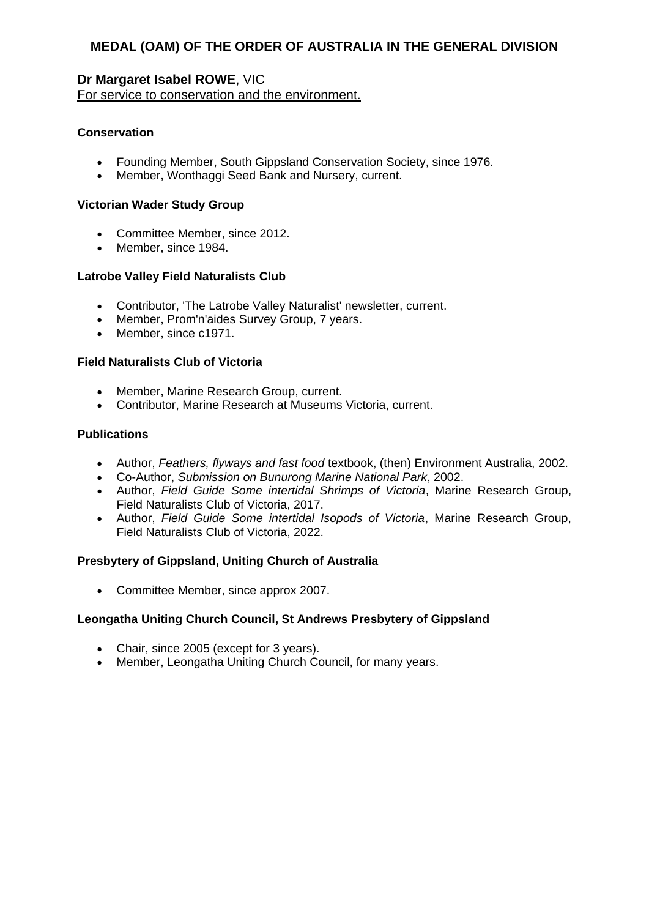## **Dr Margaret Isabel ROWE**, VIC

For service to conservation and the environment.

## **Conservation**

- Founding Member, South Gippsland Conservation Society, since 1976.
- Member, Wonthaggi Seed Bank and Nursery, current.

#### **Victorian Wader Study Group**

- Committee Member, since 2012.
- Member, since 1984.

## **Latrobe Valley Field Naturalists Club**

- Contributor, 'The Latrobe Valley Naturalist' newsletter, current.
- Member, Prom'n'aides Survey Group, 7 years.
- Member, since c1971.

## **Field Naturalists Club of Victoria**

- Member, Marine Research Group, current.
- Contributor, Marine Research at Museums Victoria, current.

## **Publications**

- Author, *Feathers, flyways and fast food* textbook, (then) Environment Australia, 2002.
- Co-Author, *Submission on Bunurong Marine National Park*, 2002.
- Author, *Field Guide Some intertidal Shrimps of Victoria*, Marine Research Group, Field Naturalists Club of Victoria, 2017.
- Author, *Field Guide Some intertidal Isopods of Victoria*, Marine Research Group, Field Naturalists Club of Victoria, 2022.

## **Presbytery of Gippsland, Uniting Church of Australia**

• Committee Member, since approx 2007.

#### **Leongatha Uniting Church Council, St Andrews Presbytery of Gippsland**

- Chair, since 2005 (except for 3 years).
- Member, Leongatha Uniting Church Council, for many years.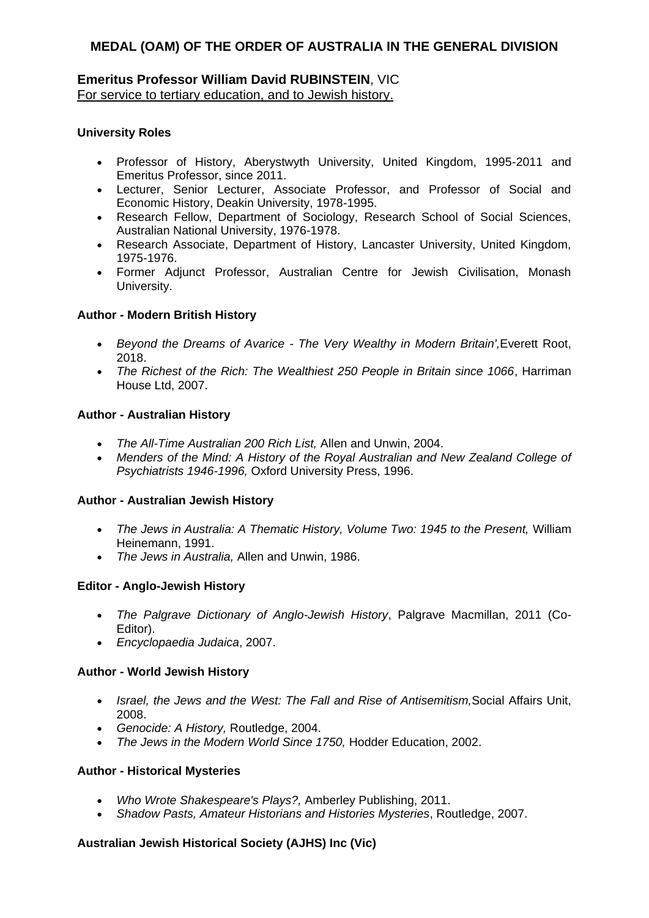## **Emeritus Professor William David RUBINSTEIN**, VIC For service to tertiary education, and to Jewish history.

### **University Roles**

- Professor of History, Aberystwyth University, United Kingdom, 1995-2011 and Emeritus Professor, since 2011.
- Lecturer, Senior Lecturer, Associate Professor, and Professor of Social and Economic History, Deakin University, 1978-1995.
- Research Fellow, Department of Sociology, Research School of Social Sciences, Australian National University, 1976-1978.
- Research Associate, Department of History, Lancaster University, United Kingdom, 1975-1976.
- Former Adjunct Professor, Australian Centre for Jewish Civilisation, Monash University.

#### **Author - Modern British History**

- *Beyond the Dreams of Avarice - The Very Wealthy in Modern Britain',*Everett Root, 2018.
- *The Richest of the Rich: The Wealthiest 250 People in Britain since 1066*, Harriman House Ltd, 2007.

#### **Author - Australian History**

- *The All-Time Australian 200 Rich List,* Allen and Unwin, 2004.
- Menders of the Mind: A History of the Royal Australian and New Zealand College of *Psychiatrists 1946-1996,* Oxford University Press, 1996.

#### **Author - Australian Jewish History**

- *The Jews in Australia: A Thematic History, Volume Two: 1945 to the Present,* William Heinemann, 1991.
- *The Jews in Australia,* Allen and Unwin, 1986.

#### **Editor - Anglo-Jewish History**

- *The Palgrave Dictionary of Anglo-Jewish History*, Palgrave Macmillan, 2011 (Co-Editor).
- *Encyclopaedia Judaica*, 2007.

#### **Author - World Jewish History**

- *Israel, the Jews and the West: The Fall and Rise of Antisemitism,*Social Affairs Unit, 2008.
- *Genocide: A History,* Routledge, 2004.
- *The Jews in the Modern World Since 1750,* Hodder Education, 2002.

#### **Author - Historical Mysteries**

- *Who Wrote Shakespeare's Plays?,* Amberley Publishing, 2011.
- *Shadow Pasts, Amateur Historians and Histories Mysteries*, Routledge, 2007.

#### **Australian Jewish Historical Society (AJHS) Inc (Vic)**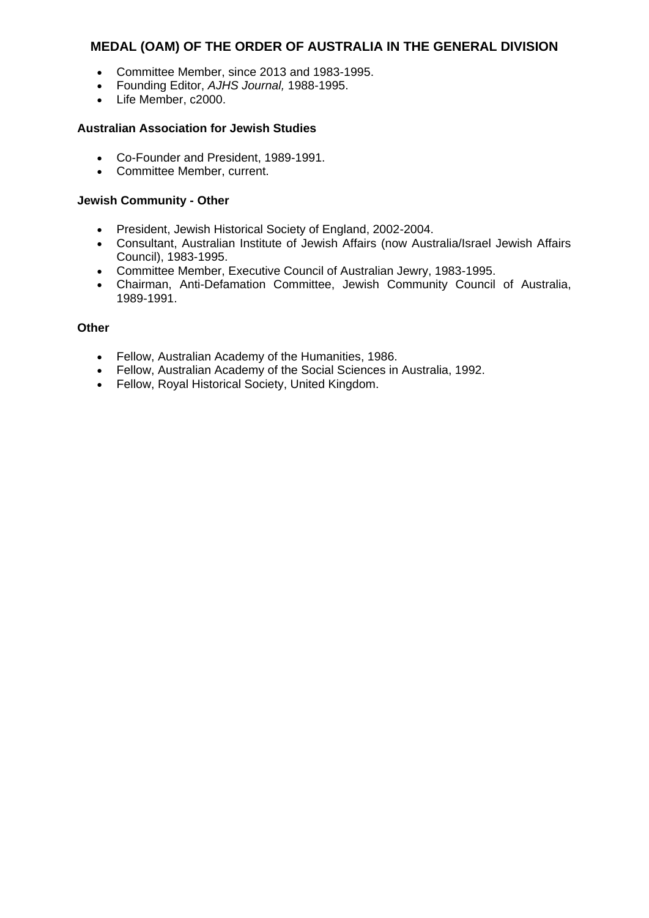- Committee Member, since 2013 and 1983-1995.
- Founding Editor, *AJHS Journal,* 1988-1995.
- Life Member, c2000.

#### **Australian Association for Jewish Studies**

- Co-Founder and President, 1989-1991.
- Committee Member, current.

#### **Jewish Community - Other**

- President, Jewish Historical Society of England, 2002-2004.
- Consultant, Australian Institute of Jewish Affairs (now Australia/Israel Jewish Affairs Council), 1983-1995.
- Committee Member, Executive Council of Australian Jewry, 1983-1995.
- Chairman, Anti-Defamation Committee, Jewish Community Council of Australia, 1989-1991.

#### **Other**

- Fellow, Australian Academy of the Humanities, 1986.
- Fellow, Australian Academy of the Social Sciences in Australia, 1992.
- Fellow, Royal Historical Society, United Kingdom.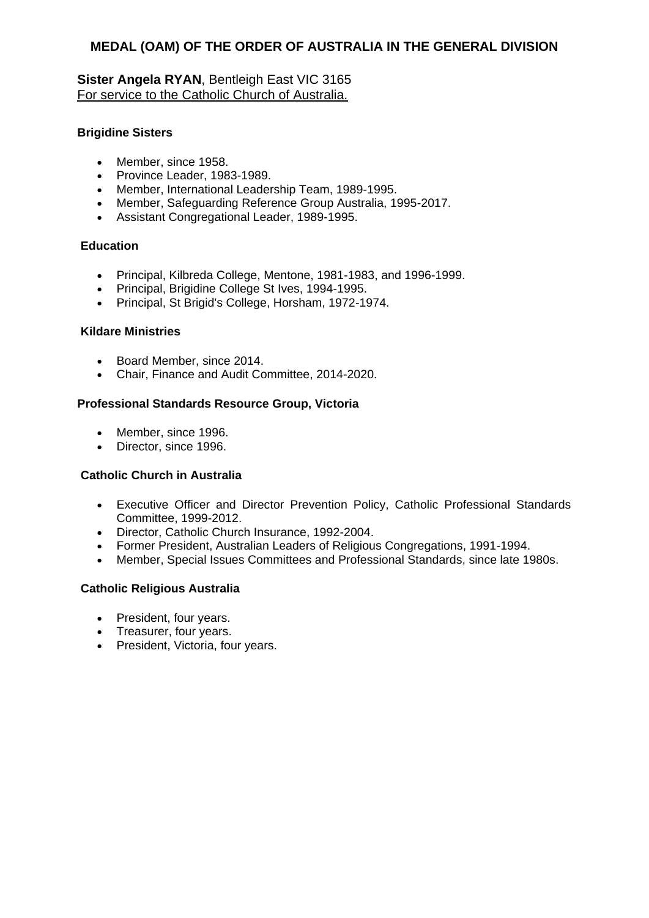## **Sister Angela RYAN**, Bentleigh East VIC 3165 For service to the Catholic Church of Australia.

### **Brigidine Sisters**

- Member, since 1958.
- Province Leader, 1983-1989.
- Member, International Leadership Team, 1989-1995.
- Member, Safeguarding Reference Group Australia, 1995-2017.
- Assistant Congregational Leader, 1989-1995.

## **Education**

- Principal, Kilbreda College, Mentone, 1981-1983, and 1996-1999.
- Principal, Brigidine College St Ives, 1994-1995.
- Principal, St Brigid's College, Horsham, 1972-1974.

#### **Kildare Ministries**

- Board Member, since 2014.
- Chair, Finance and Audit Committee, 2014-2020.

#### **Professional Standards Resource Group, Victoria**

- Member, since 1996.
- Director, since 1996.

#### **Catholic Church in Australia**

- Executive Officer and Director Prevention Policy, Catholic Professional Standards Committee, 1999-2012.
- Director, Catholic Church Insurance, 1992-2004.
- Former President, Australian Leaders of Religious Congregations, 1991-1994.
- Member, Special Issues Committees and Professional Standards, since late 1980s.

#### **Catholic Religious Australia**

- President, four years.
- Treasurer, four years.
- President, Victoria, four years.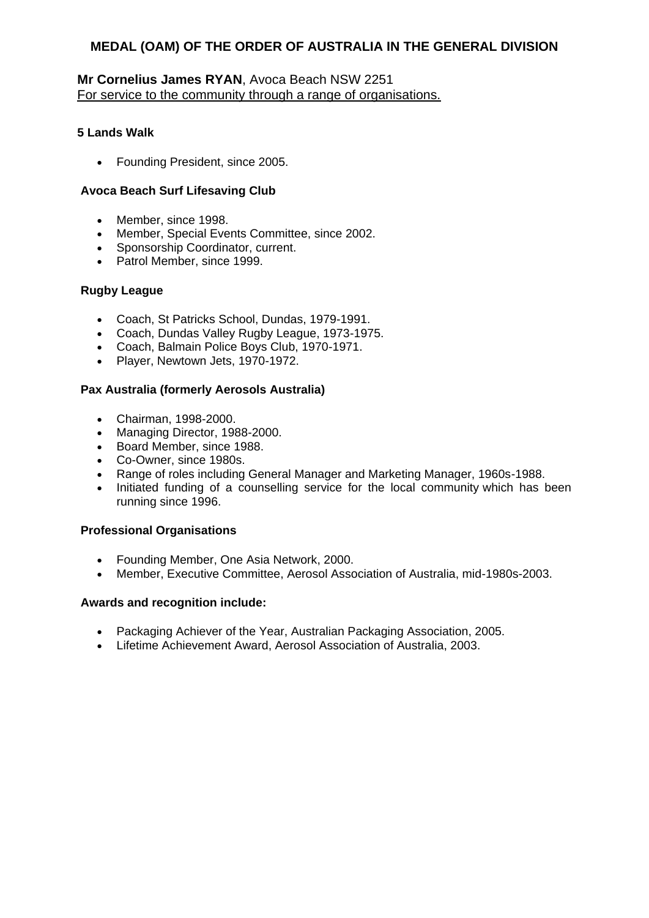## **Mr Cornelius James RYAN**, Avoca Beach NSW 2251 For service to the community through a range of organisations.

### **5 Lands Walk**

• Founding President, since 2005.

### **Avoca Beach Surf Lifesaving Club**

- Member, since 1998.
- Member, Special Events Committee, since 2002.
- Sponsorship Coordinator, current.
- Patrol Member, since 1999.

## **Rugby League**

- Coach, St Patricks School, Dundas, 1979-1991.
- Coach, Dundas Valley Rugby League, 1973-1975.
- Coach, Balmain Police Boys Club, 1970-1971.
- Player, Newtown Jets, 1970-1972.

## **Pax Australia (formerly Aerosols Australia)**

- Chairman, 1998-2000.
- Managing Director, 1988-2000.
- Board Member, since 1988.
- Co-Owner, since 1980s.
- Range of roles including General Manager and Marketing Manager, 1960s-1988.
- Initiated funding of a counselling service for the local community which has been running since 1996.

## **Professional Organisations**

- Founding Member, One Asia Network, 2000.
- Member, Executive Committee, Aerosol Association of Australia, mid-1980s-2003.

- Packaging Achiever of the Year, Australian Packaging Association, 2005.
- Lifetime Achievement Award, Aerosol Association of Australia, 2003.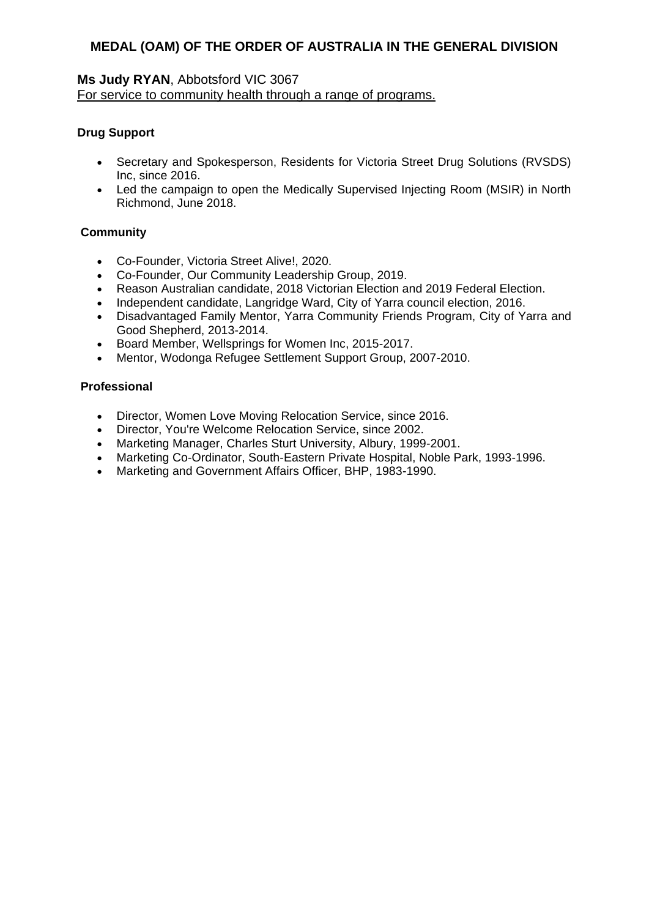## **Ms Judy RYAN**, Abbotsford VIC 3067 For service to community health through a range of programs.

## **Drug Support**

- Secretary and Spokesperson, Residents for Victoria Street Drug Solutions (RVSDS) Inc, since 2016.
- Led the campaign to open the Medically Supervised Injecting Room (MSIR) in North Richmond, June 2018.

## **Community**

- Co-Founder, Victoria Street Alive!, 2020.
- Co-Founder, Our Community Leadership Group, 2019.
- Reason Australian candidate, 2018 Victorian Election and 2019 Federal Election.
- Independent candidate, Langridge Ward, City of Yarra council election, 2016.
- Disadvantaged Family Mentor, Yarra Community Friends Program, City of Yarra and Good Shepherd, 2013-2014.
- Board Member, Wellsprings for Women Inc, 2015-2017.
- Mentor, Wodonga Refugee Settlement Support Group, 2007-2010.

## **Professional**

- Director, Women Love Moving Relocation Service, since 2016.
- Director, You're Welcome Relocation Service, since 2002.
- Marketing Manager, Charles Sturt University, Albury, 1999-2001.
- Marketing Co-Ordinator, South-Eastern Private Hospital, Noble Park, 1993-1996.<br>• Marketing and Government Affairs Officer, BHP, 1983-1990.
- Marketing and Government Affairs Officer, BHP, 1983-1990.